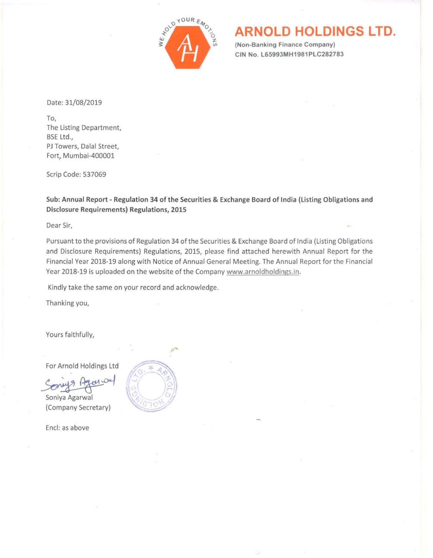

# **ARNOLD HOLDINGS LTD.**

(Non-Banking Finance Company) CIN No. L65993MH1981PLC282783

Date: 31/08/2019

To, The Listing Department, BSE Ltd., PJ Towers, Dalal Street, Fort, Mumbai-400001

Scrip Code: 537069

Sub: Annual Report - Regulation 34 of the Securities & Exchange Board of India (Listing Obligations and Disclosure Requirements) Regulations, 2015

Dear Sir,

Pursuant to the provisions of Regulation 34 of the Securities & Exchange Board of India (Listing Obligations and Disclosure Requirements) Regulations, 2015, please find attached herewith Annual Report for the Financial Year 2018-19 along with Notice of Annual General Meeting. The Annual Report for the Financial Year 2018-19 is uploaded on the website of the Company www.arnoldholdings.in.

Kindly take the same on your record and acknowledge.

Thanking you,

Yours faithfully,

For Arnold Holdings Ltd<br>
Soniya Agarwal

(Company Secretary)

Encl: as above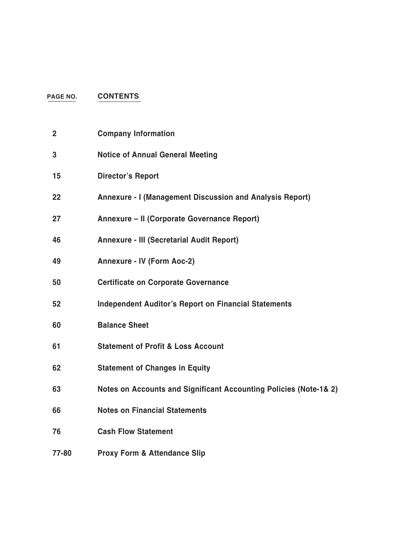## PAGE NO. CONTENTS

| $\overline{2}$ | <b>Company Information</b>                                                   |
|----------------|------------------------------------------------------------------------------|
| 3              | <b>Notice of Annual General Meeting</b>                                      |
| 15             | <b>Director's Report</b>                                                     |
| 22             | Annexure - I (Management Discussion and Analysis Report)                     |
| 27             | Annexure - II (Corporate Governance Report)                                  |
| 46             | <b>Annexure - III (Secretarial Audit Report)</b>                             |
| 49             | <b>Annexure - IV (Form Aoc-2)</b>                                            |
| 50             | <b>Certificate on Corporate Governance</b>                                   |
| 52             | <b>Independent Auditor's Report on Financial Statements</b>                  |
| 60             | <b>Balance Sheet</b>                                                         |
| 61             | <b>Statement of Profit &amp; Loss Account</b>                                |
| 62             | <b>Statement of Changes in Equity</b>                                        |
| 63             | <b>Notes on Accounts and Significant Accounting Policies (Note-1&amp; 2)</b> |
| 66             | <b>Notes on Financial Statements</b>                                         |
| 76             | <b>Cash Flow Statement</b>                                                   |
| 77-80          | <b>Proxy Form &amp; Attendance Slip</b>                                      |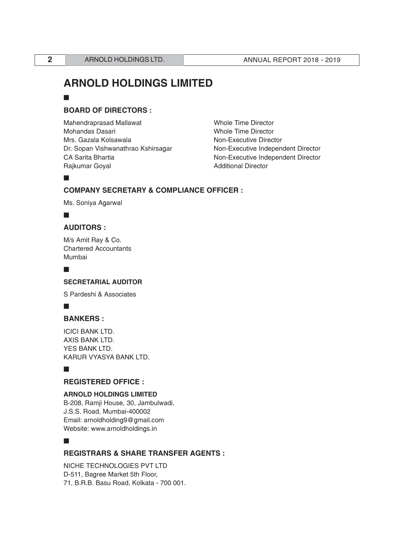# ARNOLD HOLDINGS LIMITED

### $\blacksquare$

## BOARD OF DIRECTORS :

Mahendraprasad Mallawat Whole Time Director Mohandas Dasari **Mohandas Dasari** Whole Time Director Mrs. Gazala Kolsawala Non-Executive Director Rajkumar Goyal **Additional Director Additional Director** 

Dr. Sopan Vishwanathrao Kshirsagar Non-Executive Independent Director CA Sarita Bhartia Non-Executive Independent Director

 $\blacksquare$ 

### COMPANY SECRETARY & COMPLIANCE OFFICER :

Ms. Soniya Agarwal

### $\blacksquare$

## AUDITORS :

M/s Amit Ray & Co. Chartered Accountants Mumbai

#### $\sim$

#### SECRETARIAL AUDITOR

S Pardeshi & Associates

 $\sim$ 

## BANKERS :

ICICI BANK LTD. AXIS BANK LTD. YES BANK LTD. KARUR VYASYA BANK LTD.

## $\mathcal{L}_{\mathcal{A}}$

### REGISTERED OFFICE :

### ARNOLD HOLDINGS LIMITED

B-208, Ramji House, 30, Jambulwadi, J.S.S. Road, Mumbai-400002 Email: arnoldholding9@gmail.com Website: www.arnoldholdings.in

## $\mathcal{L}_{\mathcal{A}}$

## REGISTRARS & SHARE TRANSFER AGENTS :

NICHE TECHNOLOGIES PVT LTD D-511, Bagree Market 5th Floor, 71, B.R.B. Basu Road, Kolkata - 700 001.

2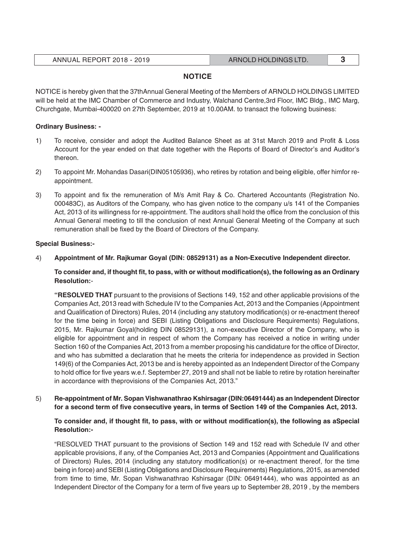| <b>ANNUAL REPORT 2018 - 2019</b> | ARNOLD HOLDINGS LTD. |  |
|----------------------------------|----------------------|--|
|----------------------------------|----------------------|--|

## **NOTICE**

NOTICE is hereby given that the 37thAnnual General Meeting of the Members of ARNOLD HOLDINGS LIMITED will be held at the IMC Chamber of Commerce and Industry, Walchand Centre,3rd Floor, IMC Bldg., IMC Marg, Churchgate, Mumbai-400020 on 27th September, 2019 at 10.00AM. to transact the following business:

## Ordinary Business: -

- 1) To receive, consider and adopt the Audited Balance Sheet as at 31st March 2019 and Profit & Loss Account for the year ended on that date together with the Reports of Board of Director's and Auditor's thereon.
- 2) To appoint Mr. Mohandas Dasari(DIN05105936), who retires by rotation and being eligible, offer himfor reappointment.
- 3) To appoint and fix the remuneration of M/s Amit Ray & Co. Chartered Accountants (Registration No. 000483C), as Auditors of the Company, who has given notice to the company u/s 141 of the Companies Act, 2013 of its willingness for re-appointment. The auditors shall hold the office from the conclusion of this Annual General meeting to till the conclusion of next Annual General Meeting of the Company at such remuneration shall be fixed by the Board of Directors of the Company.

### Special Business:-

## 4) Appointment of Mr. Rajkumar Goyal (DIN: 08529131) as a Non-Executive Independent director.

To consider and, if thought fit, to pass, with or without modification(s), the following as an Ordinary Resolution:-

"RESOLVED THAT pursuant to the provisions of Sections 149, 152 and other applicable provisions of the Companies Act, 2013 read with Schedule IV to the Companies Act, 2013 and the Companies (Appointment and Qualification of Directors) Rules, 2014 (including any statutory modification(s) or re-enactment thereof for the time being in force) and SEBI (Listing Obligations and Disclosure Requirements) Regulations, 2015, Mr. Rajkumar Goyal(holding DIN 08529131), a non-executive Director of the Company, who is eligible for appointment and in respect of whom the Company has received a notice in writing under Section 160 of the Companies Act, 2013 from a member proposing his candidature for the office of Director, and who has submitted a declaration that he meets the criteria for independence as provided in Section 149(6) of the Companies Act, 2013 be and is hereby appointed as an Independent Director of the Company to hold office for five years w.e.f. September 27, 2019 and shall not be liable to retire by rotation hereinafter in accordance with theprovisions of the Companies Act, 2013."

5) Re-appointment of Mr. Sopan Vishwanathrao Kshirsagar (DIN:06491444) as an Independent Director for a second term of five consecutive years, in terms of Section 149 of the Companies Act, 2013.

## To consider and, if thought fit, to pass, with or without modification(s), the following as aSpecial Resolution:-

"RESOLVED THAT pursuant to the provisions of Section 149 and 152 read with Schedule IV and other applicable provisions, if any, of the Companies Act, 2013 and Companies (Appointment and Qualifications of Directors) Rules, 2014 (including any statutory modification(s) or re-enactment thereof, for the time being in force) and SEBI (Listing Obligations and Disclosure Requirements) Regulations, 2015, as amended from time to time, Mr. Sopan Vishwanathrao Kshirsagar (DIN: 06491444), who was appointed as an Independent Director of the Company for a term of five years up to September 28, 2019 , by the members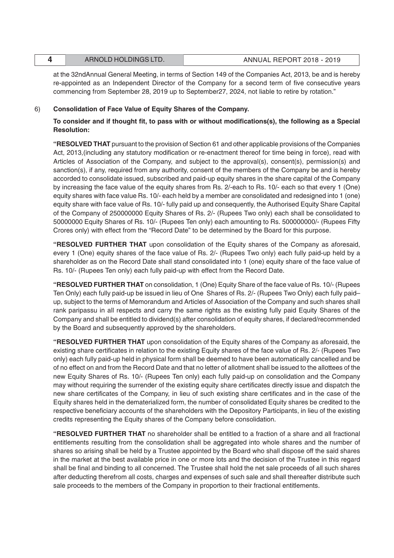|  | ARNOLD HOLDINGS LTD. | <b>ANNUAL REPORT 2018 - 2019</b> |
|--|----------------------|----------------------------------|
|--|----------------------|----------------------------------|

at the 32ndAnnual General Meeting, in terms of Section 149 of the Companies Act, 2013, be and is hereby re-appointed as an Independent Director of the Company for a second term of five consecutive years commencing from September 28, 2019 up to September27, 2024, not liable to retire by rotation."

#### 6) Consolidation of Face Value of Equity Shares of the Company.

To consider and if thought fit, to pass with or without modifications(s), the following as a Special Resolution:

"RESOLVED THAT pursuant to the provision of Section 61 and other applicable provisions of the Companies Act, 2013,(including any statutory modification or re-enactment thereof for time being in force), read with Articles of Association of the Company, and subject to the approval(s), consent(s), permission(s) and sanction(s), if any, required from any authority, consent of the members of the Company be and is hereby accorded to consolidate issued, subscribed and paid-up equity shares in the share capital of the Company by increasing the face value of the equity shares from Rs. 2/-each to Rs. 10/- each so that every 1 (One) equity shares with face value Rs. 10/- each held by a member are consolidated and redesigned into 1 (one) equity share with face value of Rs. 10/- fully paid up and consequently, the Authorised Equity Share Capital of the Company of 250000000 Equity Shares of Rs. 2/- (Rupees Two only) each shall be consolidated to 50000000 Equity Shares of Rs. 10/- (Rupees Ten only) each amounting to Rs. 500000000/- (Rupees Fifty Crores only) with effect from the "Record Date" to be determined by the Board for this purpose.

"RESOLVED FURTHER THAT upon consolidation of the Equity shares of the Company as aforesaid, every 1 (One) equity shares of the face value of Rs. 2/- (Rupees Two only) each fully paid-up held by a shareholder as on the Record Date shall stand consolidated into 1 (one) equity share of the face value of Rs. 10/- (Rupees Ten only) each fully paid-up with effect from the Record Date.

"RESOLVED FURTHER THAT on consolidation, 1 (One) Equity Share of the face value of Rs. 10/- (Rupees Ten Only) each fully paid-up be issued in lieu of One Shares of Rs. 2/- (Rupees Two Only) each fully paid– up, subject to the terms of Memorandum and Articles of Association of the Company and such shares shall rank paripassu in all respects and carry the same rights as the existing fully paid Equity Shares of the Company and shall be entitled to dividend(s) after consolidation of equity shares, if declared/recommended by the Board and subsequently approved by the shareholders.

"RESOLVED FURTHER THAT upon consolidation of the Equity shares of the Company as aforesaid, the existing share certificates in relation to the existing Equity shares of the face value of Rs. 2/- (Rupees Two only) each fully paid-up held in physical form shall be deemed to have been automatically cancelled and be of no effect on and from the Record Date and that no letter of allotment shall be issued to the allottees of the new Equity Shares of Rs. 10/- (Rupees Ten only) each fully paid-up on consolidation and the Company may without requiring the surrender of the existing equity share certificates directly issue and dispatch the new share certificates of the Company, in lieu of such existing share certificates and in the case of the Equity shares held in the dematerialized form, the number of consolidated Equity shares be credited to the respective beneficiary accounts of the shareholders with the Depository Participants, in lieu of the existing credits representing the Equity shares of the Company before consolidation.

"RESOLVED FURTHER THAT no shareholder shall be entitled to a fraction of a share and all fractional entitlements resulting from the consolidation shall be aggregated into whole shares and the number of shares so arising shall be held by a Trustee appointed by the Board who shall dispose off the said shares in the market at the best available price in one or more lots and the decision of the Trustee in this regard shall be final and binding to all concerned. The Trustee shall hold the net sale proceeds of all such shares after deducting therefrom all costs, charges and expenses of such sale and shall thereafter distribute such sale proceeds to the members of the Company in proportion to their fractional entitlements.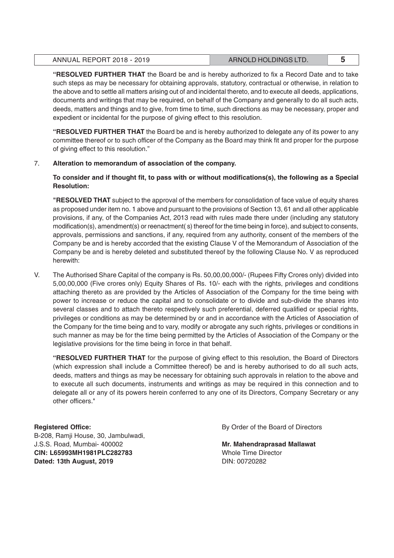| ANNUAL REPORT 2018 - 2019 | ARNOLD HOLDINGS LTD. |  |
|---------------------------|----------------------|--|
|---------------------------|----------------------|--|

"RESOLVED FURTHER THAT the Board be and is hereby authorized to fix a Record Date and to take such steps as may be necessary for obtaining approvals, statutory, contractual or otherwise, in relation to the above and to settle all matters arising out of and incidental thereto, and to execute all deeds, applications, documents and writings that may be required, on behalf of the Company and generally to do all such acts, deeds, matters and things and to give, from time to time, such directions as may be necessary, proper and expedient or incidental for the purpose of giving effect to this resolution.

"RESOLVED FURTHER THAT the Board be and is hereby authorized to delegate any of its power to any committee thereof or to such officer of the Company as the Board may think fit and proper for the purpose of giving effect to this resolution."

#### 7. Alteration to memorandum of association of the company.

To consider and if thought fit, to pass with or without modifications(s), the following as a Special Resolution:

"RESOLVED THAT subject to the approval of the members for consolidation of face value of equity shares as proposed under item no. 1 above and pursuant to the provisions of Section 13, 61 and all other applicable provisions, if any, of the Companies Act, 2013 read with rules made there under (including any statutory modification(s), amendment(s) or reenactment( s) thereof for the time being in force), and subject to consents, approvals, permissions and sanctions, if any, required from any authority, consent of the members of the Company be and is hereby accorded that the existing Clause V of the Memorandum of Association of the Company be and is hereby deleted and substituted thereof by the following Clause No. V as reproduced herewith:

V. The Authorised Share Capital of the company is Rs. 50,00,00,000/- (Rupees Fifty Crores only) divided into 5,00,00,000 (Five crores only) Equity Shares of Rs. 10/- each with the rights, privileges and conditions attaching thereto as are provided by the Articles of Association of the Company for the time being with power to increase or reduce the capital and to consolidate or to divide and sub-divide the shares into several classes and to attach thereto respectively such preferential, deferred qualified or special rights, privileges or conditions as may be determined by or and in accordance with the Articles of Association of the Company for the time being and to vary, modify or abrogate any such rights, privileges or conditions in such manner as may be for the time being permitted by the Articles of Association of the Company or the legislative provisions for the time being in force in that behalf.

"RESOLVED FURTHER THAT for the purpose of giving effect to this resolution, the Board of Directors (which expression shall include a Committee thereof) be and is hereby authorised to do all such acts, deeds, matters and things as may be necessary for obtaining such approvals in relation to the above and to execute all such documents, instruments and writings as may be required in this connection and to delegate all or any of its powers herein conferred to any one of its Directors, Company Secretary or any other officers."

B-208, Ramji House, 30, Jambulwadi, J.S.S. Road, Mumbai- 400002 Mr. Mahendraprasad Mallawat CIN: L65993MH1981PLC282783 Whole Time Director **Dated: 13th August, 2019 Discription Control 2019 DIN: 00720282** 

Registered Office: By Order of the Board of Directors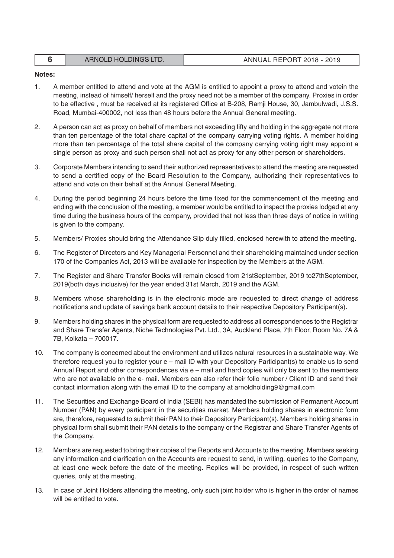|  | ARNOLD HOLDINGS LTD. | <b>ANNUAL REPORT 2018 - 2019</b> |
|--|----------------------|----------------------------------|
|--|----------------------|----------------------------------|

#### Notes:

- 1. A member entitled to attend and vote at the AGM is entitled to appoint a proxy to attend and votein the meeting, instead of himself/ herself and the proxy need not be a member of the company. Proxies in order to be effective , must be received at its registered Office at B-208, Ramji House, 30, Jambulwadi, J.S.S. Road, Mumbai-400002, not less than 48 hours before the Annual General meeting.
- 2. A person can act as proxy on behalf of members not exceeding fifty and holding in the aggregate not more than ten percentage of the total share capital of the company carrying voting rights. A member holding more than ten percentage of the total share capital of the company carrying voting right may appoint a single person as proxy and such person shall not act as proxy for any other person or shareholders.
- 3. Corporate Members intending to send their authorized representatives to attend the meeting are requested to send a certified copy of the Board Resolution to the Company, authorizing their representatives to attend and vote on their behalf at the Annual General Meeting.
- 4. During the period beginning 24 hours before the time fixed for the commencement of the meeting and ending with the conclusion of the meeting, a member would be entitled to inspect the proxies lodged at any time during the business hours of the company, provided that not less than three days of notice in writing is given to the company.
- 5. Members/ Proxies should bring the Attendance Slip duly filled, enclosed herewith to attend the meeting.
- 6. The Register of Directors and Key Managerial Personnel and their shareholding maintained under section 170 of the Companies Act, 2013 will be available for inspection by the Members at the AGM.
- 7. The Register and Share Transfer Books will remain closed from 21stSeptember, 2019 to27thSeptember, 2019(both days inclusive) for the year ended 31st March, 2019 and the AGM.
- 8. Members whose shareholding is in the electronic mode are requested to direct change of address notifications and update of savings bank account details to their respective Depository Participant(s).
- 9. Members holding shares in the physical form are requested to address all correspondences to the Registrar and Share Transfer Agents, Niche Technologies Pvt. Ltd., 3A, Auckland Place, 7th Floor, Room No. 7A & 7B, Kolkata – 700017.
- 10. The company is concerned about the environment and utilizes natural resources in a sustainable way. We therefore request you to register your e – mail ID with your Depository Participant(s) to enable us to send Annual Report and other correspondences via e – mail and hard copies will only be sent to the members who are not available on the e- mail. Members can also refer their folio number / Client ID and send their contact information along with the email ID to the company at arnoldholding9@gmail.com
- 11. The Securities and Exchange Board of India (SEBI) has mandated the submission of Permanent Account Number (PAN) by every participant in the securities market. Members holding shares in electronic form are, therefore, requested to submit their PAN to their Depository Participant(s). Members holding shares in physical form shall submit their PAN details to the company or the Registrar and Share Transfer Agents of the Company.
- 12. Members are requested to bring their copies of the Reports and Accounts to the meeting. Members seeking any information and clarification on the Accounts are request to send, in writing, queries to the Company, at least one week before the date of the meeting. Replies will be provided, in respect of such written queries, only at the meeting.
- 13. In case of Joint Holders attending the meeting, only such joint holder who is higher in the order of names will be entitled to vote.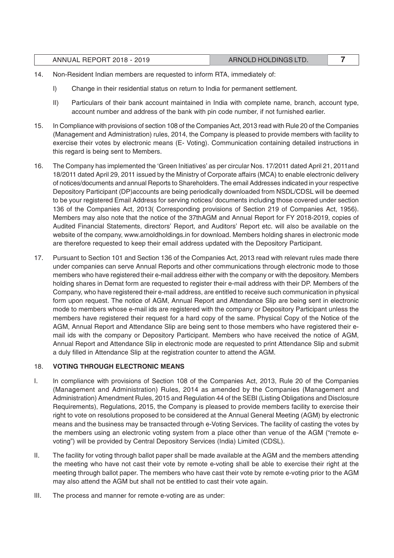| ARNOLD HOLDINGS LTD. |
|----------------------|

- 14. Non-Resident Indian members are requested to inform RTA, immediately of:
	- I) Change in their residential status on return to India for permanent settlement.
	- II) Particulars of their bank account maintained in India with complete name, branch, account type, account number and address of the bank with pin code number, if not furnished earlier.
- 15. In Compliance with provisions of section 108 of the Companies Act, 2013 read with Rule 20 of the Companies (Management and Administration) rules, 2014, the Company is pleased to provide members with facility to exercise their votes by electronic means (E- Voting). Communication containing detailed instructions in this regard is being sent to Members.
- 16. The Company has implemented the 'Green Initiatives' as per circular Nos. 17/2011 dated April 21, 2011and 18/2011 dated April 29, 2011 issued by the Ministry of Corporate affairs (MCA) to enable electronic delivery of notices/documents and annual Reports to Shareholders. The email Addresses indicated in your respective Depository Participant (DP)accounts are being periodically downloaded from NSDL/CDSL will be deemed to be your registered Email Address for serving notices/ documents including those covered under section 136 of the Companies Act, 2013( Corresponding provisions of Section 219 of Companies Act, 1956). Members may also note that the notice of the 37thAGM and Annual Report for FY 2018-2019, copies of Audited Financial Statements, directors' Report, and Auditors' Report etc. will also be available on the website of the company, www.arnoldholdings.in for download. Members holding shares in electronic mode are therefore requested to keep their email address updated with the Depository Participant.
- 17. Pursuant to Section 101 and Section 136 of the Companies Act, 2013 read with relevant rules made there under companies can serve Annual Reports and other communications through electronic mode to those members who have registered their e-mail address either with the company or with the depository. Members holding shares in Demat form are requested to register their e-mail address with their DP. Members of the Company, who have registered their e-mail address, are entitled to receive such communication in physical form upon request. The notice of AGM, Annual Report and Attendance Slip are being sent in electronic mode to members whose e-mail ids are registered with the company or Depository Participant unless the members have registered their request for a hard copy of the same. Physical Copy of the Notice of the AGM, Annual Report and Attendance Slip are being sent to those members who have registered their email ids with the company or Depository Participant. Members who have received the notice of AGM, Annual Report and Attendance Slip in electronic mode are requested to print Attendance Slip and submit a duly filled in Attendance Slip at the registration counter to attend the AGM.

### 18. VOTING THROUGH ELECTRONIC MEANS

- I. In compliance with provisions of Section 108 of the Companies Act, 2013, Rule 20 of the Companies (Management and Administration) Rules, 2014 as amended by the Companies (Management and Administration) Amendment Rules, 2015 and Regulation 44 of the SEBI (Listing Obligations and Disclosure Requirements), Regulations, 2015, the Company is pleased to provide members facility to exercise their right to vote on resolutions proposed to be considered at the Annual General Meeting (AGM) by electronic means and the business may be transacted through e-Voting Services. The facility of casting the votes by the members using an electronic voting system from a place other than venue of the AGM ("remote evoting") will be provided by Central Depository Services (India) Limited (CDSL).
- II. The facility for voting through ballot paper shall be made available at the AGM and the members attending the meeting who have not cast their vote by remote e-voting shall be able to exercise their right at the meeting through ballot paper. The members who have cast their vote by remote e-voting prior to the AGM may also attend the AGM but shall not be entitled to cast their vote again.
- III. The process and manner for remote e-voting are as under: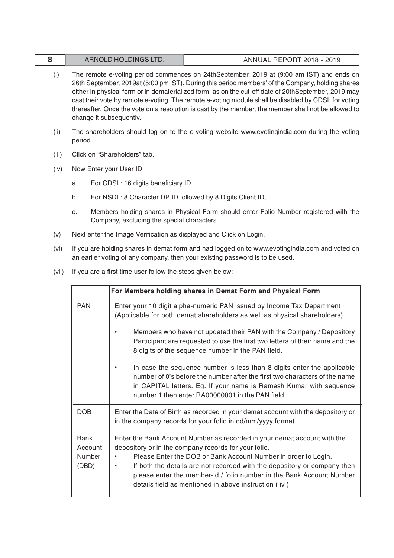| ARNOLD HOLDINGS LTD. | <b>ANNUAL REPORT 2018 - 2019</b> |
|----------------------|----------------------------------|
|                      |                                  |

- (i) The remote e-voting period commences on 24thSeptember, 2019 at (9:00 am IST) and ends on 26th September, 2019at (5:00 pm IST). During this period members' of the Company, holding shares either in physical form or in dematerialized form, as on the cut-off date of 20thSeptember, 2019 may cast their vote by remote e-voting. The remote e-voting module shall be disabled by CDSL for voting thereafter. Once the vote on a resolution is cast by the member, the member shall not be allowed to change it subsequently.
- (ii) The shareholders should log on to the e-voting website www.evotingindia.com during the voting period.
- (iii) Click on "Shareholders" tab.
- (iv) Now Enter your User ID
	- a. For CDSL: 16 digits beneficiary ID,
	- b. For NSDL: 8 Character DP ID followed by 8 Digits Client ID,
	- c. Members holding shares in Physical Form should enter Folio Number registered with the Company, excluding the special characters.
- (v) Next enter the Image Verification as displayed and Click on Login.
- (vi) If you are holding shares in demat form and had logged on to www.evotingindia.com and voted on an earlier voting of any company, then your existing password is to be used.
- (vii) If you are a first time user follow the steps given below:

|                                           | For Members holding shares in Demat Form and Physical Form                                                                                                                                                                                                                                                                                                                                                                                |  |
|-------------------------------------------|-------------------------------------------------------------------------------------------------------------------------------------------------------------------------------------------------------------------------------------------------------------------------------------------------------------------------------------------------------------------------------------------------------------------------------------------|--|
| <b>PAN</b>                                | Enter your 10 digit alpha-numeric PAN issued by Income Tax Department<br>(Applicable for both demat shareholders as well as physical shareholders)                                                                                                                                                                                                                                                                                        |  |
|                                           | Members who have not updated their PAN with the Company / Depository<br>Participant are requested to use the first two letters of their name and the<br>8 digits of the sequence number in the PAN field.                                                                                                                                                                                                                                 |  |
|                                           | In case the sequence number is less than 8 digits enter the applicable<br>number of 0's before the number after the first two characters of the name<br>in CAPITAL letters. Eg. If your name is Ramesh Kumar with sequence<br>number 1 then enter RA00000001 in the PAN field.                                                                                                                                                            |  |
| <b>DOB</b>                                | Enter the Date of Birth as recorded in your demat account with the depository or<br>in the company records for your folio in dd/mm/yyyy format.                                                                                                                                                                                                                                                                                           |  |
| <b>Bank</b><br>Account<br>Number<br>(DBD) | Enter the Bank Account Number as recorded in your demat account with the<br>depository or in the company records for your folio.<br>Please Enter the DOB or Bank Account Number in order to Login.<br>$\bullet$<br>If both the details are not recorded with the depository or company then<br>$\bullet$<br>please enter the member-id / folio number in the Bank Account Number<br>details field as mentioned in above instruction (iv). |  |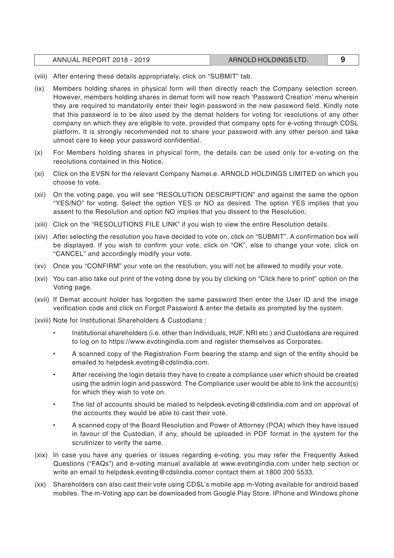| <b>ANNUAL REPORT 2018 - 2019</b> | ARNOLD HOLDINGS LTD. |  |
|----------------------------------|----------------------|--|
|----------------------------------|----------------------|--|

- (viii) After entering these details appropriately, click on "SUBMIT" tab.
- (ix) Members holding shares in physical form will then directly reach the Company selection screen. However, members holding shares in demat form will now reach 'Password Creation' menu wherein they are required to mandatorily enter their login password in the new password field. Kindly note that this password is to be also used by the demat holders for voting for resolutions of any other company on which they are eligible to vote, provided that company opts for e-voting through CDSL platform. It is strongly recommended not to share your password with any other person and take utmost care to keep your password confidential.
- (x) For Members holding shares in physical form, the details can be used only for e-voting on the resolutions contained in this Notice.
- (xi) Click on the EVSN for the relevant Company Namei.e. ARNOLD HOLDINGS LIMITED on which you choose to vote.
- (xii) On the voting page, you will see "RESOLUTION DESCRIPTION" and against the same the option "YES/NO" for voting. Select the option YES or NO as desired. The option YES implies that you assent to the Resolution and option NO implies that you dissent to the Resolution.
- (xiii) Click on the "RESOLUTIONS FILE LINK" if you wish to view the entire Resolution details.
- (xiv) After selecting the resolution you have decided to vote on, click on "SUBMIT". A confirmation box will be displayed. If you wish to confirm your vote, click on "OK", else to change your vote, click on "CANCEL" and accordingly modify your vote.
- (xv) Once you "CONFIRM" your vote on the resolution, you will not be allowed to modify your vote.
- (xvi) You can also take out print of the voting done by you by clicking on "Click here to print" option on the Voting page.
- (xvii) If Demat account holder has forgotten the same password then enter the User ID and the image verification code and click on Forgot Password & enter the details as prompted by the system.
- (xviii) Note for Institutional Shareholders & Custodians :
	- Institutional shareholders (i.e. other than Individuals, HUF, NRI etc.) and Custodians are required to log on to https://www.evotingindia.com and register themselves as Corporates.
	- A scanned copy of the Registration Form bearing the stamp and sign of the entity should be emailed to helpdesk.evoting@cdslindia.com.
	- After receiving the login details they have to create a compliance user which should be created using the admin login and password. The Compliance user would be able to link the account(s) for which they wish to vote on.
	- The list of accounts should be mailed to helpdesk.evoting@cdslindia.com and on approval of the accounts they would be able to cast their vote.
	- A scanned copy of the Board Resolution and Power of Attorney (POA) which they have issued in favour of the Custodian, if any, should be uploaded in PDF format in the system for the scrutinizer to verify the same.
- (xix) In case you have any queries or issues regarding e-voting, you may refer the Frequently Asked Questions ("FAQs") and e-voting manual available at www.evotingindia.com under help section or write an email to helpdesk.evoting@cdslindia.comor contact them at 1800 200 5533.
- (xx) Shareholders can also cast their vote using CDSL's mobile app m-Voting available for android based mobiles. The m-Voting app can be downloaded from Google Play Store. IPhone and Windows phone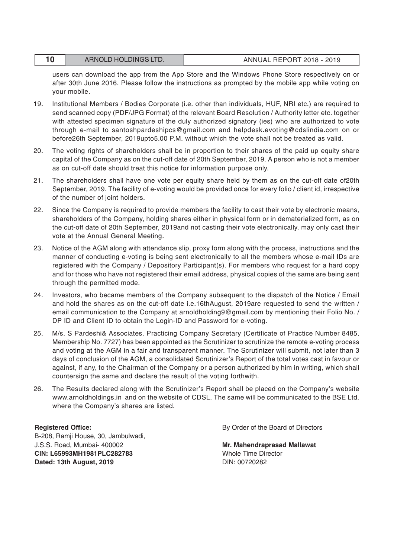| ARNOLD HOLDINGS LTD. | <b>ANNUAL REPORT 2018 - 2019</b> |
|----------------------|----------------------------------|
|                      |                                  |

users can download the app from the App Store and the Windows Phone Store respectively on or after 30th June 2016. Please follow the instructions as prompted by the mobile app while voting on your mobile.

- 19. Institutional Members / Bodies Corporate (i.e. other than individuals, HUF, NRI etc.) are required to send scanned copy (PDF/JPG Format) of the relevant Board Resolution / Authority letter etc. together with attested specimen signature of the duly authorized signatory (ies) who are authorized to vote through e-mail to santoshpardeshipcs@gmail.com and helpdesk.evoting@cdslindia.com on or before26th September, 2019upto5.00 P.M. without which the vote shall not be treated as valid.
- 20. The voting rights of shareholders shall be in proportion to their shares of the paid up equity share capital of the Company as on the cut-off date of 20th September, 2019. A person who is not a member as on cut-off date should treat this notice for information purpose only.
- 21. The shareholders shall have one vote per equity share held by them as on the cut-off date of20th September, 2019. The facility of e-voting would be provided once for every folio / client id, irrespective of the number of joint holders.
- 22. Since the Company is required to provide members the facility to cast their vote by electronic means, shareholders of the Company, holding shares either in physical form or in dematerialized form, as on the cut-off date of 20th September, 2019and not casting their vote electronically, may only cast their vote at the Annual General Meeting.
- 23. Notice of the AGM along with attendance slip, proxy form along with the process, instructions and the manner of conducting e-voting is being sent electronically to all the members whose e-mail IDs are registered with the Company / Depository Participant(s). For members who request for a hard copy and for those who have not registered their email address, physical copies of the same are being sent through the permitted mode.
- 24. Investors, who became members of the Company subsequent to the dispatch of the Notice / Email and hold the shares as on the cut-off date i.e.16thAugust, 2019are requested to send the written / email communication to the Company at arnoldholding9@gmail.com by mentioning their Folio No. / DP ID and Client ID to obtain the Login-ID and Password for e-voting.
- 25. M/s. S Pardeshi& Associates, Practicing Company Secretary (Certificate of Practice Number 8485, Membership No. 7727) has been appointed as the Scrutinizer to scrutinize the remote e-voting process and voting at the AGM in a fair and transparent manner. The Scrutinizer will submit, not later than 3 days of conclusion of the AGM, a consolidated Scrutinizer's Report of the total votes cast in favour or against, if any, to the Chairman of the Company or a person authorized by him in writing, which shall countersign the same and declare the result of the voting forthwith.
- 26. The Results declared along with the Scrutinizer's Report shall be placed on the Company's website www.arnoldholdings.in and on the website of CDSL. The same will be communicated to the BSE Ltd. where the Company's shares are listed.

B-208, Ramji House, 30, Jambulwadi, J.S.S. Road, Mumbai- 400002 Mr. Mahendraprasad Mallawat CIN: L65993MH1981PLC282783 Whole Time Director Dated: 13th August, 2019 **Dines** 2019 **DIN: 00720282** 

Registered Office: By Order of the Board of Directors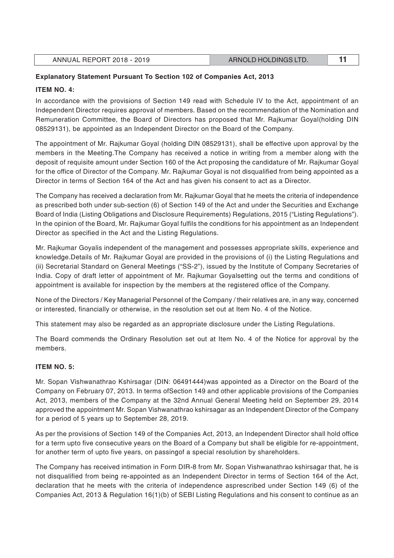| <b>ANNUAL REPORT 2018 - 2019</b> | ARNOLD HOLDINGS LTD. |  |
|----------------------------------|----------------------|--|
|----------------------------------|----------------------|--|

## Explanatory Statement Pursuant To Section 102 of Companies Act, 2013

## ITEM NO. 4:

In accordance with the provisions of Section 149 read with Schedule IV to the Act, appointment of an Independent Director requires approval of members. Based on the recommendation of the Nomination and Remuneration Committee, the Board of Directors has proposed that Mr. Rajkumar Goyal(holding DIN 08529131), be appointed as an Independent Director on the Board of the Company.

The appointment of Mr. Rajkumar Goyal (holding DIN 08529131), shall be effective upon approval by the members in the Meeting.The Company has received a notice in writing from a member along with the deposit of requisite amount under Section 160 of the Act proposing the candidature of Mr. Rajkumar Goyal for the office of Director of the Company. Mr. Rajkumar Goyal is not disqualified from being appointed as a Director in terms of Section 164 of the Act and has given his consent to act as a Director.

The Company has received a declaration from Mr. Rajkumar Goyal that he meets the criteria of independence as prescribed both under sub-section (6) of Section 149 of the Act and under the Securities and Exchange Board of India (Listing Obligations and Disclosure Requirements) Regulations, 2015 ("Listing Regulations"). In the opinion of the Board, Mr. Rajkumar Goyal fulfils the conditions for his appointment as an Independent Director as specified in the Act and the Listing Regulations.

Mr. Rajkumar Goyalis independent of the management and possesses appropriate skills, experience and knowledge.Details of Mr. Rajkumar Goyal are provided in the provisions of (i) the Listing Regulations and (ii) Secretarial Standard on General Meetings ("SS-2"), issued by the Institute of Company Secretaries of India. Copy of draft letter of appointment of Mr. Rajkumar Goyalsetting out the terms and conditions of appointment is available for inspection by the members at the registered office of the Company.

None of the Directors / Key Managerial Personnel of the Company / their relatives are, in any way, concerned or interested, financially or otherwise, in the resolution set out at Item No. 4 of the Notice.

This statement may also be regarded as an appropriate disclosure under the Listing Regulations.

The Board commends the Ordinary Resolution set out at Item No. 4 of the Notice for approval by the members.

### ITEM NO. 5:

Mr. Sopan Vishwanathrao Kshirsagar (DIN: 06491444)was appointed as a Director on the Board of the Company on February 07, 2013. In terms ofSection 149 and other applicable provisions of the Companies Act, 2013, members of the Company at the 32nd Annual General Meeting held on September 29, 2014 approved the appointment Mr. Sopan Vishwanathrao kshirsagar as an Independent Director of the Company for a period of 5 years up to September 28, 2019.

As per the provisions of Section 149 of the Companies Act, 2013, an Independent Director shall hold office for a term upto five consecutive years on the Board of a Company but shall be eligible for re-appointment, for another term of upto five years, on passingof a special resolution by shareholders.

The Company has received intimation in Form DIR-8 from Mr. Sopan Vishwanathrao kshirsagar that, he is not disqualified from being re-appointed as an Independent Director in terms of Section 164 of the Act, declaration that he meets with the criteria of independence asprescribed under Section 149 (6) of the Companies Act, 2013 & Regulation 16(1)(b) of SEBI Listing Regulations and his consent to continue as an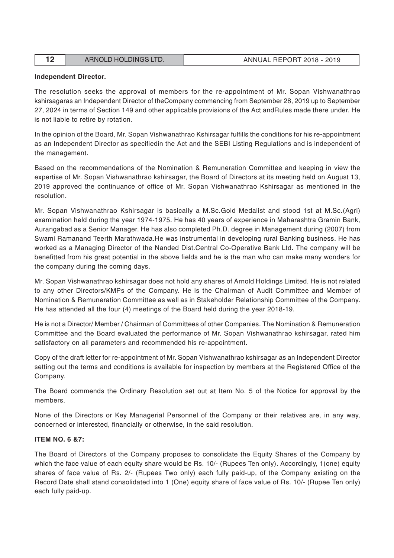| ARNOLD HOLDINGS LTD. | <b>ANNUAL REPORT 2018 - 2019</b> |
|----------------------|----------------------------------|
|                      |                                  |

## Independent Director.

The resolution seeks the approval of members for the re-appointment of Mr. Sopan Vishwanathrao kshirsagaras an Independent Director of theCompany commencing from September 28, 2019 up to September 27, 2024 in terms of Section 149 and other applicable provisions of the Act andRules made there under. He is not liable to retire by rotation.

In the opinion of the Board, Mr. Sopan Vishwanathrao Kshirsagar fulfills the conditions for his re-appointment as an Independent Director as specifiedin the Act and the SEBI Listing Regulations and is independent of the management.

Based on the recommendations of the Nomination & Remuneration Committee and keeping in view the expertise of Mr. Sopan Vishwanathrao kshirsagar, the Board of Directors at its meeting held on August 13, 2019 approved the continuance of office of Mr. Sopan Vishwanathrao Kshirsagar as mentioned in the resolution.

Mr. Sopan Vishwanathrao Kshirsagar is basically a M.Sc.Gold Medalist and stood 1st at M.Sc.(Agri) examination held during the year 1974-1975. He has 40 years of experience in Maharashtra Gramin Bank, Aurangabad as a Senior Manager. He has also completed Ph.D. degree in Management during (2007) from Swami Ramanand Teerth Marathwada.He was instrumental in developing rural Banking business. He has worked as a Managing Director of the Nanded Dist.Central Co-Operative Bank Ltd. The company will be benefitted from his great potential in the above fields and he is the man who can make many wonders for the company during the coming days.

Mr. Sopan Vishwanathrao kshirsagar does not hold any shares of Arnold Holdings Limited. He is not related to any other Directors/KMPs of the Company. He is the Chairman of Audit Committee and Member of Nomination & Remuneration Committee as well as in Stakeholder Relationship Committee of the Company. He has attended all the four (4) meetings of the Board held during the year 2018-19.

He is not a Director/ Member / Chairman of Committees of other Companies. The Nomination & Remuneration Committee and the Board evaluated the performance of Mr. Sopan Vishwanathrao kshirsagar, rated him satisfactory on all parameters and recommended his re-appointment.

Copy of the draft letter for re-appointment of Mr. Sopan Vishwanathrao kshirsagar as an Independent Director setting out the terms and conditions is available for inspection by members at the Registered Office of the Company.

The Board commends the Ordinary Resolution set out at Item No. 5 of the Notice for approval by the members.

None of the Directors or Key Managerial Personnel of the Company or their relatives are, in any way, concerned or interested, financially or otherwise, in the said resolution.

## ITEM NO. 6 &7:

The Board of Directors of the Company proposes to consolidate the Equity Shares of the Company by which the face value of each equity share would be Rs. 10/- (Rupees Ten only). Accordingly, 1(one) equity shares of face value of Rs. 2/- (Rupees Two only) each fully paid-up, of the Company existing on the Record Date shall stand consolidated into 1 (One) equity share of face value of Rs. 10/- (Rupee Ten only) each fully paid-up.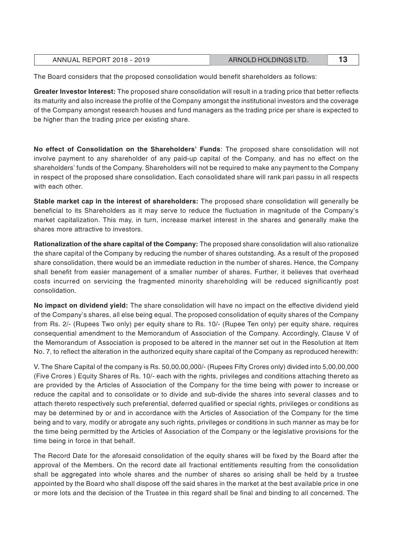| ANNUAL REPORT 2018 - 2019 | ARNOLD HOLDINGS LTD. |  |
|---------------------------|----------------------|--|
|---------------------------|----------------------|--|

The Board considers that the proposed consolidation would benefit shareholders as follows:

Greater Investor Interest: The proposed share consolidation will result in a trading price that better reflects its maturity and also increase the profile of the Company amongst the institutional investors and the coverage of the Company amongst research houses and fund managers as the trading price per share is expected to be higher than the trading price per existing share.

No effect of Consolidation on the Shareholders' Funds: The proposed share consolidation will not involve payment to any shareholder of any paid-up capital of the Company, and has no effect on the shareholders' funds of the Company. Shareholders will not be required to make any payment to the Company in respect of the proposed share consolidation. Each consolidated share will rank pari passu in all respects with each other.

Stable market cap in the interest of shareholders: The proposed share consolidation will generally be beneficial to its Shareholders as it may serve to reduce the fluctuation in magnitude of the Company's market capitalization. This may, in turn, increase market interest in the shares and generally make the shares more attractive to investors.

Rationalization of the share capital of the Company: The proposed share consolidation will also rationalize the share capital of the Company by reducing the number of shares outstanding. As a result of the proposed share consolidation, there would be an immediate reduction in the number of shares. Hence, the Company shall benefit from easier management of a smaller number of shares. Further, it believes that overhead costs incurred on servicing the fragmented minority shareholding will be reduced significantly post consolidation.

No impact on dividend yield: The share consolidation will have no impact on the effective dividend yield of the Company's shares, all else being equal. The proposed consolidation of equity shares of the Company from Rs. 2/- (Rupees Two only) per equity share to Rs. 10/- (Rupee Ten only) per equity share, requires consequential amendment to the Memorandum of Association of the Company. Accordingly, Clause V of the Memorandum of Association is proposed to be altered in the manner set out in the Resolution at Item No. 7, to reflect the alteration in the authorized equity share capital of the Company as reproduced herewith:

V. The Share Capital of the company is Rs. 50,00,00,000/- (Rupees Fifty Crores only) divided into 5,00,00,000 (Five Crores ) Equity Shares of Rs. 10/- each with the rights, privileges and conditions attaching thereto as are provided by the Articles of Association of the Company for the time being with power to increase or reduce the capital and to consolidate or to divide and sub-divide the shares into several classes and to attach thereto respectively such preferential, deferred qualified or special rights, privileges or conditions as may be determined by or and in accordance with the Articles of Association of the Company for the time being and to vary, modify or abrogate any such rights, privileges or conditions in such manner as may be for the time being permitted by the Articles of Association of the Company or the legislative provisions for the time being in force in that behalf.

The Record Date for the aforesaid consolidation of the equity shares will be fixed by the Board after the approval of the Members. On the record date all fractional entitlements resulting from the consolidation shall be aggregated into whole shares and the number of shares so arising shall be held by a trustee appointed by the Board who shall dispose off the said shares in the market at the best available price in one or more lots and the decision of the Trustee in this regard shall be final and binding to all concerned. The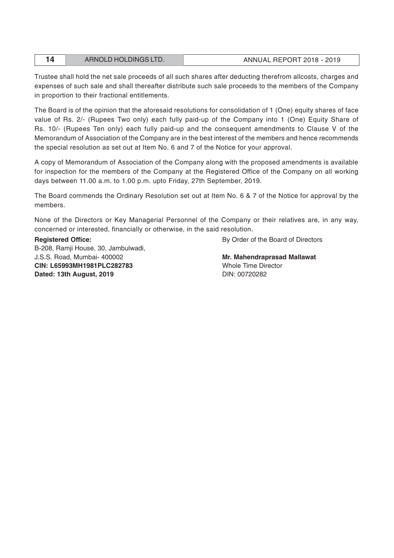Trustee shall hold the net sale proceeds of all such shares after deducting therefrom allcosts, charges and expenses of such sale and shall thereafter distribute such sale proceeds to the members of the Company in proportion to their fractional entitlements.

The Board is of the opinion that the aforesaid resolutions for consolidation of 1 (One) equity shares of face value of Rs. 2/- (Rupees Two only) each fully paid-up of the Company into 1 (One) Equity Share of Rs. 10/- (Rupees Ten only) each fully paid-up and the consequent amendments to Clause V of the Memorandum of Association of the Company are in the best interest of the members and hence recommends the special resolution as set out at Item No. 6 and 7 of the Notice for your approval.

A copy of Memorandum of Association of the Company along with the proposed amendments is available for inspection for the members of the Company at the Registered Office of the Company on all working days between 11.00 a.m. to 1.00 p.m. upto Friday, 27th September, 2019.

The Board commends the Ordinary Resolution set out at Item No. 6 & 7 of the Notice for approval by the members.

None of the Directors or Key Managerial Personnel of the Company or their relatives are, in any way, concerned or interested, financially or otherwise, in the said resolution.

B-208, Ramji House, 30, Jambulwadi, J.S.S. Road, Mumbai- 400002 Mr. Mahendraprasad Mallawat CIN: L65993MH1981PLC282783 Whole Time Director Dated: 13th August, 2019 **Dines** 2019 **DIN: 00720282** 

Registered Office: By Order of the Board of Directors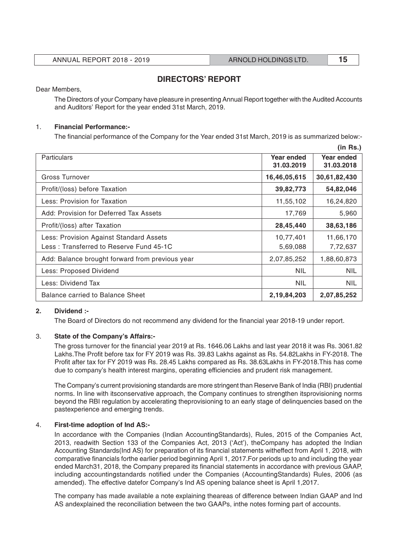| <b>ANNUAL REPORT 2018 - 2019</b> | ARNOLD HOLDINGS LTD. |  |
|----------------------------------|----------------------|--|
|----------------------------------|----------------------|--|

## DIRECTORS' REPORT

Dear Members,

The Directors of your Company have pleasure in presenting Annual Report together with the Audited Accounts and Auditors' Report for the year ended 31st March, 2019.

## 1. Financial Performance:-

The financial performance of the Company for the Year ended 31st March, 2019 is as summarized below:-

|                                                                                    |                          | (in Rs.)                 |
|------------------------------------------------------------------------------------|--------------------------|--------------------------|
| <b>Particulars</b>                                                                 | Year ended<br>31.03.2019 | Year ended<br>31.03.2018 |
| Gross Turnover                                                                     | 16,46,05,615             | 30,61,82,430             |
| Profit/(loss) before Taxation                                                      | 39,82,773                | 54,82,046                |
| Less: Provision for Taxation                                                       | 11,55,102                | 16,24,820                |
| Add: Provision for Deferred Tax Assets                                             | 17,769                   | 5,960                    |
| Profit/(loss) after Taxation                                                       | 28,45,440                | 38,63,186                |
| Less: Provision Against Standard Assets<br>Less: Transferred to Reserve Fund 45-1C | 10,77,401<br>5,69,088    | 11,66,170<br>7,72,637    |
| Add: Balance brought forward from previous year                                    | 2,07,85,252              | 1,88,60,873              |
| Less: Proposed Dividend                                                            | <b>NIL</b>               | <b>NIL</b>               |
| Less: Dividend Tax                                                                 | <b>NIL</b>               | <b>NIL</b>               |
| <b>Balance carried to Balance Sheet</b>                                            | 2,19,84,203              | 2,07,85,252              |

### 2. Dividend :-

The Board of Directors do not recommend any dividend for the financial year 2018-19 under report.

### 3. State of the Company's Affairs:-

The gross turnover for the financial year 2019 at Rs. 1646.06 Lakhs and last year 2018 it was Rs. 3061.82 Lakhs.The Profit before tax for FY 2019 was Rs. 39.83 Lakhs against as Rs. 54.82Lakhs in FY-2018. The Profit after tax for FY 2019 was Rs. 28.45 Lakhs compared as Rs. 38.63Lakhs in FY-2018.This has come due to company's health interest margins, operating efficiencies and prudent risk management.

The Company's current provisioning standards are more stringent than Reserve Bank of India (RBI) prudential norms. In line with itsconservative approach, the Company continues to strengthen itsprovisioning norms beyond the RBI regulation by accelerating theprovisioning to an early stage of delinquencies based on the pastexperience and emerging trends.

### 4. First-time adoption of Ind AS:-

In accordance with the Companies (Indian AccountingStandards), Rules, 2015 of the Companies Act, 2013, readwith Section 133 of the Companies Act, 2013 ('Act'), theCompany has adopted the Indian Accounting Standards(Ind AS) for preparation of its financial statements witheffect from April 1, 2018, with comparative financials forthe earlier period beginning April 1, 2017.For periods up to and including the year ended March31, 2018, the Company prepared its financial statements in accordance with previous GAAP, including accountingstandards notified under the Companies (AccountingStandards) Rules, 2006 (as amended). The effective datefor Company's Ind AS opening balance sheet is April 1,2017.

The company has made available a note explaining theareas of difference between Indian GAAP and Ind AS andexplained the reconciliation between the two GAAPs, inthe notes forming part of accounts.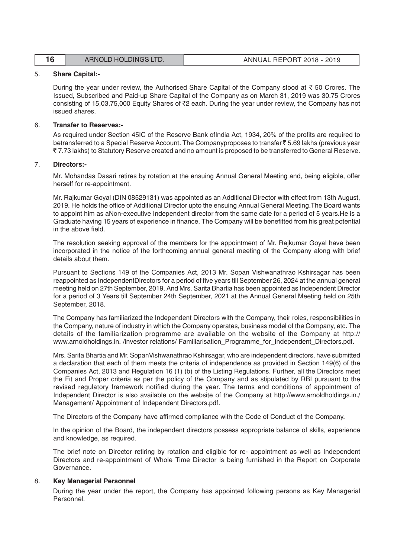| ARNOLD HOLDINGS LTD. | <b>ANNUAL REPORT 2018 - 2019</b> |
|----------------------|----------------------------------|
|                      |                                  |

#### 5. Share Capital:-

During the year under review, the Authorised Share Capital of the Company stood at  $\bar{\tau}$  50 Crores. The Issued, Subscribed and Paid-up Share Capital of the Company as on March 31, 2019 was 30.75 Crores consisting of 15,03,75,000 Equity Shares of  $\overline{z}2$  each. During the year under review, the Company has not issued shares.

#### 6. Transfer to Reserves:-

As required under Section 45IC of the Reserve Bank ofIndia Act, 1934, 20% of the profits are required to betransferred to a Special Reserve Account. The Companyproposes to transfer ₹5.69 lakhs (previous year ` 7.73 lakhs) to Statutory Reserve created and no amount is proposed to be transferred to General Reserve.

#### 7. Directors:-

Mr. Mohandas Dasari retires by rotation at the ensuing Annual General Meeting and, being eligible, offer herself for re-appointment.

Mr. Rajkumar Goyal (DIN 08529131) was appointed as an Additional Director with effect from 13th August, 2019. He holds the office of Additional Director upto the ensuing Annual General Meeting.The Board wants to appoint him as aNon-executive Independent director from the same date for a period of 5 years.He is a Graduate having 15 years of experience in finance. The Company will be benefitted from his great potential in the above field.

The resolution seeking approval of the members for the appointment of Mr. Rajkumar Goyal have been incorporated in the notice of the forthcoming annual general meeting of the Company along with brief details about them.

Pursuant to Sections 149 of the Companies Act, 2013 Mr. Sopan Vishwanathrao Kshirsagar has been reappointed as IndependentDirectors for a period of five years till September 26, 2024 at the annual general meeting held on 27th September, 2019. And Mrs. Sarita Bhartia has been appointed as Independent Director for a period of 3 Years till September 24th September, 2021 at the Annual General Meeting held on 25th September, 2018.

The Company has familiarized the Independent Directors with the Company, their roles, responsibilities in the Company, nature of industry in which the Company operates, business model of the Company, etc. The details of the familiarization programme are available on the website of the Company at http:// www.arnoldholdings.in. /investor relations/ Familiarisation\_Programme\_for\_Independent\_Directors.pdf.

Mrs. Sarita Bhartia and Mr. SopanVishwanathrao Kshirsagar, who are independent directors, have submitted a declaration that each of them meets the criteria of independence as provided in Section 149(6) of the Companies Act, 2013 and Regulation 16 (1) (b) of the Listing Regulations. Further, all the Directors meet the Fit and Proper criteria as per the policy of the Company and as stipulated by RBI pursuant to the revised regulatory framework notified during the year. The terms and conditions of appointment of Independent Director is also available on the website of the Company at http://www.arnoldholdings.in./ Management/ Appointment of Independent Directors.pdf.

The Directors of the Company have affirmed compliance with the Code of Conduct of the Company.

In the opinion of the Board, the independent directors possess appropriate balance of skills, experience and knowledge, as required.

The brief note on Director retiring by rotation and eligible for re- appointment as well as Independent Directors and re-appointment of Whole Time Director is being furnished in the Report on Corporate Governance.

#### 8. Key Managerial Personnel

During the year under the report, the Company has appointed following persons as Key Managerial Personnel.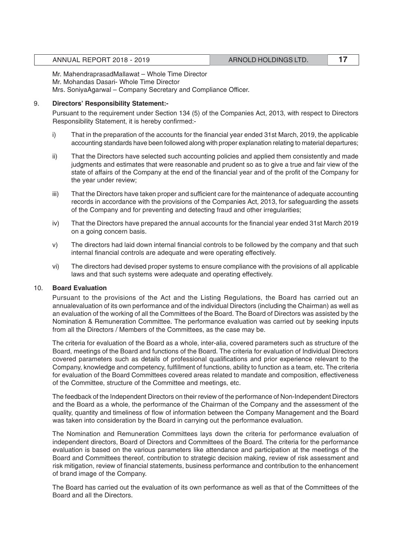| <b>ANNUAL REPORT 2018 - 2019</b> | ARNOLD HOLDINGS LTD. |  |
|----------------------------------|----------------------|--|
|----------------------------------|----------------------|--|

Mr. MahendraprasadMallawat – Whole Time Director Mr. Mohandas Dasari- Whole Time Director Mrs. SoniyaAgarwal – Company Secretary and Compliance Officer.

#### 9. Directors' Responsibility Statement:-

Pursuant to the requirement under Section 134 (5) of the Companies Act, 2013, with respect to Directors Responsibility Statement, it is hereby confirmed:-

- i) That in the preparation of the accounts for the financial year ended 31st March, 2019, the applicable accounting standards have been followed along with proper explanation relating to material departures;
- ii) That the Directors have selected such accounting policies and applied them consistently and made judgments and estimates that were reasonable and prudent so as to give a true and fair view of the state of affairs of the Company at the end of the financial year and of the profit of the Company for the year under review;
- iii) That the Directors have taken proper and sufficient care for the maintenance of adequate accounting records in accordance with the provisions of the Companies Act, 2013, for safeguarding the assets of the Company and for preventing and detecting fraud and other irregularities;
- iv) That the Directors have prepared the annual accounts for the financial year ended 31st March 2019 on a going concern basis.
- v) The directors had laid down internal financial controls to be followed by the company and that such internal financial controls are adequate and were operating effectively.
- vi) The directors had devised proper systems to ensure compliance with the provisions of all applicable laws and that such systems were adequate and operating effectively.

#### 10. Board Evaluation

Pursuant to the provisions of the Act and the Listing Regulations, the Board has carried out an annualevaluation of its own performance and of the individual Directors (including the Chairman) as well as an evaluation of the working of all the Committees of the Board. The Board of Directors was assisted by the Nomination & Remuneration Committee. The performance evaluation was carried out by seeking inputs from all the Directors / Members of the Committees, as the case may be.

The criteria for evaluation of the Board as a whole, inter-alia, covered parameters such as structure of the Board, meetings of the Board and functions of the Board. The criteria for evaluation of Individual Directors covered parameters such as details of professional qualifications and prior experience relevant to the Company, knowledge and competency, fulfillment of functions, ability to function as a team, etc. The criteria for evaluation of the Board Committees covered areas related to mandate and composition, effectiveness of the Committee, structure of the Committee and meetings, etc.

The feedback of the Independent Directors on their review of the performance of Non-Independent Directors and the Board as a whole, the performance of the Chairman of the Company and the assessment of the quality, quantity and timeliness of flow of information between the Company Management and the Board was taken into consideration by the Board in carrying out the performance evaluation.

The Nomination and Remuneration Committees lays down the criteria for performance evaluation of independent directors, Board of Directors and Committees of the Board. The criteria for the performance evaluation is based on the various parameters like attendance and participation at the meetings of the Board and Committees thereof, contribution to strategic decision making, review of risk assessment and risk mitigation, review of financial statements, business performance and contribution to the enhancement of brand image of the Company.

The Board has carried out the evaluation of its own performance as well as that of the Committees of the Board and all the Directors.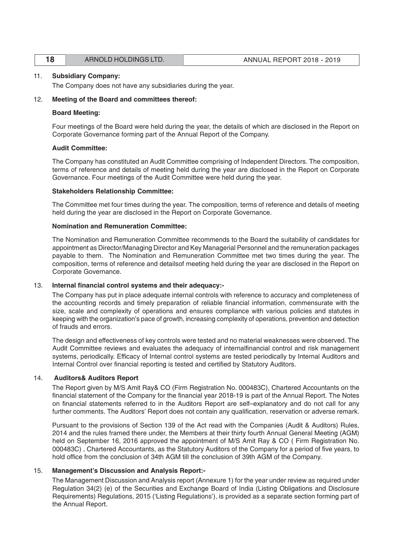|  | ARNOLD HOLDINGS LTD. | <b>ANNUAL REPORT 2018 - 2019</b> |
|--|----------------------|----------------------------------|
|--|----------------------|----------------------------------|

#### 11. Subsidiary Company:

The Company does not have any subsidiaries during the year.

#### 12. Meeting of the Board and committees thereof:

#### Board Meeting:

Four meetings of the Board were held during the year, the details of which are disclosed in the Report on Corporate Governance forming part of the Annual Report of the Company.

#### Audit Committee:

The Company has constituted an Audit Committee comprising of Independent Directors. The composition, terms of reference and details of meeting held during the year are disclosed in the Report on Corporate Governance. Four meetings of the Audit Committee were held during the year.

#### Stakeholders Relationship Committee:

The Committee met four times during the year. The composition, terms of reference and details of meeting held during the year are disclosed in the Report on Corporate Governance.

#### Nomination and Remuneration Committee:

The Nomination and Remuneration Committee recommends to the Board the suitability of candidates for appointment as Director/Managing Director and Key Managerial Personnel and the remuneration packages payable to them. The Nomination and Remuneration Committee met two times during the year. The composition, terms of reference and detailsof meeting held during the year are disclosed in the Report on Corporate Governance.

### 13. Internal financial control systems and their adequacy:-

The Company has put in place adequate internal controls with reference to accuracy and completeness of the accounting records and timely preparation of reliable financial information, commensurate with the size, scale and complexity of operations and ensures compliance with various policies and statutes in keeping with the organization's pace of growth, increasing complexity of operations, prevention and detection of frauds and errors.

The design and effectiveness of key controls were tested and no material weaknesses were observed. The Audit Committee reviews and evaluates the adequacy of internalfinancial control and risk management systems, periodically. Efficacy of Internal control systems are tested periodically by Internal Auditors and Internal Control over financial reporting is tested and certified by Statutory Auditors.

### 14. Auditors& Auditors Report

The Report given by M/S Amit Ray& CO (Firm Registration No. 000483C), Chartered Accountants on the financial statement of the Company for the financial year 2018-19 is part of the Annual Report. The Notes on financial statements referred to in the Auditors Report are self–explanatory and do not call for any further comments. The Auditors' Report does not contain any qualification, reservation or adverse remark.

Pursuant to the provisions of Section 139 of the Act read with the Companies (Audit & Auditors) Rules, 2014 and the rules framed there under, the Members at their thirty fourth Annual General Meeting (AGM) held on September 16, 2016 approved the appointment of M/S Amit Ray & CO (Firm Registration No. 000483C) , Chartered Accountants, as the Statutory Auditors of the Company for a period of five years, to hold office from the conclusion of 34th AGM till the conclusion of 39th AGM of the Company.

### 15. Management's Discussion and Analysis Report:-

The Management Discussion and Analysis report (Annexure 1) for the year under review as required under Regulation 34(2) (e) of the Securities and Exchange Board of India (Listing Obligations and Disclosure Requirements) Regulations, 2015 ('Listing Regulations'), is provided as a separate section forming part of the Annual Report.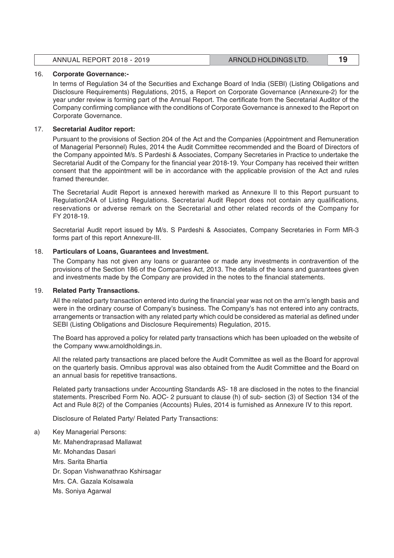| <b>ANNUAL REPORT 2018 - 2019</b> | ARNOLD HOLDINGS LTD. |  |
|----------------------------------|----------------------|--|
|----------------------------------|----------------------|--|

#### 16. Corporate Governance:-

In terms of Regulation 34 of the Securities and Exchange Board of India (SEBI) (Listing Obligations and Disclosure Requirements) Regulations, 2015, a Report on Corporate Governance (Annexure-2) for the year under review is forming part of the Annual Report. The certificate from the Secretarial Auditor of the Company confirming compliance with the conditions of Corporate Governance is annexed to the Report on Corporate Governance.

#### 17. Secretarial Auditor report:

Pursuant to the provisions of Section 204 of the Act and the Companies (Appointment and Remuneration of Managerial Personnel) Rules, 2014 the Audit Committee recommended and the Board of Directors of the Company appointed M/s. S Pardeshi & Associates, Company Secretaries in Practice to undertake the Secretarial Audit of the Company for the financial year 2018-19. Your Company has received their written consent that the appointment will be in accordance with the applicable provision of the Act and rules framed thereunder.

The Secretarial Audit Report is annexed herewith marked as Annexure II to this Report pursuant to Regulation24A of Listing Regulations. Secretarial Audit Report does not contain any qualifications, reservations or adverse remark on the Secretarial and other related records of the Company for FY 2018-19.

Secretarial Audit report issued by M/s. S Pardeshi & Associates, Company Secretaries in Form MR-3 forms part of this report Annexure-III.

#### 18. Particulars of Loans, Guarantees and Investment.

The Company has not given any loans or guarantee or made any investments in contravention of the provisions of the Section 186 of the Companies Act, 2013. The details of the loans and guarantees given and investments made by the Company are provided in the notes to the financial statements.

#### 19. Related Party Transactions.

All the related party transaction entered into during the financial year was not on the arm's length basis and were in the ordinary course of Company's business. The Company's has not entered into any contracts, arrangements or transaction with any related party which could be considered as material as defined under SEBI (Listing Obligations and Disclosure Requirements) Regulation, 2015.

The Board has approved a policy for related party transactions which has been uploaded on the website of the Company www.arnoldholdings.in.

All the related party transactions are placed before the Audit Committee as well as the Board for approval on the quarterly basis. Omnibus approval was also obtained from the Audit Committee and the Board on an annual basis for repetitive transactions.

Related party transactions under Accounting Standards AS- 18 are disclosed in the notes to the financial statements. Prescribed Form No. AOC- 2 pursuant to clause (h) of sub- section (3) of Section 134 of the Act and Rule 8(2) of the Companies (Accounts) Rules, 2014 is furnished as Annexure IV to this report.

Disclosure of Related Party/ Related Party Transactions:

### a) Key Managerial Persons:

Mr. Mahendraprasad Mallawat Mr. Mohandas Dasari Mrs. Sarita Bhartia Dr. Sopan Vishwanathrao Kshirsagar Mrs. CA. Gazala Kolsawala Ms. Soniya Agarwal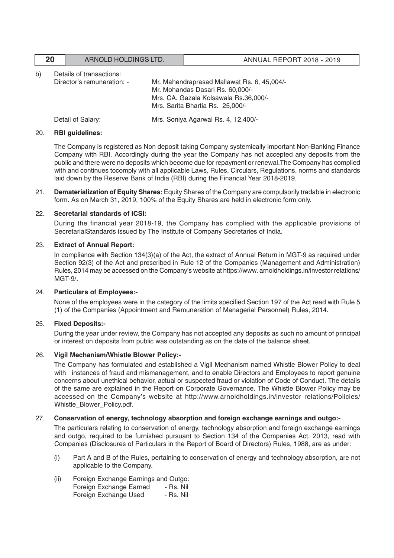| 20 | ARNOLD HOLDINGS LTD.                                   | <b>ANNUAL REPORT 2018 - 2019</b>                                                                                                                             |  |
|----|--------------------------------------------------------|--------------------------------------------------------------------------------------------------------------------------------------------------------------|--|
| b) | Details of transactions:<br>Director's remuneration: - | Mr. Mahendraprasad Mallawat Rs. 6, 45,004/-<br>Mr. Mohandas Dasari Rs. 60,000/-<br>Mrs. CA. Gazala Kolsawala Rs.36,000/-<br>Mrs. Sarita Bhartia Rs. 25,000/- |  |
|    | Detail of Salary:                                      | Mrs. Soniya Agarwal Rs. 4, 12,400/-                                                                                                                          |  |

#### 20. RBI guidelines:

The Company is registered as Non deposit taking Company systemically important Non-Banking Finance Company with RBI. Accordingly during the year the Company has not accepted any deposits from the public and there were no deposits which become due for repayment or renewal.The Company has complied with and continues tocomply with all applicable Laws, Rules, Circulars, Regulations, norms and standards laid down by the Reserve Bank of India (RBI) during the Financial Year 2018-2019.

21. Dematerialization of Equity Shares: Equity Shares of the Company are compulsorily tradable in electronic form. As on March 31, 2019, 100% of the Equity Shares are held in electronic form only.

#### 22. Secretarial standards of ICSI:

During the financial year 2018-19, the Company has complied with the applicable provisions of SecretarialStandards issued by The Institute of Company Secretaries of India.

#### 23. Extract of Annual Report:

In compliance with Section 134(3)(a) of the Act, the extract of Annual Return in MGT-9 as required under Section 92(3) of the Act and prescribed in Rule 12 of the Companies (Management and Administration) Rules, 2014 may be accessed on the Company's website at https://www. arnoldholdings.in/investor relations/ MGT-9/.

#### 24. Particulars of Employees:-

None of the employees were in the category of the limits specified Section 197 of the Act read with Rule 5 (1) of the Companies (Appointment and Remuneration of Managerial Personnel) Rules, 2014.

#### 25. Fixed Deposits:-

During the year under review, the Company has not accepted any deposits as such no amount of principal or interest on deposits from public was outstanding as on the date of the balance sheet.

#### 26. Vigil Mechanism/Whistle Blower Policy:-

The Company has formulated and established a Vigil Mechanism named Whistle Blower Policy to deal with instances of fraud and mismanagement, and to enable Directors and Employees to report genuine concerns about unethical behavior, actual or suspected fraud or violation of Code of Conduct. The details of the same are explained in the Report on Corporate Governance. The Whistle Blower Policy may be accessed on the Company's website at http://www.arnoldholdings.in/investor relations/Policies/ Whistle\_Blower\_Policy.pdf.

#### 27. Conservation of energy, technology absorption and foreign exchange earnings and outgo:-

The particulars relating to conservation of energy, technology absorption and foreign exchange earnings and outgo, required to be furnished pursuant to Section 134 of the Companies Act, 2013, read with Companies (Disclosures of Particulars in the Report of Board of Directors) Rules, 1988, are as under:

- (i) Part A and B of the Rules, pertaining to conservation of energy and technology absorption, are not applicable to the Company.
- (ii) Foreign Exchange Earnings and Outgo: Foreign Exchange Earned - Rs. Nil Foreign Exchange Used - Rs. Nil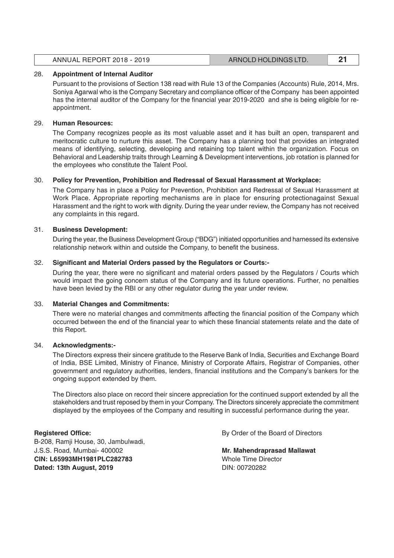| <b>ANNUAL REPORT 2018 - 2019</b> | ARNOLD HOLDINGS LTD. |  |
|----------------------------------|----------------------|--|
|----------------------------------|----------------------|--|

#### 28. Appointment of Internal Auditor

Pursuant to the provisions of Section 138 read with Rule 13 of the Companies (Accounts) Rule, 2014, Mrs. Soniya Agarwal who is the Company Secretary and compliance officer of the Company has been appointed has the internal auditor of the Company for the financial year 2019-2020 and she is being eligible for reappointment.

#### 29. Human Resources:

The Company recognizes people as its most valuable asset and it has built an open, transparent and meritocratic culture to nurture this asset. The Company has a planning tool that provides an integrated means of identifying, selecting, developing and retaining top talent within the organization. Focus on Behavioral and Leadership traits through Learning & Development interventions, job rotation is planned for the employees who constitute the Talent Pool.

#### 30. Policy for Prevention, Prohibition and Redressal of Sexual Harassment at Workplace:

The Company has in place a Policy for Prevention, Prohibition and Redressal of Sexual Harassment at Work Place. Appropriate reporting mechanisms are in place for ensuring protectionagainst Sexual Harassment and the right to work with dignity. During the year under review, the Company has not received any complaints in this regard.

#### 31. Business Development:

During the year, the Business Development Group ("BDG") initiated opportunities and harnessed its extensive relationship network within and outside the Company, to benefit the business.

#### 32. Significant and Material Orders passed by the Regulators or Courts:-

During the year, there were no significant and material orders passed by the Regulators / Courts which would impact the going concern status of the Company and its future operations. Further, no penalties have been levied by the RBI or any other regulator during the year under review.

#### 33. Material Changes and Commitments:

There were no material changes and commitments affecting the financial position of the Company which occurred between the end of the financial year to which these financial statements relate and the date of this Report.

#### 34. Acknowledgments:-

The Directors express their sincere gratitude to the Reserve Bank of India, Securities and Exchange Board of India, BSE Limited, Ministry of Finance, Ministry of Corporate Affairs, Registrar of Companies, other government and regulatory authorities, lenders, financial institutions and the Company's bankers for the ongoing support extended by them.

The Directors also place on record their sincere appreciation for the continued support extended by all the stakeholders and trust reposed by them in your Company. The Directors sincerely appreciate the commitment displayed by the employees of the Company and resulting in successful performance during the year.

B-208, Ramji House, 30, Jambulwadi, J.S.S. Road, Mumbai- 400002 Mr. Mahendraprasad Mallawat CIN: L65993MH1981PLC282783 Whole Time Director Dated: 13th August, 2019 **Dine 2018** DIN: 00720282

Registered Office: By Order of the Board of Directors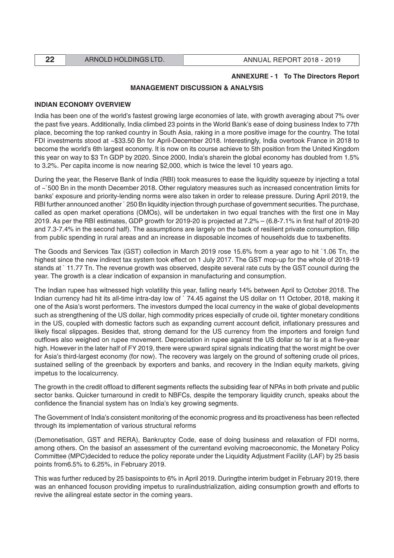| הה<br>ARNOLD HOLDINGS LTD.<br><b>ANNUAL REPORT 2018 - 2019</b> |
|----------------------------------------------------------------|
|----------------------------------------------------------------|

### ANNEXURE - 1 To The Directors Report

#### MANAGEMENT DISCUSSION & ANALYSIS

#### INDIAN ECONOMY OVERVIEW

India has been one of the world's fastest growing large economies of late, with growth averaging about 7% over the past five years. Additionally, India climbed 23 points in the World Bank's ease of doing business Index to 77th place, becoming the top ranked country in South Asia, raking in a more positive image for the country. The total FDI investments stood at ~\$33.50 Bn for April-December 2018. Interestingly, India overtook France in 2018 to become the world's 6th largest economy. It is now on its course achieve to 5th position from the United Kingdom this year on way to \$3 Tn GDP by 2020. Since 2000, India's sharein the global economy has doubled from 1.5% to 3.2%. Per capita income is now nearing \$2,000, which is twice the level 10 years ago.

During the year, the Reserve Bank of India (RBI) took measures to ease the liquidity squeeze by injecting a total of ~`500 Bn in the month December 2018. Other regulatory measures such as increased concentration limits for banks' exposure and priority-lending norms were also taken in order to release pressure. During April 2019, the RBI further announced another ` 250 Bn liquidity injection through purchase of government securities. The purchase, called as open market operations (OMOs), will be undertaken in two equal tranches with the first one in May 2019. As per the RBI estimates, GDP growth for 2019-20 is projected at 7.2% – (6.8-7.1% in first half of 2019-20 and 7.3-7.4% in the second half). The assumptions are largely on the back of resilient private consumption, fillip from public spending in rural areas and an increase in disposable incomes of households due to taxbenefits.

The Goods and Services Tax (GST) collection in March 2019 rose 15.6% from a year ago to hit `1.06 Tn, the highest since the new indirect tax system took effect on 1 July 2017. The GST mop-up for the whole of 2018-19 stands at ` 11.77 Tn. The revenue growth was observed, despite several rate cuts by the GST council during the year. The growth is a clear indication of expansion in manufacturing and consumption.

The Indian rupee has witnessed high volatility this year, falling nearly 14% between April to October 2018. The Indian currency had hit its all-time intra-day low of ` 74.45 against the US dollar on 11 October, 2018, making it one of the Asia's worst performers. The investors dumped the local currency in the wake of global developments such as strengthening of the US dollar, high commodity prices especially of crude oil, tighter monetary conditions in the US, coupled with domestic factors such as expanding current account deficit, inflationary pressures and likely fiscal slippages. Besides that, strong demand for the US currency from the importers and foreign fund outflows also weighed on rupee movement. Depreciation in rupee against the US dollar so far is at a five-year high. However in the later half of FY 2019, there were upward spiral signals indicating that the worst might be over for Asia's third-largest economy (for now). The recovery was largely on the ground of softening crude oil prices, sustained selling of the greenback by exporters and banks, and recovery in the Indian equity markets, giving impetus to the localcurrency.

The growth in the credit offload to different segments reflects the subsiding fear of NPAs in both private and public sector banks. Quicker turnaround in credit to NBFCs, despite the temporary liquidity crunch, speaks about the confidence the financial system has on India's key growing segments.

The Government of India's consistent monitoring of the economic progress and its proactiveness has been reflected through its implementation of various structural reforms

(Demonetisation, GST and RERA), Bankruptcy Code, ease of doing business and relaxation of FDI norms, among others. On the basisof an assessment of the currentand evolving macroeconomic, the Monetary Policy Committee (MPC)decided to reduce the policy reporate under the Liquidity Adjustment Facility (LAF) by 25 basis points from6.5% to 6.25%, in February 2019.

This was further reduced by 25 basispoints to 6% in April 2019. Duringthe interim budget in February 2019, there was an enhanced focuson providing impetus to ruralindustrialization, aiding consumption growth and efforts to revive the ailingreal estate sector in the coming years.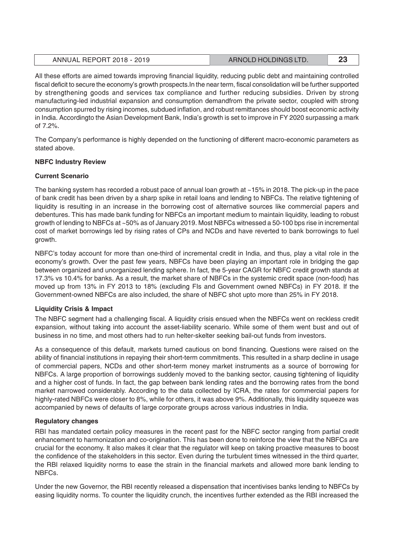| <b>ANNUAL REPORT 2018 - 2019</b> | ARNOLD HOLDINGS LTD. | מה<br>دے |
|----------------------------------|----------------------|----------|
|----------------------------------|----------------------|----------|

All these efforts are aimed towards improving financial liquidity, reducing public debt and maintaining controlled fiscal deficit to secure the economy's growth prospects.In the near term, fiscal consolidation will be further supported by strengthening goods and services tax compliance and further reducing subsidies. Driven by strong manufacturing-led industrial expansion and consumption demandfrom the private sector, coupled with strong consumption spurred by rising incomes, subdued inflation, and robust remittances should boost economic activity in India. Accordingto the Asian Development Bank, India's growth is set to improve in FY 2020 surpassing a mark of 7.2%.

The Company's performance is highly depended on the functioning of different macro-economic parameters as stated above.

## NBFC Industry Review

## Current Scenario

The banking system has recorded a robust pace of annual loan growth at ~15% in 2018. The pick-up in the pace of bank credit has been driven by a sharp spike in retail loans and lending to NBFCs. The relative tightening of liquidity is resulting in an increase in the borrowing cost of alternative sources like commercial papers and debentures. This has made bank funding for NBFCs an important medium to maintain liquidity, leading to robust growth of lending to NBFCs at ~50% as of January 2019. Most NBFCs witnessed a 50-100 bps rise in incremental cost of market borrowings led by rising rates of CPs and NCDs and have reverted to bank borrowings to fuel growth.

NBFC's today account for more than one-third of incremental credit in India, and thus, play a vital role in the economy's growth. Over the past few years, NBFCs have been playing an important role in bridging the gap between organized and unorganized lending sphere. In fact, the 5-year CAGR for NBFC credit growth stands at 17.3% vs 10.4% for banks. As a result, the market share of NBFCs in the systemic credit space (non-food) has moved up from 13% in FY 2013 to 18% (excluding FIs and Government owned NBFCs) in FY 2018. If the Government-owned NBFCs are also included, the share of NBFC shot upto more than 25% in FY 2018.

### Liquidity Crisis & Impact

The NBFC segment had a challenging fiscal. A liquidity crisis ensued when the NBFCs went on reckless credit expansion, without taking into account the asset-liability scenario. While some of them went bust and out of business in no time, and most others had to run helter-skelter seeking bail-out funds from investors.

As a consequence of this default, markets turned cautious on bond financing. Questions were raised on the ability of financial institutions in repaying their short-term commitments. This resulted in a sharp decline in usage of commercial papers, NCDs and other short-term money market instruments as a source of borrowing for NBFCs. A large proportion of borrowings suddenly moved to the banking sector, causing tightening of liquidity and a higher cost of funds. In fact, the gap between bank lending rates and the borrowing rates from the bond market narrowed considerably. According to the data collected by ICRA, the rates for commercial papers for highly-rated NBFCs were closer to 8%, while for others, it was above 9%. Additionally, this liquidity squeeze was accompanied by news of defaults of large corporate groups across various industries in India.

### Regulatory changes

RBI has mandated certain policy measures in the recent past for the NBFC sector ranging from partial credit enhancement to harmonization and co-origination. This has been done to reinforce the view that the NBFCs are crucial for the economy. It also makes it clear that the regulator will keep on taking proactive measures to boost the confidence of the stakeholders in this sector. Even during the turbulent times witnessed in the third quarter, the RBI relaxed liquidity norms to ease the strain in the financial markets and allowed more bank lending to NBFCs.

Under the new Governor, the RBI recently released a dispensation that incentivises banks lending to NBFCs by easing liquidity norms. To counter the liquidity crunch, the incentives further extended as the RBI increased the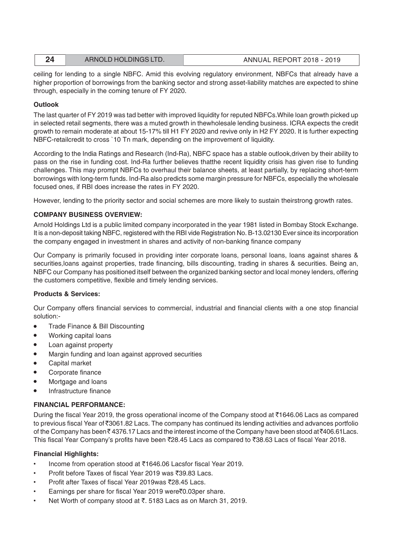| 24<br>ARNOLD HOLDINGS LTD.<br><b>ANNUAL REPORT 2018 - 2019</b> |  |
|----------------------------------------------------------------|--|
|----------------------------------------------------------------|--|

ceiling for lending to a single NBFC. Amid this evolving regulatory environment, NBFCs that already have a higher proportion of borrowings from the banking sector and strong asset-liability matches are expected to shine through, especially in the coming tenure of FY 2020.

## **Outlook**

The last quarter of FY 2019 was tad better with improved liquidity for reputed NBFCs.While loan growth picked up in selected retail segments, there was a muted growth in thewholesale lending business. ICRA expects the credit growth to remain moderate at about 15-17% till H1 FY 2020 and revive only in H2 FY 2020. It is further expecting NBFC-retailcredit to cross `10 Tn mark, depending on the improvement of liquidity.

According to the India Ratings and Research (Ind-Ra), NBFC space has a stable outlook,driven by their ability to pass on the rise in funding cost. Ind-Ra further believes thatthe recent liquidity crisis has given rise to funding challenges. This may prompt NBFCs to overhaul their balance sheets, at least partially, by replacing short-term borrowings with long-term funds. Ind-Ra also predicts some margin pressure for NBFCs, especially the wholesale focused ones, if RBI does increase the rates in FY 2020.

However, lending to the priority sector and social schemes are more likely to sustain theirstrong growth rates.

## COMPANY BUSINESS OVERVIEW:

Arnold Holdings Ltd is a public limited company incorporated in the year 1981 listed in Bombay Stock Exchange. It is a non-deposit taking NBFC, registered with the RBI vide Registration No. B-13.02130 Ever since its incorporation the company engaged in investment in shares and activity of non-banking finance company

Our Company is primarily focused in providing inter corporate loans, personal loans, loans against shares & securities,loans against properties, trade financing, bills discounting, trading in shares & securities. Being an, NBFC our Company has positioned itself between the organized banking sector and local money lenders, offering the customers competitive, flexible and timely lending services.

### Products & Services:

Our Company offers financial services to commercial, industrial and financial clients with a one stop financial solution:-

- Trade Finance & Bill Discounting
- Working capital loans
- Loan against property
- Margin funding and loan against approved securities
- Capital market
- Corporate finance
- Mortgage and loans
- Infrastructure finance

### FINANCIAL PERFORMANCE:

During the fiscal Year 2019, the gross operational income of the Company stood at  $\bar{\tau}$ 1646.06 Lacs as compared to previous fiscal Year of ₹3061.82 Lacs. The company has continued its lending activities and advances portfolio of the Company has been  $\bar{z}$  4376.17 Lacs and the interest income of the Company have been stood at  $\bar{z}$ 406.61 Lacs. This fiscal Year Company's profits have been  $\overline{2}8.45$  Lacs as compared to  $\overline{2}38.63$  Lacs of fiscal Year 2018.

### Financial Highlights:

- Income from operation stood at ₹1646.06 Lacsfor fiscal Year 2019.
- Profit before Taxes of fiscal Year 2019 was  $\overline{3}39.83$  Lacs.
- Profit after Taxes of fiscal Year 2019was ₹28.45 Lacs.
- Earnings per share for fiscal Year 2019 were₹0.03per share.
- Net Worth of company stood at ₹. 5183 Lacs as on March 31, 2019.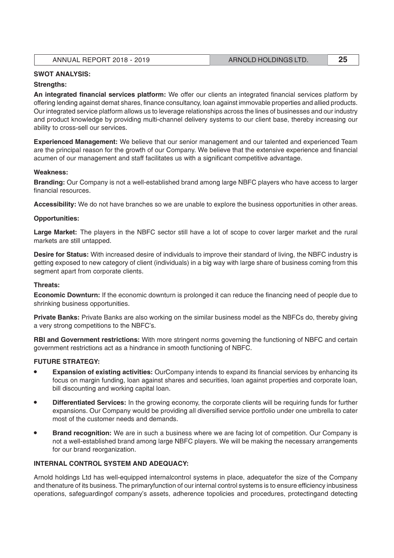| <b>ANNUAL REPORT 2018 - 2019</b> | ARNOLD HOLDINGS LTD. | つよ<br>ΖJ |
|----------------------------------|----------------------|----------|
|----------------------------------|----------------------|----------|

### SWOT ANALYSIS:

#### Strenaths:

An integrated financial services platform: We offer our clients an integrated financial services platform by offering lending against demat shares, finance consultancy, loan against immovable properties and allied products. Our integrated service platform allows us to leverage relationships across the lines of businesses and our industry and product knowledge by providing multi-channel delivery systems to our client base, thereby increasing our ability to cross-sell our services.

Experienced Management: We believe that our senior management and our talented and experienced Team are the principal reason for the growth of our Company. We believe that the extensive experience and financial acumen of our management and staff facilitates us with a significant competitive advantage.

#### Weakness:

Branding: Our Company is not a well-established brand among large NBFC players who have access to larger financial resources.

Accessibility: We do not have branches so we are unable to explore the business opportunities in other areas.

#### Opportunities:

**Large Market:** The players in the NBFC sector still have a lot of scope to cover larger market and the rural markets are still untapped.

Desire for Status: With increased desire of individuals to improve their standard of living, the NBFC industry is getting exposed to new category of client (individuals) in a big way with large share of business coming from this segment apart from corporate clients.

#### Threats:

Economic Downturn: If the economic downturn is prolonged it can reduce the financing need of people due to shrinking business opportunities.

**Private Banks:** Private Banks are also working on the similar business model as the NBFCs do, thereby giving a very strong competitions to the NBFC's.

RBI and Government restrictions: With more stringent norms governing the functioning of NBFC and certain government restrictions act as a hindrance in smooth functioning of NBFC.

### FUTURE STRATEGY:

- **Expansion of existing activities:** OurCompany intends to expand its financial services by enhancing its focus on margin funding, loan against shares and securities, loan against properties and corporate loan, bill discounting and working capital loan.
- Differentiated Services: In the growing economy, the corporate clients will be requiring funds for further expansions. Our Company would be providing all diversified service portfolio under one umbrella to cater most of the customer needs and demands.
- **Brand recognition:** We are in such a business where we are facing lot of competition. Our Company is not a well-established brand among large NBFC players. We will be making the necessary arrangements for our brand reorganization.

## INTERNAL CONTROL SYSTEM AND ADEQUACY:

Arnold holdings Ltd has well-equipped internalcontrol systems in place, adequatefor the size of the Company and thenature of its business. The primaryfunction of our internal control systems is to ensure efficiency inbusiness operations, safeguardingof company's assets, adherence topolicies and procedures, protectingand detecting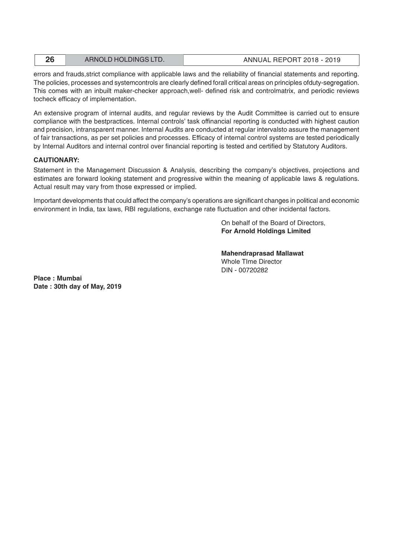errors and frauds,strict compliance with applicable laws and the reliability of financial statements and reporting. The policies, processes and systemcontrols are clearly defined forall critical areas on principles ofduty-segregation. This comes with an inbuilt maker-checker approach,well- defined risk and controlmatrix, and periodic reviews tocheck efficacy of implementation.

An extensive program of internal audits, and regular reviews by the Audit Committee is carried out to ensure compliance with the bestpractices. Internal controls' task offinancial reporting is conducted with highest caution and precision, intransparent manner. Internal Audits are conducted at regular intervalsto assure the management of fair transactions, as per set policies and processes. Efficacy of internal control systems are tested periodically by Internal Auditors and internal control over financial reporting is tested and certified by Statutory Auditors.

## CAUTIONARY:

Statement in the Management Discussion & Analysis, describing the company's objectives, projections and estimates are forward looking statement and progressive within the meaning of applicable laws & regulations. Actual result may vary from those expressed or implied.

Important developments that could affect the company's operations are significant changes in political and economic environment in India, tax laws, RBI regulations, exchange rate fluctuation and other incidental factors.

> On behalf of the Board of Directors, For Arnold Holdings Limited

Mahendraprasad Mallawat Whole TIme Director DIN - 00720282

Place : Mumbai Date : 30th day of May, 2019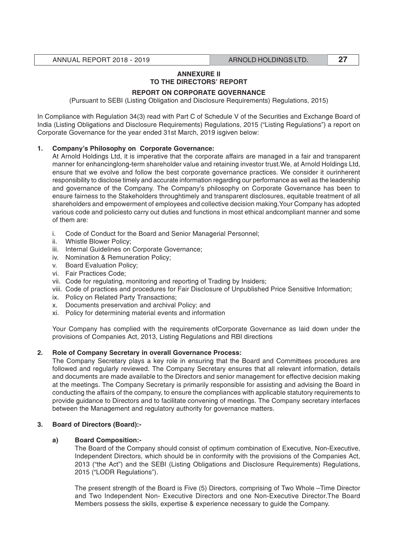|  | ANNUAL REPORT 2018 - 2019 |  |  |
|--|---------------------------|--|--|
|--|---------------------------|--|--|

27

## ANNEXURE II TO THE DIRECTORS' REPORT

## REPORT ON CORPORATE GOVERNANCE

(Pursuant to SEBI (Listing Obligation and Disclosure Requirements) Regulations, 2015)

In Compliance with Regulation 34(3) read with Part C of Schedule V of the Securities and Exchange Board of India (Listing Obligations and Disclosure Requirements) Regulations, 2015 ("Listing Regulations") a report on Corporate Governance for the year ended 31st March, 2019 isgiven below:

#### 1. Company's Philosophy on Corporate Governance:

At Arnold Holdings Ltd, it is imperative that the corporate affairs are managed in a fair and transparent manner for enhancinglong-term shareholder value and retaining investor trust.We, at Arnold Holdings Ltd, ensure that we evolve and follow the best corporate governance practices. We consider it ourinherent responsibility to disclose timely and accurate information regarding our performance as well as the leadership and governance of the Company. The Company's philosophy on Corporate Governance has been to ensure fairness to the Stakeholders throughtimely and transparent disclosures, equitable treatment of all shareholders and empowerment of employees and collective decision making.Your Company has adopted various code and policiesto carry out duties and functions in most ethical andcompliant manner and some of them are:

- i. Code of Conduct for the Board and Senior Managerial Personnel;
- ii. Whistle Blower Policy;
- iii. Internal Guidelines on Corporate Governance;
- iv. Nomination & Remuneration Policy;
- v. Board Evaluation Policy;
- vi. Fair Practices Code;
- vii. Code for regulating, monitoring and reporting of Trading by Insiders;
- viii. Code of practices and procedures for Fair Disclosure of Unpublished Price Sensitive Information;
- ix. Policy on Related Party Transactions;
- x. Documents preservation and archival Policy; and
- xi. Policy for determining material events and information

Your Company has complied with the requirements ofCorporate Governance as laid down under the provisions of Companies Act, 2013, Listing Regulations and RBI directions

#### 2. Role of Company Secretary in overall Governance Process:

The Company Secretary plays a key role in ensuring that the Board and Committees procedures are followed and regularly reviewed. The Company Secretary ensures that all relevant information, details and documents are made available to the Directors and senior management for effective decision making at the meetings. The Company Secretary is primarily responsible for assisting and advising the Board in conducting the affairs of the company, to ensure the compliances with applicable statutory requirements to provide guidance to Directors and to facilitate convening of meetings. The Company secretary interfaces between the Management and regulatory authority for governance matters.

#### 3. Board of Directors (Board):-

#### a) Board Composition:-

The Board of the Company should consist of optimum combination of Executive, Non-Executive, Independent Directors, which should be in conformity with the provisions of the Companies Act, 2013 ("the Act") and the SEBI (Listing Obligations and Disclosure Requirements) Regulations, 2015 ("LODR Regulations").

The present strength of the Board is Five (5) Directors, comprising of Two Whole –Time Director and Two Independent Non- Executive Directors and one Non-Executive Director.The Board Members possess the skills, expertise & experience necessary to guide the Company.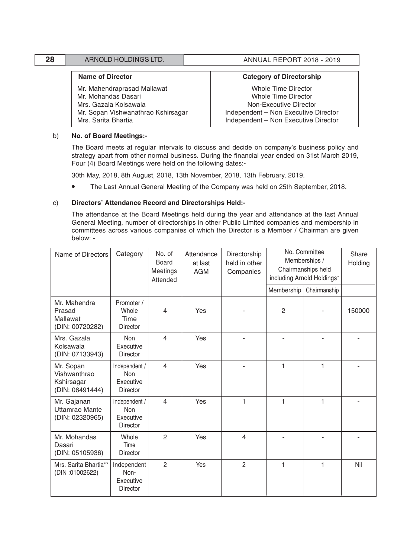ARNOLD HOLDINGS LTD. **ANNUAL REPORT 2018 - 2019** 

## Name of Director **Name of Director** Category of Directorship Mr. Mahendraprasad Mallawat Whole Time Director Mr. Mohandas Dasari New York New York New York Birector Mrs. Gazala Kolsawala<br>Mr. Sopan Vishwanathrao Kshirsagar Non-Executive Director Non-Executive Director Mr. Sopan Vishwanathrao Kshirsagar<br>Mrs. Sarita Bhartia Independent – Non Executive Director

#### b) No. of Board Meetings:-

The Board meets at regular intervals to discuss and decide on company's business policy and strategy apart from other normal business. During the financial year ended on 31st March 2019, Four (4) Board Meetings were held on the following dates:-

30th May, 2018, 8th August, 2018, 13th November, 2018, 13th February, 2019.

The Last Annual General Meeting of the Company was held on 25th September, 2018.

#### c) Directors' Attendance Record and Directorships Held:-

The attendance at the Board Meetings held during the year and attendance at the last Annual General Meeting, number of directorships in other Public Limited companies and membership in committees across various companies of which the Director is a Member / Chairman are given below: -

| Name of Directors                                          | Category                                                    | No. of<br><b>Board</b><br>Meetings<br>Attended | Attendance<br>at last<br><b>AGM</b> | Directorship<br>held in other<br>Companies |                | No. Committee<br>Memberships /<br>Chairmanships held<br>including Arnold Holdings* | Share<br>Holding |
|------------------------------------------------------------|-------------------------------------------------------------|------------------------------------------------|-------------------------------------|--------------------------------------------|----------------|------------------------------------------------------------------------------------|------------------|
|                                                            |                                                             |                                                |                                     |                                            | Membership     | Chairmanship                                                                       |                  |
| Mr. Mahendra<br>Prasad<br>Mallawat<br>(DIN: 00720282)      | Promoter /<br>Whole<br>Time<br><b>Director</b>              | $\overline{4}$                                 | Yes                                 |                                            | $\overline{2}$ |                                                                                    | 150000           |
| Mrs. Gazala<br>Kolsawala<br>(DIN: 07133943)                | <b>Non</b><br>Executive<br><b>Director</b>                  | $\overline{4}$                                 | Yes                                 |                                            |                |                                                                                    |                  |
| Mr. Sopan<br>Vishwanthrao<br>Kshirsagar<br>(DIN: 06491444) | Independent /<br>Non<br>Executive<br><b>Director</b>        | $\overline{4}$                                 | Yes                                 |                                            | 1              | 1                                                                                  |                  |
| Mr. Gajanan<br><b>Uttamrao Mante</b><br>(DIN: 02320965)    | Independent /<br><b>Non</b><br>Executive<br><b>Director</b> | $\overline{4}$                                 | Yes                                 | 1                                          | 1              | 1                                                                                  |                  |
| Mr. Mohandas<br>Dasari<br>(DIN: 05105936)                  | Whole<br>Time<br><b>Director</b>                            | $\overline{2}$                                 | Yes                                 | $\overline{4}$                             |                |                                                                                    |                  |
| Mrs. Sarita Bhartia**<br>(DIN:01002622)                    | Independent<br>Non-<br>Executive<br><b>Director</b>         | $\overline{2}$                                 | Yes                                 | $\overline{2}$                             | 1              | 1                                                                                  | Nil              |

28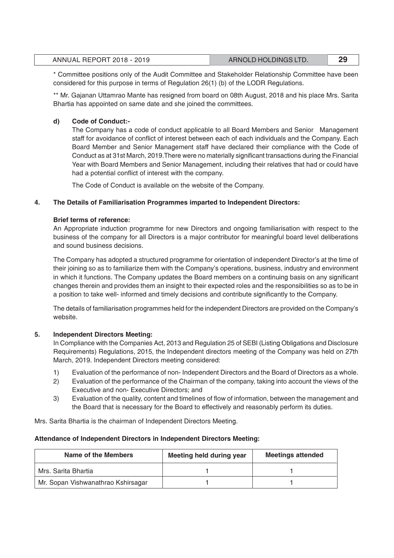| <b>ANNUAL REPORT 2018 - 2019</b> | ARNOLD HOLDINGS LTD. | 29 |
|----------------------------------|----------------------|----|
|----------------------------------|----------------------|----|

\* Committee positions only of the Audit Committee and Stakeholder Relationship Committee have been considered for this purpose in terms of Regulation 26(1) (b) of the LODR Regulations.

\*\* Mr. Gajanan Uttamrao Mante has resigned from board on 08th August, 2018 and his place Mrs. Sarita Bhartia has appointed on same date and she joined the committees.

### d) Code of Conduct:-

The Company has a code of conduct applicable to all Board Members and Senior Management staff for avoidance of conflict of interest between each of each individuals and the Company. Each Board Member and Senior Management staff have declared their compliance with the Code of Conduct as at 31st March, 2019.There were no materially significant transactions during the Financial Year with Board Members and Senior Management, including their relatives that had or could have had a potential conflict of interest with the company.

The Code of Conduct is available on the website of the Company.

### 4. The Details of Familiarisation Programmes imparted to Independent Directors:

### Brief terms of reference:

An Appropriate induction programme for new Directors and ongoing familiarisation with respect to the business of the company for all Directors is a major contributor for meaningful board level deliberations and sound business decisions.

The Company has adopted a structured programme for orientation of independent Director's at the time of their joining so as to familiarize them with the Company's operations, business, industry and environment in which it functions. The Company updates the Board members on a continuing basis on any significant changes therein and provides them an insight to their expected roles and the responsibilities so as to be in a position to take well- informed and timely decisions and contribute significantly to the Company.

The details of familiarisation programmes held for the independent Directors are provided on the Company's website.

### 5. Independent Directors Meeting:

In Compliance with the Companies Act, 2013 and Regulation 25 of SEBI (Listing Obligations and Disclosure Requirements) Regulations, 2015, the Independent directors meeting of the Company was held on 27th March, 2019. Independent Directors meeting considered:

- 1) Evaluation of the performance of non- Independent Directors and the Board of Directors as a whole.
- 2) Evaluation of the performance of the Chairman of the company, taking into account the views of the Executive and non- Executive Directors; and
- 3) Evaluation of the quality, content and timelines of flow of information, between the management and the Board that is necessary for the Board to effectively and reasonably perform its duties.

Mrs. Sarita Bhartia is the chairman of Independent Directors Meeting.

### Attendance of Independent Directors in Independent Directors Meeting:

| Name of the Members                | Meeting held during year | <b>Meetings attended</b> |
|------------------------------------|--------------------------|--------------------------|
| Mrs. Sarita Bhartia                |                          |                          |
| Mr. Sopan Vishwanathrao Kshirsagar |                          |                          |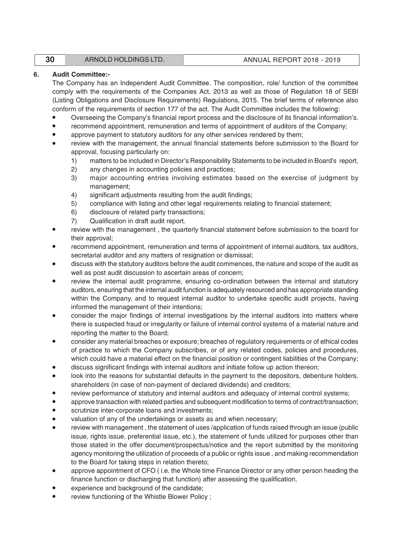#### ARNOLD HOLDINGS LTD. **ANNUAL REPORT 2018 - 2019** 30

### 6. Audit Committee:-

The Company has an Independent Audit Committee. The composition, role/ function of the committee comply with the requirements of the Companies Act, 2013 as well as those of Regulation 18 of SEBI (Listing Obligations and Disclosure Requirements) Regulations, 2015. The brief terms of reference also conform of the requirements of section 177 of the act. The Audit Committee includes the following:

- Overseeing the Company's financial report process and the disclosure of its financial information's.
- recommend appointment, remuneration and terms of appointment of auditors of the Company;
- approve payment to statutory auditors for any other services rendered by them;
- review with the management, the annual financial statements before submission to the Board for approval, focusing particularly on:
	- 1) matters to be included in Director's Responsibility Statements to be included in Board's report,
	- 2) any changes in accounting policies and practices;
	- 3) major accounting entries involving estimates based on the exercise of judgment by management;
	- 4) significant adjustments resulting from the audit findings;
	- 5) compliance with listing and other legal requirements relating to financial statement;
	- 6) disclosure of related party transactions;
	- 7) Qualification in draft audit report.
- review with the management , the quarterly financial statement before submission to the board for their approval;
- recommend appointment, remuneration and terms of appointment of internal auditors, tax auditors, secretarial auditor and any matters of resignation or dismissal;
- discuss with the statutory auditors before the audit commences, the nature and scope of the audit as well as post audit discussion to ascertain areas of concern;
- review the internal audit programme, ensuring co-ordination between the internal and statutory auditors, ensuring that the internal audit function is adequately resourced and has appropriate standing within the Company, and to request internal auditor to undertake specific audit projects, having informed the management of their intentions;
- consider the major findings of internal investigations by the internal auditors into matters where there is suspected fraud or irregularity or failure of internal control systems of a material nature and reporting the matter to the Board;
- consider any material breaches or exposure; breaches of regulatory requirements or of ethical codes of practice to which the Company subscribes, or of any related codes, policies and procedures, which could have a material effect on the financial position or contingent liabilities of the Company;
- discuss significant findings with internal auditors and initiate follow up action thereon;
- look into the reasons for substantial defaults in the payment to the depositors, debenture holders, shareholders (in case of non-payment of declared dividends) and creditors;
- review performance of statutory and internal auditors and adequacy of internal control systems;
- approve transaction with related parties and subsequent modification to terms of contract/transaction;
- scrutinize inter-corporate loans and investments;
- valuation of any of the undertakings or assets as and when necessary;
- review with management , the statement of uses /application of funds raised through an issue (public issue, rights issue, preferential issue, etc.), the statement of funds utilized for purposes other than those stated in the offer document/prospectus/notice and the report submitted by the monitoring agency monitoring the utilization of proceeds of a public or rights issue , and making recommendation to the Board for taking steps in relation thereto;
- approve appointment of CFO ( i.e. the Whole time Finance Director or any other person heading the finance function or discharging that function) after assessing the qualification,
- experience and background of the candidate;
- review functioning of the Whistle Blower Policy ;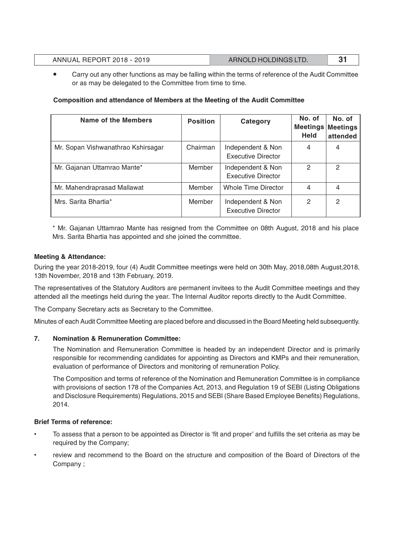| <b>ANNUAL REPORT 2018 - 2019</b> | ARNOLD HOLDINGS LTD. |  |
|----------------------------------|----------------------|--|
|----------------------------------|----------------------|--|

 Carry out any other functions as may be falling within the terms of reference of the Audit Committee or as may be delegated to the Committee from time to time.

## Composition and attendance of Members at the Meeting of the Audit Committee

| Name of the Members                | <b>Position</b> | Category                                       | No. of<br><b>Meetings</b><br><b>Held</b> | No. of<br>Meetings<br>attended |
|------------------------------------|-----------------|------------------------------------------------|------------------------------------------|--------------------------------|
| Mr. Sopan Vishwanathrao Kshirsagar | Chairman        | Independent & Non<br><b>Executive Director</b> | 4                                        | 4                              |
| Mr. Gajanan Uttamrao Mante*        | Member          | Independent & Non<br><b>Executive Director</b> | 2                                        | 2                              |
| Mr. Mahendraprasad Mallawat        | Member          | <b>Whole Time Director</b>                     | 4                                        | 4                              |
| Mrs. Sarita Bhartia*               | Member          | Independent & Non<br><b>Executive Director</b> | 2                                        | 2                              |

\* Mr. Gajanan Uttamrao Mante has resigned from the Committee on 08th August, 2018 and his place Mrs. Sarita Bhartia has appointed and she joined the committee.

## Meeting & Attendance:

During the year 2018-2019, four (4) Audit Committee meetings were held on 30th May, 2018,08th August,2018, 13th November, 2018 and 13th February, 2019.

The representatives of the Statutory Auditors are permanent invitees to the Audit Committee meetings and they attended all the meetings held during the year. The Internal Auditor reports directly to the Audit Committee.

The Company Secretary acts as Secretary to the Committee.

Minutes of each Audit Committee Meeting are placed before and discussed in the Board Meeting held subsequently.

## 7. Nomination & Remuneration Committee:

The Nomination and Remuneration Committee is headed by an independent Director and is primarily responsible for recommending candidates for appointing as Directors and KMPs and their remuneration, evaluation of performance of Directors and monitoring of remuneration Policy.

The Composition and terms of reference of the Nomination and Remuneration Committee is in compliance with provisions of section 178 of the Companies Act, 2013, and Regulation 19 of SEBI (Listing Obligations and Disclosure Requirements) Regulations, 2015 and SEBI (Share Based Employee Benefits) Regulations, 2014.

### Brief Terms of reference:

- To assess that a person to be appointed as Director is 'fit and proper' and fulfills the set criteria as may be required by the Company;
- review and recommend to the Board on the structure and composition of the Board of Directors of the Company ;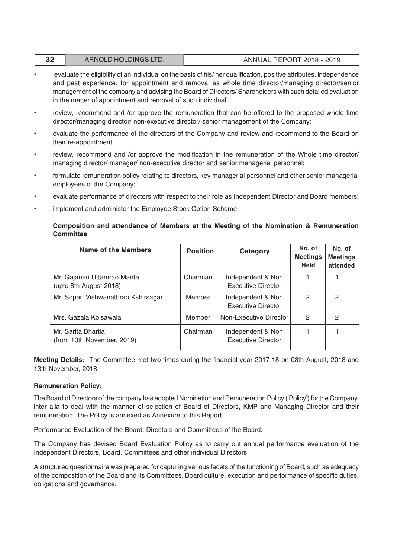| 32 | ARNOLD HOLDINGS LTD. | <b>ANNUAL REPORT 2018 - 2019</b> |
|----|----------------------|----------------------------------|
|----|----------------------|----------------------------------|

- evaluate the eligibility of an individual on the basis of his/ her qualification, positive attributes, independence and past experience, for appointment and removal as whole time director/managing director/senior management of the company and advising the Board of Directors/ Shareholders with such detailed evaluation in the matter of appointment and removal of such individual;
- review, recommend and /or approve the remuneration that can be offered to the proposed whole time director/managing director/ non-executive director/ senior management of the Company;
- evaluate the performance of the directors of the Company and review and recommend to the Board on their re-appointment;
- review, recommend and /or approve the modification in the remuneration of the Whole time director/ managing director/ manager/ non-executive director and senior managerial personnel;
- formulate remuneration policy relating to directors, key managerial personnel and other senior managerial employees of the Company;
- evaluate performance of directors with respect to their role as Independent Director and Board members;
- implement and administer the Employee Stock Option Scheme;

## Composition and attendance of Members at the Meeting of the Nomination & Remuneration **Committee**

| Name of the Members                                  | <b>Position</b> | Category                                       | No. of<br><b>Meetings</b><br><b>Held</b> | No. of<br><b>Meetings</b><br>attended |
|------------------------------------------------------|-----------------|------------------------------------------------|------------------------------------------|---------------------------------------|
| Mr. Gajanan Uttamrao Mante<br>(upto 8th August 2018) | Chairman        | Independent & Non<br><b>Executive Director</b> |                                          |                                       |
| Mr. Sopan Vishwanathrao Kshirsagar                   | Member          | Independent & Non<br><b>Executive Director</b> | $\mathfrak{p}$                           | 2                                     |
| Mrs. Gazala Kolsawala                                | Member          | Non-Executive Director                         | $\mathcal{P}$                            | 2                                     |
| Mr. Sarita Bhartia<br>(from 13th November, 2019)     | Chairman        | Independent & Non<br><b>Executive Director</b> |                                          |                                       |

Meeting Details: The Committee met two times during the financial year 2017-18 on 08th August, 2018 and 13th November, 2018.

### Remuneration Policy:

The Board of Directors of the company has adopted Nomination and Remuneration Policy ('Policy') for the Company, inter alia to deal with the manner of selection of Board of Directors, KMP and Managing Director and their remuneration. The Policy is annexed as Annexure to this Report.

Performance Evaluation of the Board, Directors and Committees of the Board:

The Company has devised Board Evaluation Policy as to carry out annual performance evaluation of the Independent Directors, Board, Committees and other individual Directors.

A structured questionnaire was prepared for capturing various facets of the functioning of Board, such as adequacy of the composition of the Board and its Committees, Board culture, execution and performance of specific duties, obligations and governance.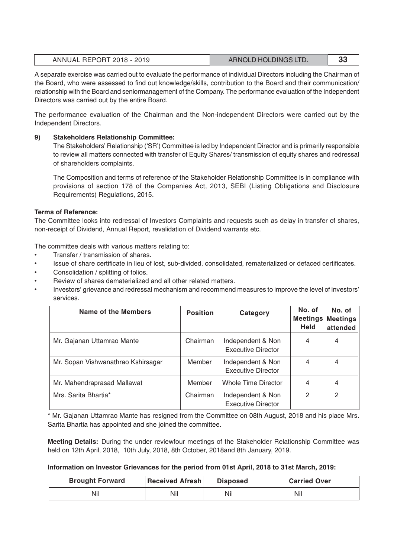| <b>ANNUAL REPORT 2018 - 2019</b> | ARNOLD HOLDINGS LTD. | ດດ<br>აა |
|----------------------------------|----------------------|----------|
|----------------------------------|----------------------|----------|

A separate exercise was carried out to evaluate the performance of individual Directors including the Chairman of the Board, who were assessed to find out knowledge/skills, contribution to the Board and their communication/ relationship with the Board and seniormanagement of the Company. The performance evaluation of the Independent Directors was carried out by the entire Board.

The performance evaluation of the Chairman and the Non-independent Directors were carried out by the Independent Directors.

## 9) Stakeholders Relationship Committee:

The Stakeholders' Relationship ('SR') Committee is led by Independent Director and is primarily responsible to review all matters connected with transfer of Equity Shares/ transmission of equity shares and redressal of shareholders complaints.

The Composition and terms of reference of the Stakeholder Relationship Committee is in compliance with provisions of section 178 of the Companies Act, 2013, SEBI (Listing Obligations and Disclosure Requirements) Regulations, 2015.

### Terms of Reference:

The Committee looks into redressal of Investors Complaints and requests such as delay in transfer of shares, non-receipt of Dividend, Annual Report, revalidation of Dividend warrants etc.

The committee deals with various matters relating to:

- Transfer / transmission of shares.
- Issue of share certificate in lieu of lost, sub-divided, consolidated, rematerialized or defaced certificates.
- Consolidation / splitting of folios.
- Review of shares dematerialized and all other related matters.
- Investors' grievance and redressal mechanism and recommend measures to improve the level of investors' services.

| Name of the Members                | <b>Position</b> | Category                                       | No. of<br><b>Held</b> | No. of<br><b>Meetings Meetings</b><br>attended |
|------------------------------------|-----------------|------------------------------------------------|-----------------------|------------------------------------------------|
| Mr. Gajanan Uttamrao Mante         | Chairman        | Independent & Non<br><b>Executive Director</b> | 4                     | 4                                              |
| Mr. Sopan Vishwanathrao Kshirsagar | Member          | Independent & Non<br><b>Executive Director</b> | 4                     | 4                                              |
| Mr. Mahendraprasad Mallawat        | Member          | <b>Whole Time Director</b>                     | 4                     | 4                                              |
| Mrs. Sarita Bhartia*               | Chairman        | Independent & Non<br><b>Executive Director</b> | $\mathfrak{p}$        | $\mathfrak{p}$                                 |

\* Mr. Gajanan Uttamrao Mante has resigned from the Committee on 08th August, 2018 and his place Mrs. Sarita Bhartia has appointed and she joined the committee.

Meeting Details: During the under reviewfour meetings of the Stakeholder Relationship Committee was held on 12th April, 2018, 10th July, 2018, 8th October, 2018and 8th January, 2019.

### Information on Investor Grievances for the period from 01st April, 2018 to 31st March, 2019:

| <b>Brought Forward</b> | <b>Received Afresh</b><br><b>Disposed</b> |     | <b>Carried Over</b> |  |
|------------------------|-------------------------------------------|-----|---------------------|--|
| Ni.                    | Nil                                       | Nil | Ni.                 |  |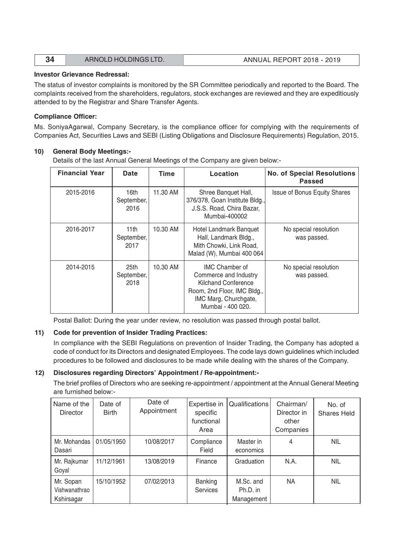| 34 | ARNOLD HOLDINGS LTD. | <b>ANNUAL REPORT 2018 - 2019</b> |
|----|----------------------|----------------------------------|
|----|----------------------|----------------------------------|

## Investor Grievance Redressal:

The status of investor complaints is monitored by the SR Committee periodically and reported to the Board. The complaints received from the shareholders, regulators, stock exchanges are reviewed and they are expeditiously attended to by the Registrar and Share Transfer Agents.

## Compliance Officer:

Ms. SoniyaAgarwal, Company Secretary, is the compliance officer for complying with the requirements of Companies Act, Securities Laws and SEBI (Listing Obligations and Disclosure Requirements) Regulation, 2015.

## 10) General Body Meetings:-

Details of the last Annual General Meetings of the Company are given below:-

| <b>Financial Year</b> | Date                       | Time     | Location                                                                                                                                                  | <b>No. of Special Resolutions</b><br><b>Passed</b> |
|-----------------------|----------------------------|----------|-----------------------------------------------------------------------------------------------------------------------------------------------------------|----------------------------------------------------|
| 2015-2016             | 16th<br>September,<br>2016 | 11.30 AM | Shree Banquet Hall,<br>376/378, Goan Institute Bldg.,<br>J.S.S. Road, Chira Bazar,<br>Mumbai-400002                                                       | <b>Issue of Bonus Equity Shares</b>                |
| 2016-2017             | 11th<br>September,<br>2017 | 10.30 AM | Hotel Landmark Banquet<br>Hall, Landmark Bldg.,<br>Mith Chowki, Link Road,<br>Malad (W), Mumbai 400 064                                                   | No special resolution<br>was passed.               |
| 2014-2015             | 25th<br>September,<br>2018 | 10.30 AM | <b>IMC Chamber of</b><br>Commerce and Industry<br><b>Kilchand Conference</b><br>Room, 2nd Floor, IMC Bldg.,<br>IMC Marg, Churchgate,<br>Mumbai - 400 020. | No special resolution<br>was passed.               |

Postal Ballot: During the year under review, no resolution was passed through postal ballot.

## 11) Code for prevention of Insider Trading Practices:

In compliance with the SEBI Regulations on prevention of Insider Trading, the Company has adopted a code of conduct for its Directors and designated Employees. The code lays down guidelines which included procedures to be followed and disclosures to be made while dealing with the shares of the Company.

## 12) Disclosures regarding Directors' Appointment / Re-appointment:-

The brief profiles of Directors who are seeking re-appointment / appointment at the Annual General Meeting are furnished below:-

| Name of the<br><b>Director</b>           | Date of<br><b>Birth</b> | Date of<br>Appointment | Expertise in<br>specific<br>functional<br>Area | Qualifications                      | Chairman/<br>Director in<br>other<br>Companies | No. of<br><b>Shares Held</b> |
|------------------------------------------|-------------------------|------------------------|------------------------------------------------|-------------------------------------|------------------------------------------------|------------------------------|
| Mr. Mohandas<br>Dasari                   | 01/05/1950              | 10/08/2017             | Compliance<br>Field                            | Master in<br>economics              | 4                                              | <b>NIL</b>                   |
| Mr. Rajkumar<br>Goyal                    | 11/12/1961              | 13/08/2019             | Finance                                        | Graduation                          | N.A.                                           | <b>NIL</b>                   |
| Mr. Sopan<br>Vishwanathrao<br>Kshirsagar | 15/10/1952              | 07/02/2013             | Banking<br><b>Services</b>                     | M.Sc. and<br>Ph.D. in<br>Management | NA.                                            | <b>NIL</b>                   |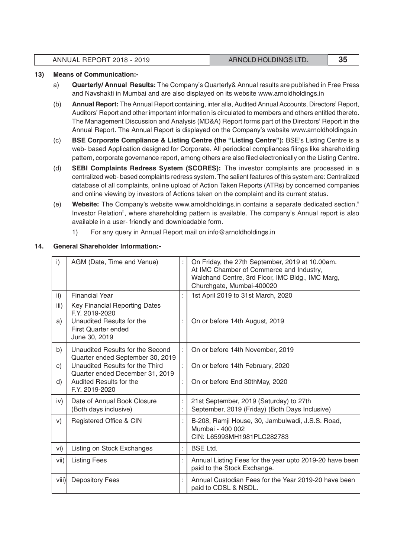| <b>ANNUAL REPORT 2018 - 2019</b> | ARNOLD HOLDINGS LTD. | 35 |
|----------------------------------|----------------------|----|
|----------------------------------|----------------------|----|

#### 13) Means of Communication:-

- a) Quarterly/ Annual Results: The Company's Quarterly& Annual results are published in Free Press and Navshakti in Mumbai and are also displayed on its website www.arnoldholdings.in
- (b) Annual Report: The Annual Report containing, inter alia, Audited Annual Accounts, Directors' Report, Auditors' Report and other important information is circulated to members and others entitled thereto. The Management Discussion and Analysis (MD&A) Report forms part of the Directors' Report in the Annual Report. The Annual Report is displayed on the Company's website www.arnoldholdings.in
- (c) BSE Corporate Compliance & Listing Centre (the "Listing Centre"): BSE's Listing Centre is a web- based Application designed for Corporate. All periodical compliances filings like shareholding pattern, corporate governance report, among others are also filed electronically on the Listing Centre.
- (d) SEBI Complaints Redress System (SCORES): The investor complaints are processed in a centralized web- based complaints redress system. The salient features of this system are: Centralized database of all complaints, online upload of Action Taken Reports (ATRs) by concerned companies and online viewing by investors of Actions taken on the complaint and its current status.
- (e) Website: The Company's website www.arnoldholdings.in contains a separate dedicated section," Investor Relation", where shareholding pattern is available. The company's Annual report is also available in a user- friendly and downloadable form.
	- 1) For any query in Annual Report mail on info@arnoldholdings.in

### 14. General Shareholder Information:-

| i)    | AGM (Date, Time and Venue)                                               | On Friday, the 27th September, 2019 at 10.00am.<br>At IMC Chamber of Commerce and Industry,<br>Walchand Centre, 3rd Floor, IMC Bldg., IMC Marg,<br>Churchgate, Mumbai-400020 |
|-------|--------------------------------------------------------------------------|------------------------------------------------------------------------------------------------------------------------------------------------------------------------------|
| ii)   | <b>Financial Year</b>                                                    | 1st April 2019 to 31st March, 2020                                                                                                                                           |
| iii)  | Key Financial Reporting Dates<br>F.Y. 2019-2020                          |                                                                                                                                                                              |
| a)    | Unaudited Results for the<br><b>First Quarter ended</b><br>June 30, 2019 | On or before 14th August, 2019                                                                                                                                               |
| b)    | Unaudited Results for the Second<br>Quarter ended September 30, 2019     | On or before 14th November, 2019                                                                                                                                             |
| C)    | Unaudited Results for the Third<br>Quarter ended December 31, 2019       | On or before 14th February, 2020                                                                                                                                             |
| d)    | Audited Results for the<br>F.Y. 2019-2020                                | On or before End 30thMay, 2020                                                                                                                                               |
| iv)   | Date of Annual Book Closure<br>(Both days inclusive)                     | 21st September, 2019 (Saturday) to 27th<br>September, 2019 (Friday) (Both Days Inclusive)                                                                                    |
| V)    | Registered Office & CIN                                                  | B-208, Ramji House, 30, Jambulwadi, J.S.S. Road,<br>Mumbai - 400 002<br>CIN: L65993MH1981PLC282783                                                                           |
| vi)   | Listing on Stock Exchanges                                               | <b>BSE Ltd.</b>                                                                                                                                                              |
| vii)  | <b>Listing Fees</b>                                                      | Annual Listing Fees for the year upto 2019-20 have been<br>paid to the Stock Exchange.                                                                                       |
| viii) | <b>Depository Fees</b>                                                   | Annual Custodian Fees for the Year 2019-20 have been<br>paid to CDSL & NSDL.                                                                                                 |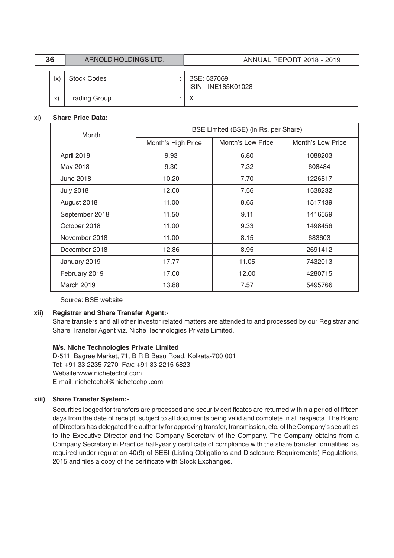| $\Omega$ | ARNI I<br>- 11 L<br>LI D. | 2019<br>ANNUAL<br>. REPORT 20 |
|----------|---------------------------|-------------------------------|
|          |                           |                               |
|          |                           |                               |

| $\mathsf{ix}$ | <b>Stock Codes</b> | BSE: 537069<br>ISIN: INE185K01028 |
|---------------|--------------------|-----------------------------------|
| X)            | Trading Group      |                                   |

# xi) Share Price Data:

| Month            | BSE Limited (BSE) (in Rs. per Share) |                   |                   |  |
|------------------|--------------------------------------|-------------------|-------------------|--|
|                  | Month's High Price                   | Month's Low Price | Month's Low Price |  |
| April 2018       | 9.93                                 | 6.80              | 1088203           |  |
| May 2018         | 9.30                                 | 7.32              | 608484            |  |
| June 2018        | 10.20                                | 7.70              | 1226817           |  |
| <b>July 2018</b> | 12.00                                | 7.56              | 1538232           |  |
| August 2018      | 11.00                                | 8.65              | 1517439           |  |
| September 2018   | 11.50                                | 9.11              | 1416559           |  |
| October 2018     | 11.00                                | 9.33              | 1498456           |  |
| November 2018    | 11.00                                | 8.15              | 683603            |  |
| December 2018    | 12.86                                | 8.95              | 2691412           |  |
| January 2019     | 17.77                                | 11.05             | 7432013           |  |
| February 2019    | 17.00                                | 12.00             | 4280715           |  |
| March 2019       | 13.88                                | 7.57              | 5495766           |  |

Source: BSE website

# xii) Registrar and Share Transfer Agent:-

Share transfers and all other investor related matters are attended to and processed by our Registrar and Share Transfer Agent viz. Niche Technologies Private Limited.

### M/s. Niche Technologies Private Limited

D-511, Bagree Market, 71, B R B Basu Road, Kolkata-700 001 Tel: +91 33 2235 7270 Fax: +91 33 2215 6823 Website:www.nichetechpl.com E-mail: nichetechpl@nichetechpl.com

# xiii) Share Transfer System:-

Securities lodged for transfers are processed and security certificates are returned within a period of fifteen days from the date of receipt, subject to all documents being valid and complete in all respects. The Board of Directors has delegated the authority for approving transfer, transmission, etc. of the Company's securities to the Executive Director and the Company Secretary of the Company. The Company obtains from a Company Secretary in Practice half-yearly certificate of compliance with the share transfer formalities, as required under regulation 40(9) of SEBI (Listing Obligations and Disclosure Requirements) Regulations, 2015 and files a copy of the certificate with Stock Exchanges.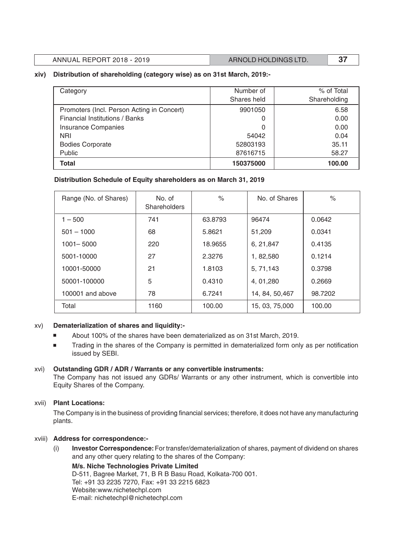| <b>ANNUAL REPORT 2018 - 2019</b> | ARNOLD HOLDINGS LTD. |  |
|----------------------------------|----------------------|--|
|----------------------------------|----------------------|--|

# xiv) Distribution of shareholding (category wise) as on 31st March, 2019:-

| Category                                   | Number of   | % of Total   |
|--------------------------------------------|-------------|--------------|
|                                            | Shares held | Shareholding |
| Promoters (Incl. Person Acting in Concert) | 9901050     | 6.58         |
| Financial Institutions / Banks             | 0           | 0.00         |
| <b>Insurance Companies</b>                 |             | 0.00         |
| <b>NRI</b>                                 | 54042       | 0.04         |
| <b>Bodies Corporate</b>                    | 52803193    | 35.11        |
| Public                                     | 87616715    | 58.27        |
| Total                                      | 150375000   | 100.00       |

# Distribution Schedule of Equity shareholders as on March 31, 2019

| Range (No. of Shares) | No. of<br>Shareholders | $\%$    | No. of Shares   | $\%$    |
|-----------------------|------------------------|---------|-----------------|---------|
| $1 - 500$             | 741                    | 63.8793 | 96474           | 0.0642  |
| $501 - 1000$          | 68                     | 5.8621  | 51,209          | 0.0341  |
| $1001 - 5000$         | 220                    | 18.9655 | 6, 21, 847      | 0.4135  |
| 5001-10000            | 27                     | 2.3276  | 1, 82, 580      | 0.1214  |
| 10001-50000           | 21                     | 1.8103  | 5, 71, 143      | 0.3798  |
| 50001-100000          | 5                      | 0.4310  | 4, 01, 280      | 0.2669  |
| 100001 and above      | 78                     | 6.7241  | 14, 84, 50, 467 | 98.7202 |
| Total                 | 1160                   | 100.00  | 15, 03, 75,000  | 100.00  |

# xv) Dematerialization of shares and liquidity:-

- -About 100% of the shares have been dematerialized as on 31st March, 2019.
- - Trading in the shares of the Company is permitted in dematerialized form only as per notification issued by SEBI.

# xvi) Outstanding GDR / ADR / Warrants or any convertible instruments:

The Company has not issued any GDRs/ Warrants or any other instrument, which is convertible into Equity Shares of the Company.

# xvii) Plant Locations:

The Company is in the business of providing financial services; therefore, it does not have any manufacturing plants.

# xviii) Address for correspondence:-

(i) Investor Correspondence: For transfer/dematerialization of shares, payment of dividend on shares and any other query relating to the shares of the Company:

M/s. Niche Technologies Private Limited D-511, Bagree Market, 71, B R B Basu Road, Kolkata-700 001. Tel: +91 33 2235 7270, Fax: +91 33 2215 6823 Website:www.nichetechpl.com E-mail: nichetechpl@nichetechpl.com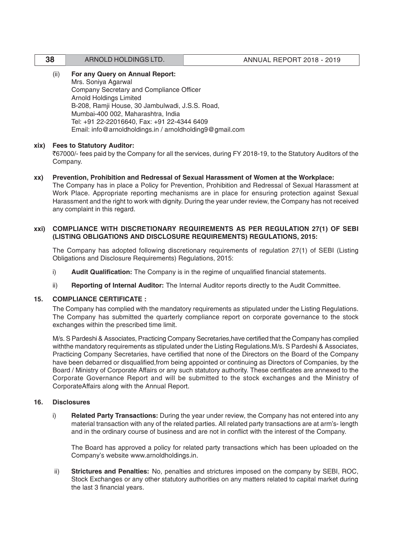| 38 | ARNOLD HOLDINGS LTD. | <b>ANNUAL REPORT 2018 - 2019</b> |
|----|----------------------|----------------------------------|
|    |                      |                                  |

### (ii) For any Query on Annual Report: Mrs. Soniya Agarwal

Company Secretary and Compliance Officer Arnold Holdings Limited B-208, Ramji House, 30 Jambulwadi, J.S.S. Road, Mumbai-400 002, Maharashtra, India Tel: +91 22-22016640, Fax: +91 22-4344 6409 Email: info@arnoldholdings.in / arnoldholding9@gmail.com

# xix) Fees to Statutory Auditor:

`67000/- fees paid by the Company for all the services, during FY 2018-19, to the Statutory Auditors of the Company.

# xx) Prevention, Prohibition and Redressal of Sexual Harassment of Women at the Workplace:

The Company has in place a Policy for Prevention, Prohibition and Redressal of Sexual Harassment at Work Place. Appropriate reporting mechanisms are in place for ensuring protection against Sexual Harassment and the right to work with dignity. During the year under review, the Company has not received any complaint in this regard.

# xxi) COMPLIANCE WITH DISCRETIONARY REQUIREMENTS AS PER REGULATION 27(1) OF SEBI (LISTING OBLIGATIONS AND DISCLOSURE REQUIREMENTS) REGULATIONS, 2015:

The Company has adopted following discretionary requirements of regulation 27(1) of SEBI (Listing Obligations and Disclosure Requirements) Regulations, 2015:

- i) Audit Qualification: The Company is in the regime of unqualified financial statements.
- ii) Reporting of Internal Auditor: The Internal Auditor reports directly to the Audit Committee.

# 15. COMPLIANCE CERTIFICATE :

The Company has complied with the mandatory requirements as stipulated under the Listing Regulations. The Company has submitted the quarterly compliance report on corporate governance to the stock exchanges within the prescribed time limit.

M/s. S Pardeshi & Associates, Practicing Company Secretaries,have certified that the Company has complied withthe mandatory requirements as stipulated under the Listing Regulations.M/s. S Pardeshi & Associates, Practicing Company Secretaries, have certified that none of the Directors on the Board of the Company have been debarred or disqualified,from being appointed or continuing as Directors of Companies, by the Board / Ministry of Corporate Affairs or any such statutory authority. These certificates are annexed to the Corporate Governance Report and will be submitted to the stock exchanges and the Ministry of CorporateAffairs along with the Annual Report.

# 16. Disclosures

i) Related Party Transactions: During the year under review, the Company has not entered into any material transaction with any of the related parties. All related party transactions are at arm's- length and in the ordinary course of business and are not in conflict with the interest of the Company.

The Board has approved a policy for related party transactions which has been uploaded on the Company's website www.arnoldholdings.in.

ii) Strictures and Penalties: No, penalties and strictures imposed on the company by SEBI, ROC, Stock Exchanges or any other statutory authorities on any matters related to capital market during the last 3 financial years.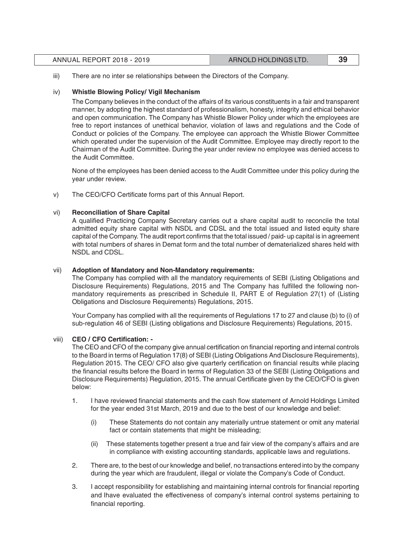| ARNOLD HOLDINGS LTD. | 39 |
|----------------------|----|
|                      |    |

iii) There are no inter se relationships between the Directors of the Company.

# iv) Whistle Blowing Policy/ Vigil Mechanism

The Company believes in the conduct of the affairs of its various constituents in a fair and transparent manner, by adopting the highest standard of professionalism, honesty, integrity and ethical behavior and open communication. The Company has Whistle Blower Policy under which the employees are free to report instances of unethical behavior, violation of laws and regulations and the Code of Conduct or policies of the Company. The employee can approach the Whistle Blower Committee which operated under the supervision of the Audit Committee. Employee may directly report to the Chairman of the Audit Committee. During the year under review no employee was denied access to the Audit Committee

None of the employees has been denied access to the Audit Committee under this policy during the year under review.

v) The CEO/CFO Certificate forms part of this Annual Report.

# vi) Reconciliation of Share Capital

A qualified Practicing Company Secretary carries out a share capital audit to reconcile the total admitted equity share capital with NSDL and CDSL and the total issued and listed equity share capital of the Company. The audit report confirms that the total issued / paid- up capital is in agreement with total numbers of shares in Demat form and the total number of dematerialized shares held with NSDL and CDSL.

### vii) Adoption of Mandatory and Non-Mandatory requirements:

The Company has complied with all the mandatory requirements of SEBI (Listing Obligations and Disclosure Requirements) Regulations, 2015 and The Company has fulfilled the following nonmandatory requirements as prescribed in Schedule II, PART E of Regulation 27(1) of (Listing Obligations and Disclosure Requirements) Regulations, 2015.

Your Company has complied with all the requirements of Regulations 17 to 27 and clause (b) to (i) of sub-regulation 46 of SEBI (Listing obligations and Disclosure Requirements) Regulations, 2015.

### viii) CEO / CFO Certification: -

The CEO and CFO of the company give annual certification on financial reporting and internal controls to the Board in terms of Regulation 17(8) of SEBI (Listing Obligations And Disclosure Requirements), Regulation 2015. The CEO/ CFO also give quarterly certification on financial results while placing the financial results before the Board in terms of Regulation 33 of the SEBI (Listing Obligations and Disclosure Requirements) Regulation, 2015. The annual Certificate given by the CEO/CFO is given below:

- 1. I have reviewed financial statements and the cash flow statement of Arnold Holdings Limited for the year ended 31st March, 2019 and due to the best of our knowledge and belief:
	- (i) These Statements do not contain any materially untrue statement or omit any material fact or contain statements that might be misleading;
	- (ii) These statements together present a true and fair view of the company's affairs and are in compliance with existing accounting standards, applicable laws and regulations.
- 2. There are, to the best of our knowledge and belief, no transactions entered into by the company during the year which are fraudulent, illegal or violate the Company's Code of Conduct.
- 3. I accept responsibility for establishing and maintaining internal controls for financial reporting and Ihave evaluated the effectiveness of company's internal control systems pertaining to financial reporting.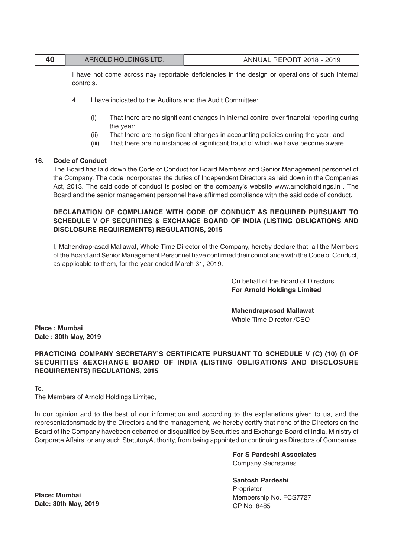| 40 | ARNOLD HOLDINGS LTD. | <b>ANNUAL REPORT 2018 - 2019</b> |
|----|----------------------|----------------------------------|
|----|----------------------|----------------------------------|

I have not come across nay reportable deficiencies in the design or operations of such internal controls.

- 4. I have indicated to the Auditors and the Audit Committee:
	- (i) That there are no significant changes in internal control over financial reporting during the year:
	- (ii) That there are no significant changes in accounting policies during the year: and
	- (iii) That there are no instances of significant fraud of which we have become aware.

### 16. Code of Conduct

The Board has laid down the Code of Conduct for Board Members and Senior Management personnel of the Company. The code incorporates the duties of Independent Directors as laid down in the Companies Act, 2013. The said code of conduct is posted on the company's website www.arnoldholdings.in . The Board and the senior management personnel have affirmed compliance with the said code of conduct.

# DECLARATION OF COMPLIANCE WITH CODE OF CONDUCT AS REQUIRED PURSUANT TO SCHEDULE V OF SECURITIES & EXCHANGE BOARD OF INDIA (LISTING OBLIGATIONS AND DISCLOSURE REQUIREMENTS) REGULATIONS, 2015

I, Mahendraprasad Mallawat, Whole Time Director of the Company, hereby declare that, all the Members of the Board and Senior Management Personnel have confirmed their compliance with the Code of Conduct, as applicable to them, for the year ended March 31, 2019.

> On behalf of the Board of Directors, For Arnold Holdings Limited

Mahendraprasad Mallawat

Whole Time Director /CEO

Place : Mumbai Date : 30th May, 2019

# PRACTICING COMPANY SECRETARY'S CERTIFICATE PURSUANT TO SCHEDULE V (C) (10) (i) OF SECURITIES &EXCHANGE BOARD OF INDIA (LISTING OBLIGATIONS AND DISCLOSURE REQUIREMENTS) REGULATIONS, 2015

To,

The Members of Arnold Holdings Limited,

In our opinion and to the best of our information and according to the explanations given to us, and the representationsmade by the Directors and the management, we hereby certify that none of the Directors on the Board of the Company havebeen debarred or disqualified by Securities and Exchange Board of India, Ministry of Corporate Affairs, or any such StatutoryAuthority, from being appointed or continuing as Directors of Companies.

> For S Pardeshi Associates Company Secretaries

Santosh Pardeshi

Proprietor Membership No. FCS7727 CP No. 8485

Place: Mumbai Date: 30th May, 2019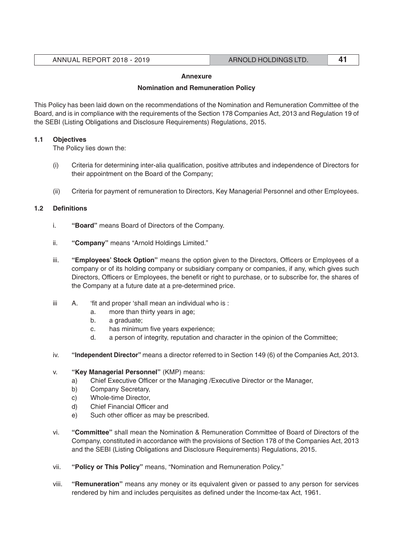| <b>ANNUAL REPORT 2018 - 2019</b> | ARNOLD HOLDINGS LTD. |  |
|----------------------------------|----------------------|--|
|----------------------------------|----------------------|--|

# Annexure

### Nomination and Remuneration Policy

This Policy has been laid down on the recommendations of the Nomination and Remuneration Committee of the Board, and is in compliance with the requirements of the Section 178 Companies Act, 2013 and Regulation 19 of the SEBI (Listing Obligations and Disclosure Requirements) Regulations, 2015.

# 1.1 Objectives

The Policy lies down the:

- (i) Criteria for determining inter-alia qualification, positive attributes and independence of Directors for their appointment on the Board of the Company;
- (ii) Criteria for payment of remuneration to Directors, Key Managerial Personnel and other Employees.

### 1.2 Definitions

- i. "Board" means Board of Directors of the Company.
- ii. "Company" means "Arnold Holdings Limited."
- iii. "Employees' Stock Option" means the option given to the Directors, Officers or Employees of a company or of its holding company or subsidiary company or companies, if any, which gives such Directors, Officers or Employees, the benefit or right to purchase, or to subscribe for, the shares of the Company at a future date at a pre-determined price.
- iii A. 'fit and proper 'shall mean an individual who is :
	- a. more than thirty years in age;
	- b. a graduate;
	- c. has minimum five years experience;
	- d. a person of integrity, reputation and character in the opinion of the Committee;
- iv. "Independent Director" means a director referred to in Section 149 (6) of the Companies Act, 2013.

### v. "Key Managerial Personnel" (KMP) means:

- a) Chief Executive Officer or the Managing /Executive Director or the Manager,
- b) Company Secretary,
- c) Whole-time Director,
- d) Chief Financial Officer and
- e) Such other officer as may be prescribed.
- vi. "Committee" shall mean the Nomination & Remuneration Committee of Board of Directors of the Company, constituted in accordance with the provisions of Section 178 of the Companies Act, 2013 and the SEBI (Listing Obligations and Disclosure Requirements) Regulations, 2015.
- vii. "Policy or This Policy" means, "Nomination and Remuneration Policy."
- viii. "Remuneration" means any money or its equivalent given or passed to any person for services rendered by him and includes perquisites as defined under the Income-tax Act, 1961.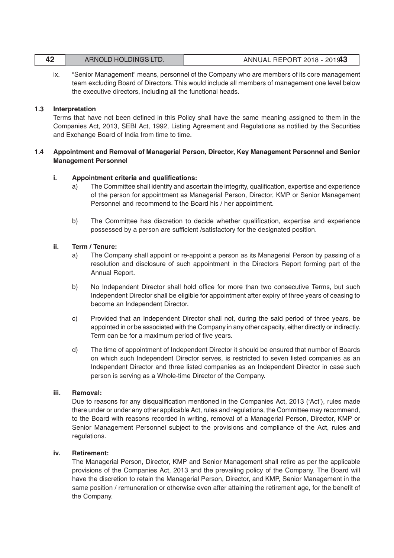ix. "Senior Management" means, personnel of the Company who are members of its core management team excluding Board of Directors. This would include all members of management one level below the executive directors, including all the functional heads.

# 1.3 Interpretation

Terms that have not been defined in this Policy shall have the same meaning assigned to them in the Companies Act, 2013, SEBI Act, 1992, Listing Agreement and Regulations as notified by the Securities and Exchange Board of India from time to time.

# 1.4 Appointment and Removal of Managerial Person, Director, Key Management Personnel and Senior Management Personnel

# i. Appointment criteria and qualifications:

- a) The Committee shall identify and ascertain the integrity, qualification, expertise and experience of the person for appointment as Managerial Person, Director, KMP or Senior Management Personnel and recommend to the Board his / her appointment.
- b) The Committee has discretion to decide whether qualification, expertise and experience possessed by a person are sufficient /satisfactory for the designated position.

# ii. Term / Tenure:

- a) The Company shall appoint or re-appoint a person as its Managerial Person by passing of a resolution and disclosure of such appointment in the Directors Report forming part of the Annual Report.
- b) No Independent Director shall hold office for more than two consecutive Terms, but such Independent Director shall be eligible for appointment after expiry of three years of ceasing to become an Independent Director.
- c) Provided that an Independent Director shall not, during the said period of three years, be appointed in or be associated with the Company in any other capacity, either directly or indirectly. Term can be for a maximum period of five years.
- d) The time of appointment of Independent Director it should be ensured that number of Boards on which such Independent Director serves, is restricted to seven listed companies as an Independent Director and three listed companies as an Independent Director in case such person is serving as a Whole-time Director of the Company.

# iii. Removal:

Due to reasons for any disqualification mentioned in the Companies Act, 2013 ('Act'), rules made there under or under any other applicable Act, rules and regulations, the Committee may recommend, to the Board with reasons recorded in writing, removal of a Managerial Person, Director, KMP or Senior Management Personnel subject to the provisions and compliance of the Act, rules and regulations.

# iv. Retirement:

The Managerial Person, Director, KMP and Senior Management shall retire as per the applicable provisions of the Companies Act, 2013 and the prevailing policy of the Company. The Board will have the discretion to retain the Managerial Person, Director, and KMP, Senior Management in the same position / remuneration or otherwise even after attaining the retirement age, for the benefit of the Company.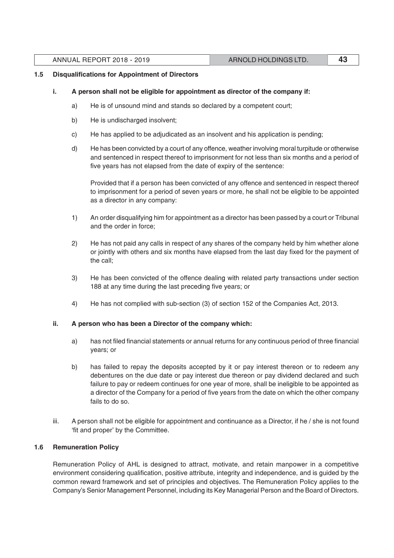| ANNUAL REPORT 2018 - 2019 | ARNOLD HOLDINGS LTD. |  |
|---------------------------|----------------------|--|
|---------------------------|----------------------|--|

### 1.5 Disqualifications for Appointment of Directors

### i. A person shall not be eligible for appointment as director of the company if:

- a) He is of unsound mind and stands so declared by a competent court;
- b) He is undischarged insolvent;
- c) He has applied to be adjudicated as an insolvent and his application is pending;
- d) He has been convicted by a court of any offence, weather involving moral turpitude or otherwise and sentenced in respect thereof to imprisonment for not less than six months and a period of five years has not elapsed from the date of expiry of the sentence:

Provided that if a person has been convicted of any offence and sentenced in respect thereof to imprisonment for a period of seven years or more, he shall not be eligible to be appointed as a director in any company:

- 1) An order disqualifying him for appointment as a director has been passed by a court or Tribunal and the order in force;
- 2) He has not paid any calls in respect of any shares of the company held by him whether alone or jointly with others and six months have elapsed from the last day fixed for the payment of the call;
- 3) He has been convicted of the offence dealing with related party transactions under section 188 at any time during the last preceding five years; or
- 4) He has not complied with sub-section (3) of section 152 of the Companies Act, 2013.

# ii. A person who has been a Director of the company which:

- a) has not filed financial statements or annual returns for any continuous period of three financial years; or
- b) has failed to repay the deposits accepted by it or pay interest thereon or to redeem any debentures on the due date or pay interest due thereon or pay dividend declared and such failure to pay or redeem continues for one year of more, shall be ineligible to be appointed as a director of the Company for a period of five years from the date on which the other company fails to do so.
- iii. A person shall not be eligible for appointment and continuance as a Director, if he / she is not found 'fit and proper' by the Committee.

### 1.6 Remuneration Policy

Remuneration Policy of AHL is designed to attract, motivate, and retain manpower in a competitive environment considering qualification, positive attribute, integrity and independence, and is guided by the common reward framework and set of principles and objectives. The Remuneration Policy applies to the Company's Senior Management Personnel, including its Key Managerial Person and the Board of Directors.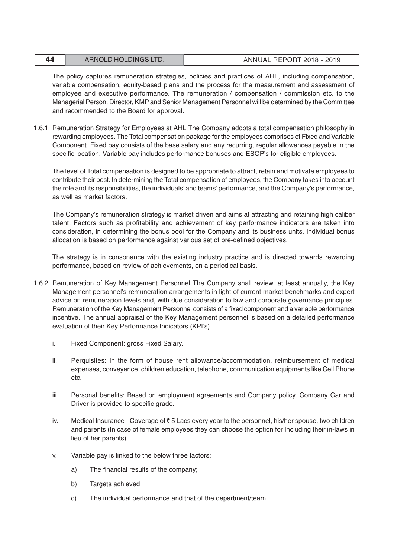| ARNOLD HOLDINGS LTD. | <b>ANNUAL REPORT 2018 - 2019</b> |
|----------------------|----------------------------------|
|                      |                                  |

The policy captures remuneration strategies, policies and practices of AHL, including compensation, variable compensation, equity-based plans and the process for the measurement and assessment of employee and executive performance. The remuneration / compensation / commission etc. to the Managerial Person, Director, KMP and Senior Management Personnel will be determined by the Committee and recommended to the Board for approval.

1.6.1 Remuneration Strategy for Employees at AHL The Company adopts a total compensation philosophy in rewarding employees. The Total compensation package for the employees comprises of Fixed and Variable Component. Fixed pay consists of the base salary and any recurring, regular allowances payable in the specific location. Variable pay includes performance bonuses and ESOP's for eligible employees.

The level of Total compensation is designed to be appropriate to attract, retain and motivate employees to contribute their best. In determining the Total compensation of employees, the Company takes into account the role and its responsibilities, the individuals' and teams' performance, and the Company's performance, as well as market factors.

The Company's remuneration strategy is market driven and aims at attracting and retaining high caliber talent. Factors such as profitability and achievement of key performance indicators are taken into consideration, in determining the bonus pool for the Company and its business units. Individual bonus allocation is based on performance against various set of pre-defined objectives.

The strategy is in consonance with the existing industry practice and is directed towards rewarding performance, based on review of achievements, on a periodical basis.

- 1.6.2 Remuneration of Key Management Personnel The Company shall review, at least annually, the Key Management personnel's remuneration arrangements in light of current market benchmarks and expert advice on remuneration levels and, with due consideration to law and corporate governance principles. Remuneration of the Key Management Personnel consists of a fixed component and a variable performance incentive. The annual appraisal of the Key Management personnel is based on a detailed performance evaluation of their Key Performance Indicators (KPI's)
	- i. Fixed Component: gross Fixed Salary.
	- ii. Perquisites: In the form of house rent allowance/accommodation, reimbursement of medical expenses, conveyance, children education, telephone, communication equipments like Cell Phone etc.
	- iii. Personal benefits: Based on employment agreements and Company policy, Company Car and Driver is provided to specific grade.
	- iv. Medical Insurance Coverage of  $\bar{\tau}$  5 Lacs every year to the personnel, his/her spouse, two children and parents (In case of female employees they can choose the option for Including their in-laws in lieu of her parents).
	- v. Variable pay is linked to the below three factors:
		- a) The financial results of the company;
		- b) Targets achieved;
		- c) The individual performance and that of the department/team.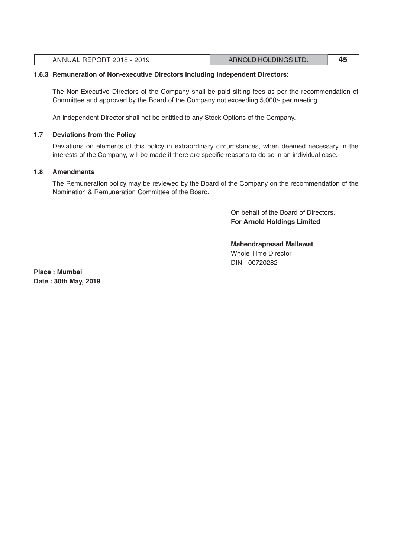| <b>ANNUAL REPORT 2018 - 2019</b> | ARNOLD HOLDINGS LTD. | 45 |
|----------------------------------|----------------------|----|
|----------------------------------|----------------------|----|

# 1.6.3 Remuneration of Non-executive Directors including Independent Directors:

The Non-Executive Directors of the Company shall be paid sitting fees as per the recommendation of Committee and approved by the Board of the Company not exceeding 5,000/- per meeting.

An independent Director shall not be entitled to any Stock Options of the Company.

## 1.7 Deviations from the Policy

Deviations on elements of this policy in extraordinary circumstances, when deemed necessary in the interests of the Company, will be made if there are specific reasons to do so in an individual case.

# 1.8 Amendments

The Remuneration policy may be reviewed by the Board of the Company on the recommendation of the Nomination & Remuneration Committee of the Board.

> On behalf of the Board of Directors, For Arnold Holdings Limited

Mahendraprasad Mallawat Whole TIme Director DIN - 00720282

Place : Mumbai Date : 30th May, 2019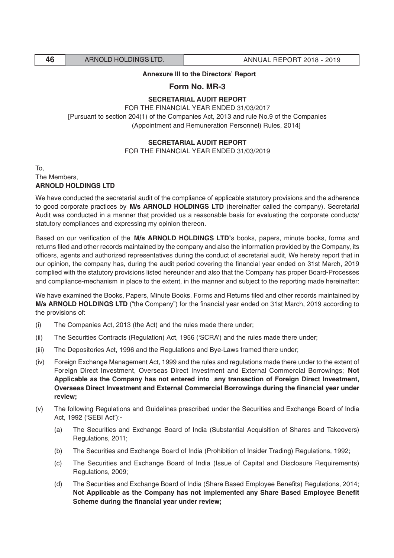### Annexure III to the Directors' Report

# Form No. MR-3

# SECRETARIAL AUDIT REPORT

FOR THE FINANCIAL YEAR ENDED 31/03/2017 [Pursuant to section 204(1) of the Companies Act, 2013 and rule No.9 of the Companies (Appointment and Remuneration Personnel) Rules, 2014]

# SECRETARIAL AUDIT REPORT

FOR THE FINANCIAL YEAR ENDED 31/03/2019

# To, The Members, ARNOLD HOLDINGS LTD

We have conducted the secretarial audit of the compliance of applicable statutory provisions and the adherence to good corporate practices by M/s ARNOLD HOLDINGS LTD (hereinafter called the company). Secretarial Audit was conducted in a manner that provided us a reasonable basis for evaluating the corporate conducts/ statutory compliances and expressing my opinion thereon.

Based on our verification of the M/s ARNOLD HOLDINGS LTD's books, papers, minute books, forms and returns filed and other records maintained by the company and also the information provided by the Company, its officers, agents and authorized representatives during the conduct of secretarial audit, We hereby report that in our opinion, the company has, during the audit period covering the financial year ended on 31st March, 2019 complied with the statutory provisions listed hereunder and also that the Company has proper Board-Processes and compliance-mechanism in place to the extent, in the manner and subject to the reporting made hereinafter:

We have examined the Books, Papers, Minute Books, Forms and Returns filed and other records maintained by M/s ARNOLD HOLDINGS LTD ("the Company") for the financial year ended on 31st March, 2019 according to the provisions of:

- (i) The Companies Act, 2013 (the Act) and the rules made there under;
- (ii) The Securities Contracts (Regulation) Act, 1956 ('SCRA') and the rules made there under;
- (iii) The Depositories Act, 1996 and the Regulations and Bye-Laws framed there under;
- (iv) Foreign Exchange Management Act, 1999 and the rules and regulations made there under to the extent of Foreign Direct Investment, Overseas Direct Investment and External Commercial Borrowings; Not Applicable as the Company has not entered into any transaction of Foreign Direct Investment, Overseas Direct Investment and External Commercial Borrowings during the financial year under review;
- (v) The following Regulations and Guidelines prescribed under the Securities and Exchange Board of India Act, 1992 ('SEBI Act'):-
	- (a) The Securities and Exchange Board of India (Substantial Acquisition of Shares and Takeovers) Regulations, 2011;
	- (b) The Securities and Exchange Board of India (Prohibition of Insider Trading) Regulations, 1992;
	- (c) The Securities and Exchange Board of India (Issue of Capital and Disclosure Requirements) Regulations, 2009;
	- (d) The Securities and Exchange Board of India (Share Based Employee Benefits) Regulations, 2014; Not Applicable as the Company has not implemented any Share Based Employee Benefit Scheme during the financial year under review;

46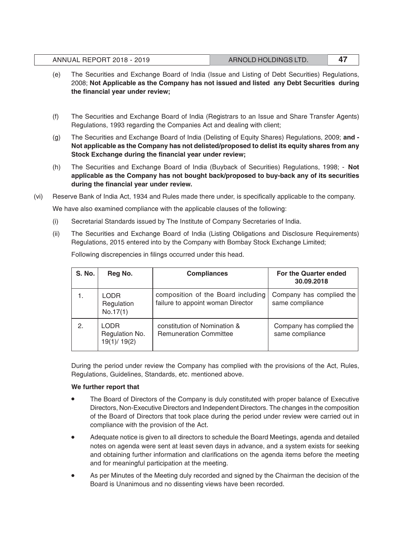| <b>ANNUAL REPORT 2018 - 2019</b> | ARNOLD HOLDINGS LTD. |  |
|----------------------------------|----------------------|--|
|----------------------------------|----------------------|--|

- (e) The Securities and Exchange Board of India (Issue and Listing of Debt Securities) Regulations, 2008; Not Applicable as the Company has not issued and listed any Debt Securities during the financial year under review;
- (f) The Securities and Exchange Board of India (Registrars to an Issue and Share Transfer Agents) Regulations, 1993 regarding the Companies Act and dealing with client;
- (g) The Securities and Exchange Board of India (Delisting of Equity Shares) Regulations, 2009; and Not applicable as the Company has not delisted/proposed to delist its equity shares from any Stock Exchange during the financial year under review;
- (h) The Securities and Exchange Board of India (Buyback of Securities) Regulations, 1998; Not applicable as the Company has not bought back/proposed to buy-back any of its securities during the financial year under review.
- (vi) Reserve Bank of India Act, 1934 and Rules made there under, is specifically applicable to the company.

We have also examined compliance with the applicable clauses of the following:

- (i) Secretarial Standards issued by The Institute of Company Secretaries of India.
- (ii) The Securities and Exchange Board of India (Listing Obligations and Disclosure Requirements) Regulations, 2015 entered into by the Company with Bombay Stock Exchange Limited;

| <b>S. No.</b> | Reg No.                                       | <b>Compliances</b>                                                      | For the Quarter ended<br>30.09.2018         |  |
|---------------|-----------------------------------------------|-------------------------------------------------------------------------|---------------------------------------------|--|
| 1.            | <b>LODR</b><br>Regulation<br>No.17(1)         | composition of the Board including<br>failure to appoint woman Director | Company has complied the<br>same compliance |  |
| 2.            | <b>LODR</b><br>Regulation No.<br>19(1)/ 19(2) | constitution of Nomination &<br><b>Remuneration Committee</b>           | Company has complied the<br>same compliance |  |

Following discrepencies in filings occurred under this head.

During the period under review the Company has complied with the provisions of the Act, Rules, Regulations, Guidelines, Standards, etc. mentioned above.

# We further report that

- The Board of Directors of the Company is duly constituted with proper balance of Executive Directors, Non-Executive Directors and Independent Directors. The changes in the composition of the Board of Directors that took place during the period under review were carried out in compliance with the provision of the Act.
- Adequate notice is given to all directors to schedule the Board Meetings, agenda and detailed notes on agenda were sent at least seven days in advance, and a system exists for seeking and obtaining further information and clarifications on the agenda items before the meeting and for meaningful participation at the meeting.
- As per Minutes of the Meeting duly recorded and signed by the Chairman the decision of the Board is Unanimous and no dissenting views have been recorded.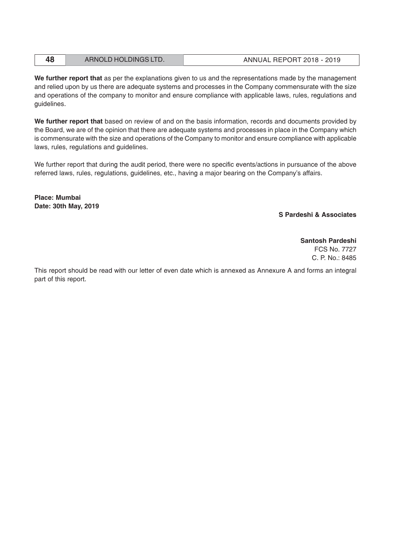| 48 | ARNOLD HOLDINGS LTD. | <b>ANNUAL REPORT 2018 - 2019</b> |
|----|----------------------|----------------------------------|
|    |                      |                                  |

We further report that as per the explanations given to us and the representations made by the management and relied upon by us there are adequate systems and processes in the Company commensurate with the size and operations of the company to monitor and ensure compliance with applicable laws, rules, regulations and guidelines.

We further report that based on review of and on the basis information, records and documents provided by the Board, we are of the opinion that there are adequate systems and processes in place in the Company which is commensurate with the size and operations of the Company to monitor and ensure compliance with applicable laws, rules, regulations and guidelines.

We further report that during the audit period, there were no specific events/actions in pursuance of the above referred laws, rules, regulations, guidelines, etc., having a major bearing on the Company's affairs.

Place: Mumbai Date: 30th May, 2019

S Pardeshi & Associates

Santosh Pardeshi FCS No. 7727 C. P. No.: 8485

This report should be read with our letter of even date which is annexed as Annexure A and forms an integral part of this report.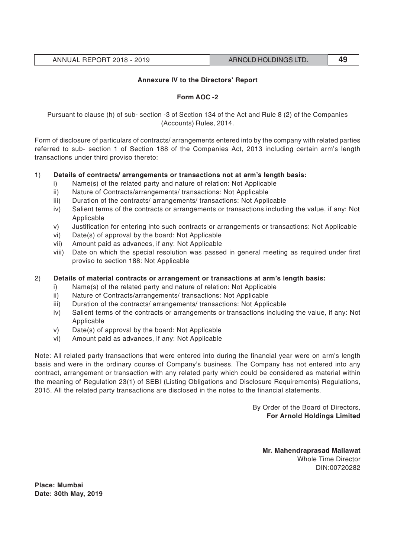| <b>ANNUAL REPORT 2018 - 2019</b> | ARNOLD HOLDINGS LTD. | 49 |
|----------------------------------|----------------------|----|
|----------------------------------|----------------------|----|

# Annexure IV to the Directors' Report

# Form AOC -2

Pursuant to clause (h) of sub- section -3 of Section 134 of the Act and Rule 8 (2) of the Companies (Accounts) Rules, 2014.

Form of disclosure of particulars of contracts/ arrangements entered into by the company with related parties referred to sub- section 1 of Section 188 of the Companies Act, 2013 including certain arm's length transactions under third proviso thereto:

# 1) Details of contracts/ arrangements or transactions not at arm's length basis:

- i) Name(s) of the related party and nature of relation: Not Applicable
- ii) Nature of Contracts/arrangements/ transactions: Not Applicable
- iii) Duration of the contracts/ arrangements/ transactions: Not Applicable
- iv) Salient terms of the contracts or arrangements or transactions including the value, if any: Not Applicable
- v) Justification for entering into such contracts or arrangements or transactions: Not Applicable
- vi) Date(s) of approval by the board: Not Applicable
- vii) Amount paid as advances, if any: Not Applicable
- viii) Date on which the special resolution was passed in general meeting as required under first proviso to section 188: Not Applicable

# 2) Details of material contracts or arrangement or transactions at arm's length basis:

- i) Name(s) of the related party and nature of relation: Not Applicable
- ii) Nature of Contracts/arrangements/ transactions: Not Applicable
- iii) Duration of the contracts/ arrangements/ transactions: Not Applicable
- iv) Salient terms of the contracts or arrangements or transactions including the value, if any: Not Applicable
- v) Date(s) of approval by the board: Not Applicable
- vi) Amount paid as advances, if any: Not Applicable

Note: All related party transactions that were entered into during the financial year were on arm's length basis and were in the ordinary course of Company's business. The Company has not entered into any contract, arrangement or transaction with any related party which could be considered as material within the meaning of Regulation 23(1) of SEBI (Listing Obligations and Disclosure Requirements) Regulations, 2015. All the related party transactions are disclosed in the notes to the financial statements.

> By Order of the Board of Directors, For Arnold Holdings Limited

 Mr. Mahendraprasad Mallawat Whole Time Director DIN:00720282

Place: Mumbai Date: 30th May, 2019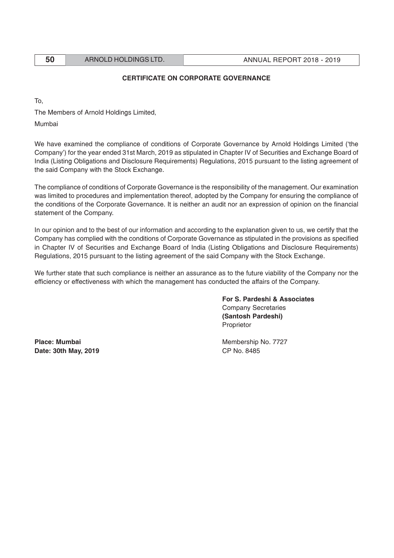| 50 | ARNOLD HOLDINGS LTD. | ANN |
|----|----------------------|-----|
|----|----------------------|-----|

# **UAL REPORT 2018 - 2019**

# CERTIFICATE ON CORPORATE GOVERNANCE

To,

The Members of Arnold Holdings Limited,

Mumbai

We have examined the compliance of conditions of Corporate Governance by Arnold Holdings Limited ('the Company') for the year ended 31st March, 2019 as stipulated in Chapter IV of Securities and Exchange Board of India (Listing Obligations and Disclosure Requirements) Regulations, 2015 pursuant to the listing agreement of the said Company with the Stock Exchange.

The compliance of conditions of Corporate Governance is the responsibility of the management. Our examination was limited to procedures and implementation thereof, adopted by the Company for ensuring the compliance of the conditions of the Corporate Governance. It is neither an audit nor an expression of opinion on the financial statement of the Company.

In our opinion and to the best of our information and according to the explanation given to us, we certify that the Company has complied with the conditions of Corporate Governance as stipulated in the provisions as specified in Chapter IV of Securities and Exchange Board of India (Listing Obligations and Disclosure Requirements) Regulations, 2015 pursuant to the listing agreement of the said Company with the Stock Exchange.

We further state that such compliance is neither an assurance as to the future viability of the Company nor the efficiency or effectiveness with which the management has conducted the affairs of the Company.

> For S. Pardeshi & Associates Company Secretaries (Santosh Pardeshi) Proprietor

Place: Mumbai Membership No. 7727 Date: 30th May, 2019 **CP No. 8485**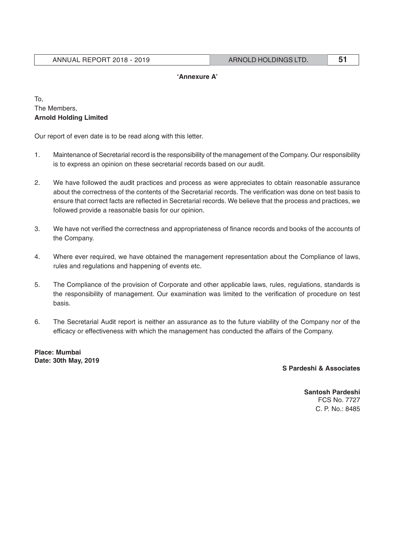# 'Annexure A'

To, The Members, Arnold Holding Limited

Our report of even date is to be read along with this letter.

- 1. Maintenance of Secretarial record is the responsibility of the management of the Company. Our responsibility is to express an opinion on these secretarial records based on our audit.
- 2. We have followed the audit practices and process as were appreciates to obtain reasonable assurance about the correctness of the contents of the Secretarial records. The verification was done on test basis to ensure that correct facts are reflected in Secretarial records. We believe that the process and practices, we followed provide a reasonable basis for our opinion.
- 3. We have not verified the correctness and appropriateness of finance records and books of the accounts of the Company.
- 4. Where ever required, we have obtained the management representation about the Compliance of laws, rules and regulations and happening of events etc.
- 5. The Compliance of the provision of Corporate and other applicable laws, rules, regulations, standards is the responsibility of management. Our examination was limited to the verification of procedure on test basis.
- 6. The Secretarial Audit report is neither an assurance as to the future viability of the Company nor of the efficacy or effectiveness with which the management has conducted the affairs of the Company.

Place: Mumbai Date: 30th May, 2019

S Pardeshi & Associates

Santosh Pardeshi FCS No. 7727 C. P. No.: 8485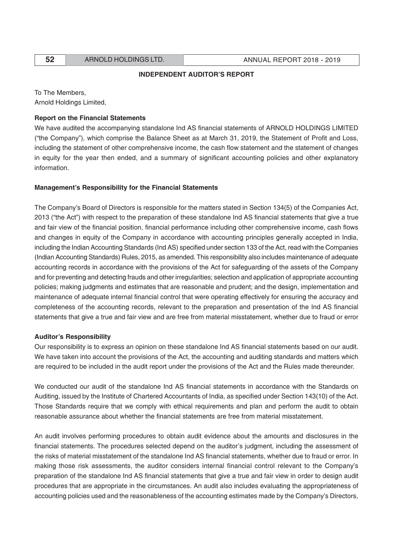| 52 | ARNOLD HOLDINGS LTD. | <b>ANNUAL REPORT</b> |
|----|----------------------|----------------------|
|----|----------------------|----------------------|

# INDEPENDENT AUDITOR'S REPORT

2018 - 2019

To The Members, Arnold Holdings Limited,

# Report on the Financial Statements

We have audited the accompanying standalone Ind AS financial statements of ARNOLD HOLDINGS LIMITED ("the Company"), which comprise the Balance Sheet as at March 31, 2019, the Statement of Profit and Loss, including the statement of other comprehensive income, the cash flow statement and the statement of changes in equity for the year then ended, and a summary of significant accounting policies and other explanatory information.

### Management's Responsibility for the Financial Statements

The Company's Board of Directors is responsible for the matters stated in Section 134(5) of the Companies Act, 2013 ("the Act") with respect to the preparation of these standalone Ind AS financial statements that give a true and fair view of the financial position, financial performance including other comprehensive income, cash flows and changes in equity of the Company in accordance with accounting principles generally accepted in India, including the Indian Accounting Standards (Ind AS) specified under section 133 of the Act, read with the Companies (Indian Accounting Standards) Rules, 2015, as amended. This responsibility also includes maintenance of adequate accounting records in accordance with the provisions of the Act for safeguarding of the assets of the Company and for preventing and detecting frauds and other irregularities; selection and application of appropriate accounting policies; making judgments and estimates that are reasonable and prudent; and the design, implementation and maintenance of adequate internal financial control that were operating effectively for ensuring the accuracy and completeness of the accounting records, relevant to the preparation and presentation of the Ind AS financial statements that give a true and fair view and are free from material misstatement, whether due to fraud or error

### Auditor's Responsibility

Our responsibility is to express an opinion on these standalone Ind AS financial statements based on our audit. We have taken into account the provisions of the Act, the accounting and auditing standards and matters which are required to be included in the audit report under the provisions of the Act and the Rules made thereunder.

We conducted our audit of the standalone Ind AS financial statements in accordance with the Standards on Auditing, issued by the Institute of Chartered Accountants of India, as specified under Section 143(10) of the Act. Those Standards require that we comply with ethical requirements and plan and perform the audit to obtain reasonable assurance about whether the financial statements are free from material misstatement.

An audit involves performing procedures to obtain audit evidence about the amounts and disclosures in the financial statements. The procedures selected depend on the auditor's judgment, including the assessment of the risks of material misstatement of the standalone Ind AS financial statements, whether due to fraud or error. In making those risk assessments, the auditor considers internal financial control relevant to the Company's preparation of the standalone Ind AS financial statements that give a true and fair view in order to design audit procedures that are appropriate in the circumstances. An audit also includes evaluating the appropriateness of accounting policies used and the reasonableness of the accounting estimates made by the Company's Directors,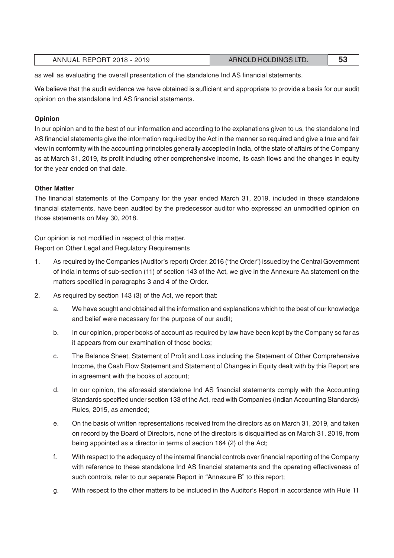| ARNOLD HOLDINGS LTD.<br><b>ANNUAL REPORT 2018 - 2019</b><br>აა |
|----------------------------------------------------------------|
|----------------------------------------------------------------|

as well as evaluating the overall presentation of the standalone Ind AS financial statements.

We believe that the audit evidence we have obtained is sufficient and appropriate to provide a basis for our audit opinion on the standalone Ind AS financial statements.

# Opinion

In our opinion and to the best of our information and according to the explanations given to us, the standalone Ind AS financial statements give the information required by the Act in the manner so required and give a true and fair view in conformity with the accounting principles generally accepted in India, of the state of affairs of the Company as at March 31, 2019, its profit including other comprehensive income, its cash flows and the changes in equity for the year ended on that date.

# Other Matter

The financial statements of the Company for the year ended March 31, 2019, included in these standalone financial statements, have been audited by the predecessor auditor who expressed an unmodified opinion on those statements on May 30, 2018.

Our opinion is not modified in respect of this matter. Report on Other Legal and Regulatory Requirements

- 1. As required by the Companies (Auditor's report) Order, 2016 ("the Order") issued by the Central Government of India in terms of sub-section (11) of section 143 of the Act, we give in the Annexure Aa statement on the matters specified in paragraphs 3 and 4 of the Order.
- 2. As required by section 143 (3) of the Act, we report that:
	- a. We have sought and obtained all the information and explanations which to the best of our knowledge and belief were necessary for the purpose of our audit;
	- b. In our opinion, proper books of account as required by law have been kept by the Company so far as it appears from our examination of those books;
	- c. The Balance Sheet, Statement of Profit and Loss including the Statement of Other Comprehensive Income, the Cash Flow Statement and Statement of Changes in Equity dealt with by this Report are in agreement with the books of account;
	- d. In our opinion, the aforesaid standalone Ind AS financial statements comply with the Accounting Standards specified under section 133 of the Act, read with Companies (Indian Accounting Standards) Rules, 2015, as amended;
	- e. On the basis of written representations received from the directors as on March 31, 2019, and taken on record by the Board of Directors, none of the directors is disqualified as on March 31, 2019, from being appointed as a director in terms of section 164 (2) of the Act;
	- f. With respect to the adequacy of the internal financial controls over financial reporting of the Company with reference to these standalone Ind AS financial statements and the operating effectiveness of such controls, refer to our separate Report in "Annexure B" to this report;
	- g. With respect to the other matters to be included in the Auditor's Report in accordance with Rule 11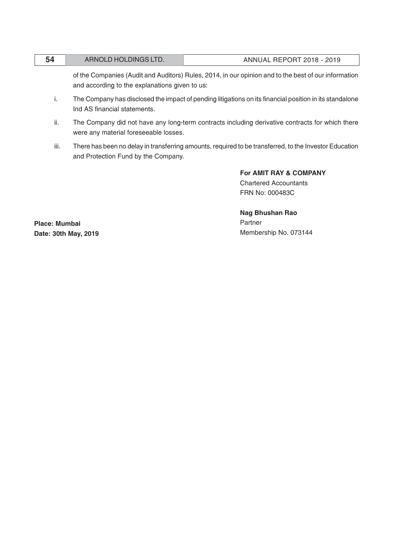| 54  | ARNOLD HOLDINGS LTD.<br><b>ANNUAL REPORT 2018 - 2019</b>                                                                                               |                                                                                                         |  |  |  |  |  |
|-----|--------------------------------------------------------------------------------------------------------------------------------------------------------|---------------------------------------------------------------------------------------------------------|--|--|--|--|--|
|     | of the Companies (Audit and Auditors) Rules, 2014, in our opinion and to the best of our information<br>and according to the explanations given to us: |                                                                                                         |  |  |  |  |  |
| Ι.  | Ind AS financial statements.                                                                                                                           | The Company has disclosed the impact of pending litigations on its financial position in its standalone |  |  |  |  |  |
| ii. | were any material foreseeable losses.                                                                                                                  | The Company did not have any long-term contracts including derivative contracts for which there         |  |  |  |  |  |
|     |                                                                                                                                                        |                                                                                                         |  |  |  |  |  |

iii. There has been no delay in transferring amounts, required to be transferred, to the Investor Education and Protection Fund by the Company.

> For AMIT RAY & COMPANY Chartered Accountants FRN No: 000483C

Nag Bhushan Rao Partner Membership No. 073144

Place: Mumbai Date: 30th May, 2019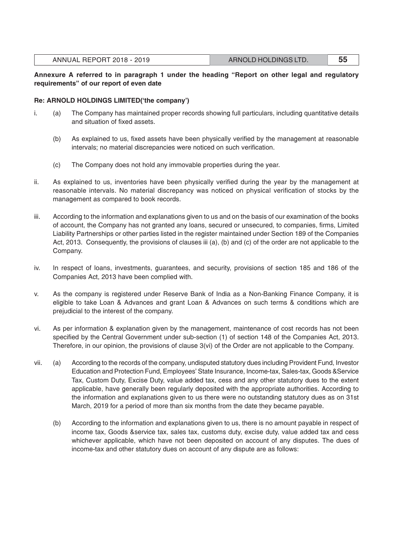| <b>ANNUAL REPORT 2018 - 2019</b> | ARNOLD HOLDINGS LTD. | ςς<br>JJ |
|----------------------------------|----------------------|----------|
|----------------------------------|----------------------|----------|

# Annexure A referred to in paragraph 1 under the heading "Report on other legal and regulatory requirements" of our report of even date

# Re: ARNOLD HOLDINGS LIMITED('the company')

- i. (a) The Company has maintained proper records showing full particulars, including quantitative details and situation of fixed assets.
	- (b) As explained to us, fixed assets have been physically verified by the management at reasonable intervals; no material discrepancies were noticed on such verification.
	- (c) The Company does not hold any immovable properties during the year.
- ii. As explained to us, inventories have been physically verified during the year by the management at reasonable intervals. No material discrepancy was noticed on physical verification of stocks by the management as compared to book records.
- iii. According to the information and explanations given to us and on the basis of our examination of the books of account, the Company has not granted any loans, secured or unsecured, to companies, firms, Limited Liability Partnerships or other parties listed in the register maintained under Section 189 of the Companies Act, 2013. Consequently, the provisions of clauses iii (a), (b) and (c) of the order are not applicable to the Company.
- iv. In respect of loans, investments, guarantees, and security, provisions of section 185 and 186 of the Companies Act, 2013 have been complied with.
- v. As the company is registered under Reserve Bank of India as a Non-Banking Finance Company, it is eligible to take Loan & Advances and grant Loan & Advances on such terms & conditions which are prejudicial to the interest of the company.
- vi. As per information & explanation given by the management, maintenance of cost records has not been specified by the Central Government under sub-section (1) of section 148 of the Companies Act, 2013. Therefore, in our opinion, the provisions of clause 3(vi) of the Order are not applicable to the Company.
- vii. (a) According to the records of the company, undisputed statutory dues including Provident Fund, Investor Education and Protection Fund, Employees' State Insurance, Income-tax, Sales-tax, Goods &Service Tax, Custom Duty, Excise Duty, value added tax, cess and any other statutory dues to the extent applicable, have generally been regularly deposited with the appropriate authorities. According to the information and explanations given to us there were no outstanding statutory dues as on 31st March, 2019 for a period of more than six months from the date they became payable.
	- (b) According to the information and explanations given to us, there is no amount payable in respect of income tax, Goods &service tax, sales tax, customs duty, excise duty, value added tax and cess whichever applicable, which have not been deposited on account of any disputes. The dues of income-tax and other statutory dues on account of any dispute are as follows: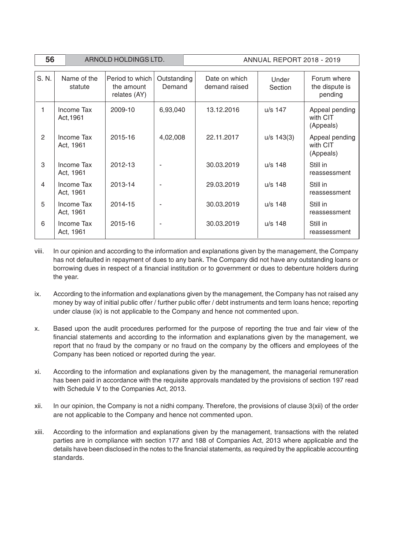| 56            |           | ARNOLD HOLDINGS LTD.   |                                               |                       | <b>ANNUAL REPORT 2018 - 2019</b> |               |  |               |  |                                         |  |                                         |
|---------------|-----------|------------------------|-----------------------------------------------|-----------------------|----------------------------------|---------------|--|---------------|--|-----------------------------------------|--|-----------------------------------------|
| S. N.         |           |                        |                                               |                       |                                  | Date on which |  |               |  | Forum where                             |  |                                         |
|               |           | Name of the<br>statute | Period to which<br>the amount<br>relates (AY) | Outstanding<br>Demand |                                  |               |  | demand raised |  | Under<br>Section                        |  | the dispute is<br>pending               |
| 1             | Act, 1961 | Income Tax             | 2009-10                                       | 6,93,040              |                                  | 13.12.2016    |  | $u/s$ 147     |  | Appeal pending<br>with CIT<br>(Appeals) |  |                                         |
| $\mathcal{P}$ | Act, 1961 | Income Tax             | 2015-16                                       | 4,02,008              |                                  |               |  | 22.11.2017    |  | $u/s$ 143(3)                            |  | Appeal pending<br>with CIT<br>(Appeals) |
| 3             | Act, 1961 | Income Tax             | 2012-13                                       |                       |                                  | 30.03.2019    |  | $u/s$ 148     |  | Still in<br>reassessment                |  |                                         |
| 4             | Act, 1961 | Income Tax             | 2013-14                                       |                       |                                  | 29.03.2019    |  | $u/s$ 148     |  | Still in<br>reassessment                |  |                                         |
| 5             | Act, 1961 | Income Tax             | 2014-15                                       |                       |                                  |               |  | 30.03.2019    |  | $u/s$ 148                               |  | Still in<br>reassessment                |
| 6             | Act, 1961 | Income Tax             | 2015-16                                       |                       |                                  | 30.03.2019    |  | $u/s$ 148     |  | Still in<br>reassessment                |  |                                         |

- viii. In our opinion and according to the information and explanations given by the management, the Company has not defaulted in repayment of dues to any bank. The Company did not have any outstanding loans or borrowing dues in respect of a financial institution or to government or dues to debenture holders during the year.
- ix. According to the information and explanations given by the management, the Company has not raised any money by way of initial public offer / further public offer / debt instruments and term loans hence; reporting under clause (ix) is not applicable to the Company and hence not commented upon.
- x. Based upon the audit procedures performed for the purpose of reporting the true and fair view of the financial statements and according to the information and explanations given by the management, we report that no fraud by the company or no fraud on the company by the officers and employees of the Company has been noticed or reported during the year.
- xi. According to the information and explanations given by the management, the managerial remuneration has been paid in accordance with the requisite approvals mandated by the provisions of section 197 read with Schedule V to the Companies Act, 2013.
- xii. In our opinion, the Company is not a nidhi company. Therefore, the provisions of clause 3(xii) of the order are not applicable to the Company and hence not commented upon.
- xiii. According to the information and explanations given by the management, transactions with the related parties are in compliance with section 177 and 188 of Companies Act, 2013 where applicable and the details have been disclosed in the notes to the financial statements, as required by the applicable accounting standards.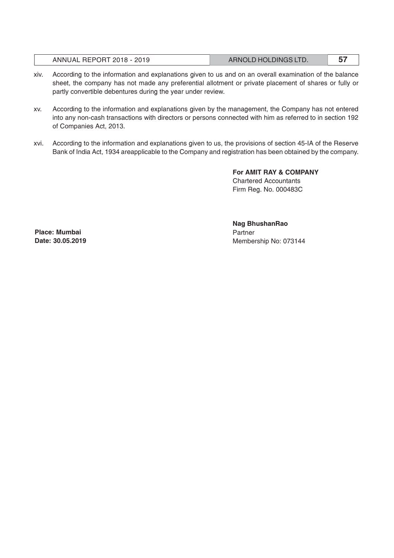| <b>ANNUAL REPORT 2018 - 2019</b> | ARNOLD HOLDINGS LTD. |  |
|----------------------------------|----------------------|--|
|----------------------------------|----------------------|--|

- xiv. According to the information and explanations given to us and on an overall examination of the balance sheet, the company has not made any preferential allotment or private placement of shares or fully or partly convertible debentures during the year under review.
- xv. According to the information and explanations given by the management, the Company has not entered into any non-cash transactions with directors or persons connected with him as referred to in section 192 of Companies Act, 2013.
- xvi. According to the information and explanations given to us, the provisions of section 45-IA of the Reserve Bank of India Act, 1934 areapplicable to the Company and registration has been obtained by the company.

For AMIT RAY & COMPANY Chartered Accountants Firm Reg. No. 000483C

Place: Mumbai Date: 30.05.2019 Nag BhushanRao Partner Membership No: 073144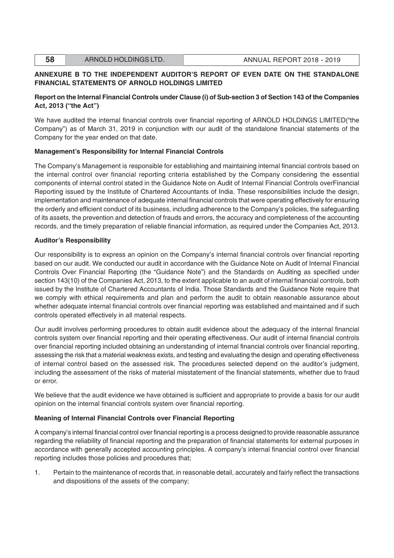| 58 | ARNOLD HOLDINGS LTD. | <b>ANNUAL REPORT 2018 - 2019</b> |
|----|----------------------|----------------------------------|
|----|----------------------|----------------------------------|

# ANNEXURE B TO THE INDEPENDENT AUDITOR'S REPORT OF EVEN DATE ON THE STANDALONE FINANCIAL STATEMENTS OF ARNOLD HOLDINGS LIMITED

# Report on the Internal Financial Controls under Clause (i) of Sub-section 3 of Section 143 of the Companies Act, 2013 ("the Act")

We have audited the internal financial controls over financial reporting of ARNOLD HOLDINGS LIMITED("the Company") as of March 31, 2019 in conjunction with our audit of the standalone financial statements of the Company for the year ended on that date.

# Management's Responsibility for Internal Financial Controls

The Company's Management is responsible for establishing and maintaining internal financial controls based on the internal control over financial reporting criteria established by the Company considering the essential components of internal control stated in the Guidance Note on Audit of Internal Financial Controls overFinancial Reporting issued by the Institute of Chartered Accountants of India. These responsibilities include the design, implementation and maintenance of adequate internal financial controls that were operating effectively for ensuring the orderly and efficient conduct of its business, including adherence to the Company's policies, the safeguarding of its assets, the prevention and detection of frauds and errors, the accuracy and completeness of the accounting records, and the timely preparation of reliable financial information, as required under the Companies Act, 2013.

# Auditor's Responsibility

Our responsibility is to express an opinion on the Company's internal financial controls over financial reporting based on our audit. We conducted our audit in accordance with the Guidance Note on Audit of Internal Financial Controls Over Financial Reporting (the "Guidance Note") and the Standards on Auditing as specified under section 143(10) of the Companies Act, 2013, to the extent applicable to an audit of internal financial controls, both issued by the Institute of Chartered Accountants of India. Those Standards and the Guidance Note require that we comply with ethical requirements and plan and perform the audit to obtain reasonable assurance about whether adequate internal financial controls over financial reporting was established and maintained and if such controls operated effectively in all material respects.

Our audit involves performing procedures to obtain audit evidence about the adequacy of the internal financial controls system over financial reporting and their operating effectiveness. Our audit of internal financial controls over financial reporting included obtaining an understanding of internal financial controls over financial reporting, assessing the risk that a material weakness exists, and testing and evaluating the design and operating effectiveness of internal control based on the assessed risk. The procedures selected depend on the auditor's judgment, including the assessment of the risks of material misstatement of the financial statements, whether due to fraud or error.

We believe that the audit evidence we have obtained is sufficient and appropriate to provide a basis for our audit opinion on the internal financial controls system over financial reporting.

# Meaning of Internal Financial Controls over Financial Reporting

A company's internal financial control over financial reporting is a process designed to provide reasonable assurance regarding the reliability of financial reporting and the preparation of financial statements for external purposes in accordance with generally accepted accounting principles. A company's internal financial control over financial reporting includes those policies and procedures that;

1. Pertain to the maintenance of records that, in reasonable detail, accurately and fairly reflect the transactions and dispositions of the assets of the company;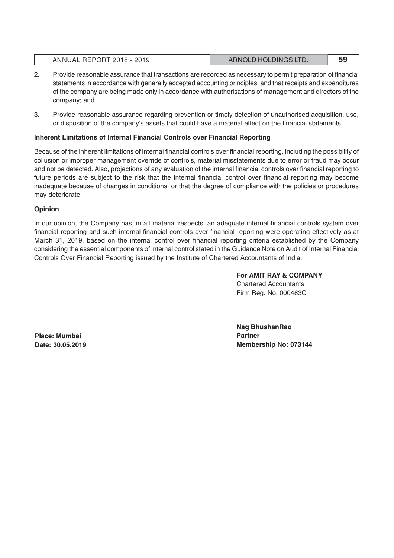| <b>ANNUAL REPORT 2018 - 2019</b> | ARNOLD HOLDINGS LTD. | 59 |
|----------------------------------|----------------------|----|
|----------------------------------|----------------------|----|

- 2. Provide reasonable assurance that transactions are recorded as necessary to permit preparation of financial statements in accordance with generally accepted accounting principles, and that receipts and expenditures of the company are being made only in accordance with authorisations of management and directors of the company; and
- 3. Provide reasonable assurance regarding prevention or timely detection of unauthorised acquisition, use, or disposition of the company's assets that could have a material effect on the financial statements.

# Inherent Limitations of Internal Financial Controls over Financial Reporting

Because of the inherent limitations of internal financial controls over financial reporting, including the possibility of collusion or improper management override of controls, material misstatements due to error or fraud may occur and not be detected. Also, projections of any evaluation of the internal financial controls over financial reporting to future periods are subject to the risk that the internal financial control over financial reporting may become inadequate because of changes in conditions, or that the degree of compliance with the policies or procedures may deteriorate.

### Opinion

In our opinion, the Company has, in all material respects, an adequate internal financial controls system over financial reporting and such internal financial controls over financial reporting were operating effectively as at March 31, 2019, based on the internal control over financial reporting criteria established by the Company considering the essential components of internal control stated in the Guidance Note on Audit of Internal Financial Controls Over Financial Reporting issued by the Institute of Chartered Accountants of India.

> For AMIT RAY & COMPANY Chartered Accountants Firm Reg. No. 000483C

Place: Mumbai Date: 30.05.2019 Nag BhushanRao Partner Membership No: 073144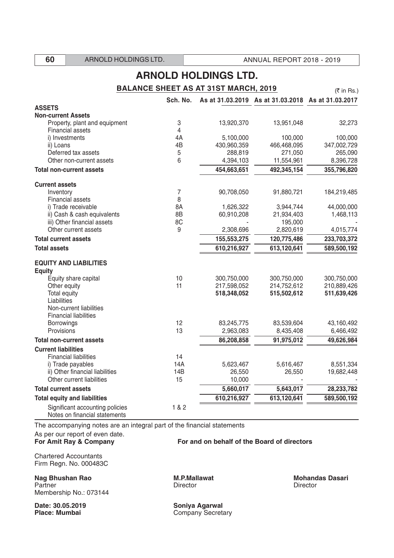ARNOLD HOLDINGS LTD. **ANNUAL REPORT 2018 - 2019** 

 $($ ₹ in Rs.)

# ARNOLD HOLDINGS LTD.

Sch. No. As at 31.03.2019 As at 31.03.2018 As at 31.03.2017 ASSETS Non-current Assets Property, plant and equipment 3 13,920,370 13,951,048 32,273 Financial assets 4 i) Investments 4A 5,100,000 100,000 100,000 ii) Loans 4B 430,960,359 466,468,095 347,002,729 Deferred tax assets 5 288,819 271,050 265,090 Other non-current assets 6 4,394,103 11,554,961 8,396,728 Total non-current assets 454,663,651 492,345,154 355,796,820 Current assets Inventory 7 90,708,050 91,880,721 184,219,485 Financial assets 6<br>
i) Trade receivable 6 (88)<br>
8 (88) i) Trade receivable 1,626,322 3,944,744 44,000,000 3,944,744 44,000,000 3,944,744 44,000,000 3,944,744 44,000,000 3,944,744 5 i) Cash & cash equivalents ii) Cash & cash equivalents 68 8B<br>
iii) Other financial assets 60 iii) Other financial assets 8C - 195,000 Other current assets **9** 2,308,696 2,820,619 4,015,774 Total current assets 155,553,275 120,775,486 233,703,372 Total assets 610,216,927 613,120,641 589,500,192 EQUITY AND LIABILITIES Equity Equity share capital 10 300,750,000 300,750,000 300,750,000 Other equity 11 217,598,052 214,752,612 210,889,426 Total equity 518,348,052 515,502,612 511,639,426 **Liabilities** Non-current liabilities Financial liabilities Borrowings 12 83,245,775 83,539,604 43,160,492 Provisions 13 2,963,083 8,435,408 6,466,492 Total non-current assets 86,208,858 91,975,012 49,626,984 Current liabilities Financial liabilities 14 i) Trade payables 14A 5,623,467 5,616,467 8,551,334 ii) Other financial liabilities 14B 26,550 26,550 19,682,448 Other current liabilities 15 10,000 Total current assets **5,660,017** 5,643,017 28,233,782 Total equity and liabilities 610,216,927 613,120,641 589,500,192 Significant accounting policies 1 & 2 Notes on financial statements

The accompanying notes are an integral part of the financial statements

As per our report of even date.<br>For Amit Ray & Company

Chartered Accountants Firm Regn. No. 000483C

Nag Bhushan Rao **M.P.Mallawat** M.P.Mallawat Mohandas Dasari Partner Director Director Director Director **Director** Director Membership No.: 073144

**Date: 30.05.2019 Soniya Agarwal**<br> **Place: Mumbai Soniya Agarwal**<br>
Company Secret

For and on behalf of the Board of directors

**Company Secretary**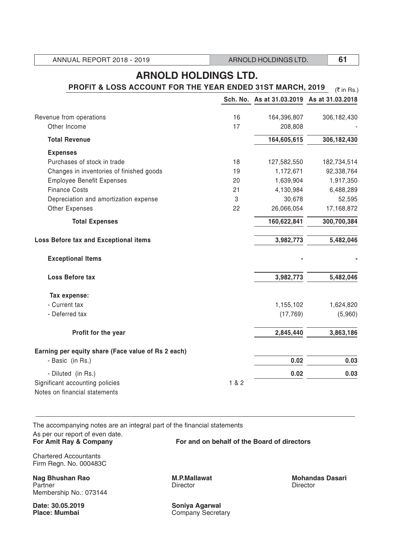ANNUAL REPORT 2018 - 2019 ARNOLD HOLDINGS LTD.

61

# ARNOLD HOLDINGS LTD.

|                                                                  |       | Sch. No. As at 31.03.2019 As at 31.03.2018 | $($ ₹ in Rs.) |
|------------------------------------------------------------------|-------|--------------------------------------------|---------------|
|                                                                  |       |                                            |               |
| Revenue from operations                                          | 16    | 164,396,807                                | 306,182,430   |
| Other Income                                                     | 17    | 208,808                                    |               |
| <b>Total Revenue</b>                                             |       | 164,605,615                                | 306,182,430   |
| <b>Expenses</b>                                                  |       |                                            |               |
| Purchases of stock in trade                                      | 18    | 127,582,550                                | 182,734,514   |
| Changes in inventories of finished goods                         | 19    | 1,172,671                                  | 92,338,764    |
| <b>Employee Benefit Expenses</b>                                 | 20    | 1,639,904                                  | 1,917,350     |
| <b>Finance Costs</b>                                             | 21    | 4,130,984                                  | 6,488,289     |
| Depreciation and amortization expense                            | 3     | 30,678                                     | 52,595        |
| <b>Other Expenses</b>                                            | 22    | 26,066,054                                 | 17,168,872    |
| <b>Total Expenses</b>                                            |       | 160,622,841                                | 300,700,384   |
| Loss Before tax and Exceptional items                            |       | 3,982,773                                  | 5,482,046     |
| <b>Exceptional Items</b>                                         |       |                                            |               |
| <b>Loss Before tax</b>                                           |       | 3,982,773                                  | 5,482,046     |
| Tax expense:                                                     |       |                                            |               |
| - Current tax                                                    |       | 1,155,102                                  | 1,624,820     |
| - Deferred tax                                                   |       | (17, 769)                                  | (5,960)       |
| Profit for the year                                              |       | 2,845,440                                  | 3,863,186     |
| Earning per equity share (Face value of Rs 2 each)               |       |                                            |               |
| - Basic (in Rs.)                                                 |       | 0.02                                       | 0.03          |
| - Diluted (in Rs.)                                               |       | 0.02                                       | 0.03          |
| Significant accounting policies<br>Notes on financial statements | 1 & 2 |                                            |               |

The accompanying notes are an integral part of the financial statements

As per our report of even date.<br>For Amit Ray & Company

For and on behalf of the Board of directors

Chartered Accountants Firm Regn. No. 000483C

**Nag Bhushan Rao Nag Bhushan Rao Nag Sidayar Shara** Mohandas Dasari<br>
Partner Mohandas Dasari<br>
Director Mohandas Dasari Partner Director Director Director Director **Director** Director **Director** Membership No.: 073144

Date: 30.05.2019 **Soniya Agarwal**<br>
Place: Mumbai **Soniya Agarwal**<br>
Company Secreta

Company Secretary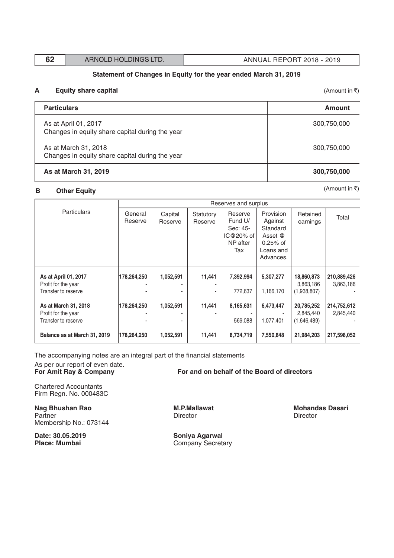| 62 | ARNOLD HOLDINGS LTD. | <b>ANNUAL REPORT 2018 - 2019</b> |
|----|----------------------|----------------------------------|
|----|----------------------|----------------------------------|

# Statement of Changes in Equity for the year ended March 31, 2019

## A Equity share capital  $($ Amount in  $\bar{z}$ )

| <b>Particulars</b>                                                      | Amount      |
|-------------------------------------------------------------------------|-------------|
| As at April 01, 2017<br>Changes in equity share capital during the year | 300,750,000 |
| As at March 31, 2018<br>Changes in equity share capital during the year | 300,750,000 |
| As at March 31, 2019                                                    | 300,750,000 |

# B Other Equity (Amount in ₹)

|                                                                    | Reserves and surplus |                    |                      |                                                                |                                                                                     |                                        |                          |
|--------------------------------------------------------------------|----------------------|--------------------|----------------------|----------------------------------------------------------------|-------------------------------------------------------------------------------------|----------------------------------------|--------------------------|
| Particulars                                                        | General<br>Reserve   | Capital<br>Reserve | Statutory<br>Reserve | Reserve<br>Fund U/<br>Sec: 45-<br>IC@20% of<br>NP after<br>Tax | Provision<br>Against<br>Standard<br>Asset @<br>$0.25%$ of<br>Loans and<br>Advances. | Retained<br>earnings                   | Total                    |
| As at April 01, 2017<br>Profit for the year<br>Transfer to reserve | 178,264,250          | 1,052,591          | 11,441               | 7,392,994<br>772,637                                           | 5,307,277<br>1,166,170                                                              | 18,860,873<br>3,863,186<br>(1,938,807) | 210,889,426<br>3,863,186 |
| As at March 31, 2018<br>Profit for the year<br>Transfer to reserve | 178,264,250          | 1,052,591          | 11,441               | 8,165,631<br>569,088                                           | 6,473,447<br>1,077,401                                                              | 20,785,252<br>2,845,440<br>(1,646,489) | 214,752,612<br>2,845,440 |
| Balance as at March 31, 2019                                       | 178,264,250          | 1,052,591          | 11,441               | 8,734,719                                                      | 7,550,848                                                                           | 21,984,203                             | 217,598,052              |

The accompanying notes are an integral part of the financial statements

As per our report of even date.<br>For Amit Ray & Company

For and on behalf of the Board of directors

Chartered Accountants Firm Regn. No. 000483C

**Nag Bhushan Rao M.P.Mallawat M.P.Mallawat M.P.Mallawat** Mohandas Dasari Partner Mohandas Dasari Partner Mohandas Dasari Director Director Partner Director Director Director Director **Director** Director Membership No.: 073144

Date: 30.05.2019 **Soniya Agarwal**<br>
Place: Mumbai **Soniya Agarwal**<br>
Company Secreta

Company Secretary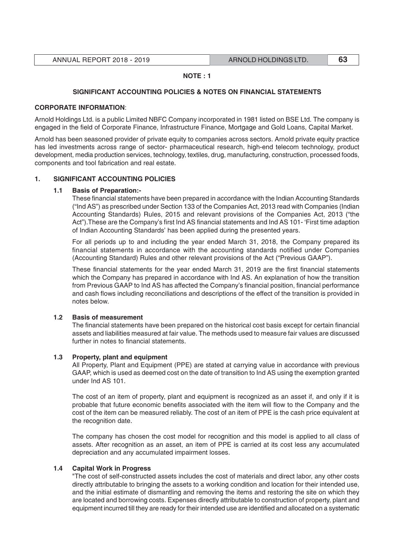| <b>ANNUAL REPORT 2018 - 2019</b> | ARNOLD HOLDINGS LTD. | 63 |
|----------------------------------|----------------------|----|
|----------------------------------|----------------------|----|

# NOTE : 1

### SIGNIFICANT ACCOUNTING POLICIES & NOTES ON FINANCIAL STATEMENTS

### CORPORATE INFORMATION:

Arnold Holdings Ltd. is a public Limited NBFC Company incorporated in 1981 listed on BSE Ltd. The company is engaged in the field of Corporate Finance, Infrastructure Finance, Mortgage and Gold Loans, Capital Market.

Arnold has been seasoned provider of private equity to companies across sectors. Arnold private equity practice has led investments across range of sector- pharmaceutical research, high-end telecom technology, product development, media production services, technology, textiles, drug, manufacturing, construction, processed foods, components and tool fabrication and real estate.

### 1. SIGNIFICANT ACCOUNTING POLICIES

### 1.1 Basis of Preparation:-

These financial statements have been prepared in accordance with the Indian Accounting Standards ("Ind AS") as prescribed under Section 133 of the Companies Act, 2013 read with Companies (Indian Accounting Standards) Rules, 2015 and relevant provisions of the Companies Act, 2013 ("the Act").These are the Company's first Ind AS financial statements and Ind AS 101- 'First time adaption of Indian Accounting Standards' has been applied during the presented years.

For all periods up to and including the year ended March 31, 2018, the Company prepared its financial statements in accordance with the accounting standards notified under Companies (Accounting Standard) Rules and other relevant provisions of the Act ("Previous GAAP").

These financial statements for the year ended March 31, 2019 are the first financial statements which the Company has prepared in accordance with Ind AS. An explanation of how the transition from Previous GAAP to Ind AS has affected the Company's financial position, financial performance and cash flows including reconciliations and descriptions of the effect of the transition is provided in notes below.

## 1.2 Basis of measurement

The financial statements have been prepared on the historical cost basis except for certain financial assets and liabilities measured at fair value. The methods used to measure fair values are discussed further in notes to financial statements.

### 1.3 Property, plant and equipment

All Property, Plant and Equipment (PPE) are stated at carrying value in accordance with previous GAAP, which is used as deemed cost on the date of transition to Ind AS using the exemption granted under Ind AS 101.

The cost of an item of property, plant and equipment is recognized as an asset if, and only if it is probable that future economic benefits associated with the item will flow to the Company and the cost of the item can be measured reliably. The cost of an item of PPE is the cash price equivalent at the recognition date.

The company has chosen the cost model for recognition and this model is applied to all class of assets. After recognition as an asset, an item of PPE is carried at its cost less any accumulated depreciation and any accumulated impairment losses.

### 1.4 Capital Work in Progress

"The cost of self-constructed assets includes the cost of materials and direct labor, any other costs directly attributable to bringing the assets to a working condition and location for their intended use, and the initial estimate of dismantling and removing the items and restoring the site on which they are located and borrowing costs. Expenses directly attributable to construction of property, plant and equipment incurred till they are ready for their intended use are identified and allocated on a systematic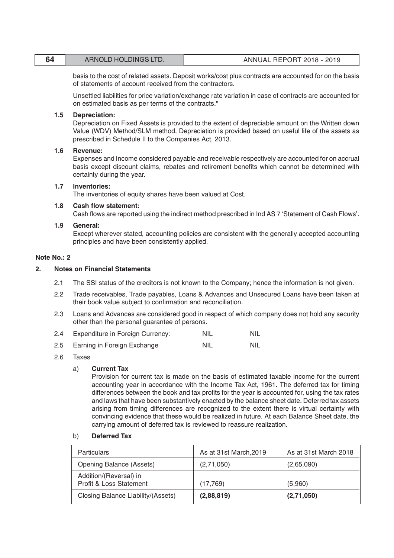|  | ARNOLD HOLDINGS LTD. | <b>ANNUAL REPORT 2018 - 2019</b> |
|--|----------------------|----------------------------------|
|--|----------------------|----------------------------------|

basis to the cost of related assets. Deposit works/cost plus contracts are accounted for on the basis of statements of account received from the contractors.

Unsettled liabilities for price variation/exchange rate variation in case of contracts are accounted for on estimated basis as per terms of the contracts."

# 1.5 Depreciation:

Depreciation on Fixed Assets is provided to the extent of depreciable amount on the Written down Value (WDV) Method/SLM method. Depreciation is provided based on useful life of the assets as prescribed in Schedule II to the Companies Act, 2013.

### 1.6 Revenue:

Expenses and Income considered payable and receivable respectively are accounted for on accrual basis except discount claims, rebates and retirement benefits which cannot be determined with certainty during the year.

### 1.7 Inventories:

The inventories of equity shares have been valued at Cost.

### 1.8 Cash flow statement:

Cash flows are reported using the indirect method prescribed in Ind AS 7 'Statement of Cash Flows'.

### 1.9 General:

Except wherever stated, accounting policies are consistent with the generally accepted accounting principles and have been consistently applied.

# Note No.: 2

# 2. Notes on Financial Statements

- 2.1 The SSI status of the creditors is not known to the Company; hence the information is not given.
- 2.2 Trade receivables, Trade payables, Loans & Advances and Unsecured Loans have been taken at their book value subject to confirmation and reconciliation.
- 2.3 Loans and Advances are considered good in respect of which company does not hold any security other than the personal guarantee of persons.
- 2.4 Expenditure in Foreign Currency: NIL NIL NIL
- 2.5 Earning in Foreign Exchange NIL NIL NIL
- 2.6 Taxes

# a) Current Tax

Provision for current tax is made on the basis of estimated taxable income for the current accounting year in accordance with the Income Tax Act, 1961. The deferred tax for timing differences between the book and tax profits for the year is accounted for, using the tax rates and laws that have been substantively enacted by the balance sheet date. Deferred tax assets arising from timing differences are recognized to the extent there is virtual certainty with convincing evidence that these would be realized in future. At each Balance Sheet date, the carrying amount of deferred tax is reviewed to reassure realization.

### b) Deferred Tax

| <b>Particulars</b>                                           | As at 31st March, 2019 | As at 31st March 2018 |
|--------------------------------------------------------------|------------------------|-----------------------|
| <b>Opening Balance (Assets)</b>                              | (2,71,050)             | (2,65,090)            |
| Addition/(Reversal) in<br><b>Profit &amp; Loss Statement</b> | (17,769)               | (5,960)               |
| Closing Balance Liability/(Assets)                           | (2,88,819)             | (2,71,050)            |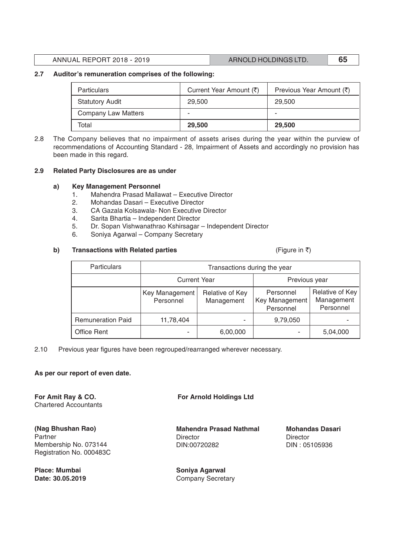| <b>ANNUAL REPORT 2018 - 2019</b> | ARNOLD HOLDINGS LTD. | 65 |
|----------------------------------|----------------------|----|
|----------------------------------|----------------------|----|

# 2.7 Auditor's remuneration comprises of the following:

| <b>Particulars</b>         | Current Year Amount (₹) | Previous Year Amount (₹) |
|----------------------------|-------------------------|--------------------------|
| <b>Statutory Audit</b>     | 29,500                  | 29,500                   |
| <b>Company Law Matters</b> |                         |                          |
| Total                      | 29,500                  | 29,500                   |

2.8 The Company believes that no impairment of assets arises during the year within the purview of recommendations of Accounting Standard - 28, Impairment of Assets and accordingly no provision has been made in this regard.

### 2.9 Related Party Disclosures are as under

# a) Key Management Personnel

- 1. Mahendra Prasad Mallawat Executive Director
- 2. Mohandas Dasari Executive Director
- 3. CA Gazala Kolsawala- Non Executive Director
- 4. Sarita Bhartia Independent Director
- 5. Dr. Sopan Vishwanathrao Kshirsagar Independent Director
- 6. Soniya Agarwal Company Secretary

### b) Transactions with Related parties  $(F_{\text{square}} \in \mathbb{R})$

| <b>Particulars</b>       | Transactions during the year |                               |                                          |                                            |  |  |
|--------------------------|------------------------------|-------------------------------|------------------------------------------|--------------------------------------------|--|--|
|                          | <b>Current Year</b>          |                               | Previous year                            |                                            |  |  |
|                          | Key Management<br>Personnel  | Relative of Key<br>Management | Personnel<br>Key Management<br>Personnel | Relative of Key<br>Management<br>Personnel |  |  |
| <b>Remuneration Paid</b> | 11,78,404                    |                               | 9,79,050                                 |                                            |  |  |
| <b>Office Rent</b>       |                              | 6,00,000                      |                                          | 5,04,000                                   |  |  |

2.10 Previous year figures have been regrouped/rearranged wherever necessary.

# As per our report of even date.

Chartered Accountants

(Nag Bhushan Rao) Partner Membership No. 073144 Registration No. 000483C

Place: Mumbai Date: 30.05.2019

For Amit Ray & CO. The Second Holdings Ltd

Mahendra Prasad Nathmal **Director** DIN:00720282

Mohandas Dasari **Director** DIN : 05105936

Soniya Agarwal Company Secretary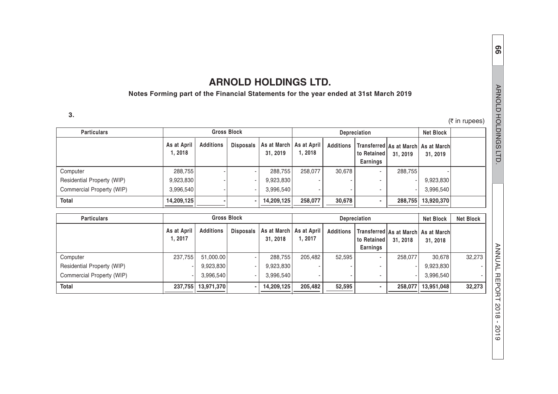Notes Forming part of the Financial Statements for the year ended at 31st March 2019<br>
3.<br>
Periodiums<br>
Periodiums<br>
Computer<br>
Computer (Ministers of the Statements Statements of the year ended at 31st March 2019<br>
3.<br>
Period

|                                   | As at April<br>1,2017 | <b>Additions</b> | Disposals   As at March   As at April  <br>31, 2018 | l. 2017 | <b>Additions</b> | to Retained<br>Earnings | Transferred   As at March   As at March  <br>31, 2018 | 31, 2018   |        |
|-----------------------------------|-----------------------|------------------|-----------------------------------------------------|---------|------------------|-------------------------|-------------------------------------------------------|------------|--------|
| Computer                          | 237.755               | 51,000.00        | 288,755                                             | 205.482 | 52,595           |                         | 258,077                                               | 30.678     | 32,273 |
| <b>Residential Property (WIP)</b> |                       | 9,923,830        | 9,923,830                                           |         |                  |                         |                                                       | 9,923,830  |        |
| Commercial Property (WIP)         |                       | 3.996.540        | 3.996.540                                           |         |                  |                         |                                                       | 3.996.540  |        |
| Total                             | 237.755               | 13,971,370       | 14,209,125                                          | 205.482 | 52.595           |                         | 258,077                                               | 13,951,048 | 32,273 |

ARNOLD HOLDINGS LTD.

66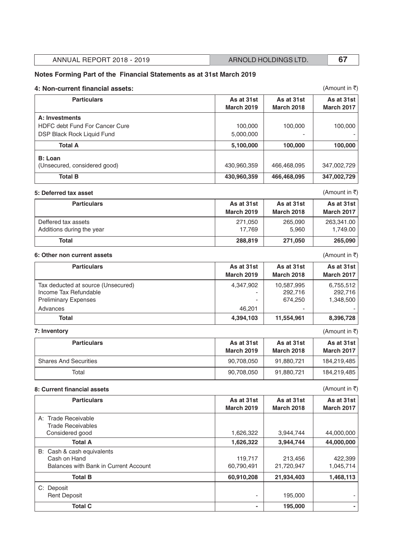| <b>ANNUAL REPORT 2018 - 2019</b> | ARNOLD HOLDINGS LTD. |  |
|----------------------------------|----------------------|--|
|----------------------------------|----------------------|--|

# Notes Forming Part of the Financial Statements as at 31st March 2019

## 4: Non-current financial assets:

| <b>Particulars</b>                    | As at 31st<br><b>March 2019</b> | As at 31st<br><b>March 2018</b> | As at 31st<br><b>March 2017</b> |
|---------------------------------------|---------------------------------|---------------------------------|---------------------------------|
| A: Investments                        |                                 |                                 |                                 |
| <b>HDFC debt Fund For Cancer Cure</b> | 100,000                         | 100,000                         | 100,000                         |
| DSP Black Rock Liquid Fund            | 5,000,000                       | ٠                               |                                 |
| <b>Total A</b>                        | 5,100,000                       | 100,000                         | 100,000                         |
| <b>B</b> : Loan                       |                                 |                                 |                                 |
| (Unsecured, considered good)          | 430,960,359                     | 466,468,095                     | 347,002,729                     |
| <b>Total B</b>                        | 430,960,359                     | 466,468,095                     | 347,002,729                     |

### 5: Deferred tax asset

| <b>Particulars</b>        | As at 31st        | As at 31st        | As at 31st        |
|---------------------------|-------------------|-------------------|-------------------|
|                           | <b>March 2019</b> | <b>March 2018</b> | <b>March 2017</b> |
| Deffered tax assets       | 271.050           | 265,090           | 263,341.00        |
| Additions during the year | 17.769            | 5.960             | 1.749.00          |
| <b>Total</b>              | 288,819           | 271,050           | 265,090           |

### 6: Other non current assets

| <b>Particulars</b>                 | As at 31st        | As at 31st        | As at 31st        |
|------------------------------------|-------------------|-------------------|-------------------|
|                                    | <b>March 2019</b> | <b>March 2018</b> | <b>March 2017</b> |
| Tax deducted at source (Unsecured) | 4,347,902         | 10,587,995        | 6,755,512         |
| Income Tax Refundable              |                   | 292.716           | 292.716           |
| <b>Preliminary Expenses</b>        |                   | 674.250           | 1,348,500         |
| Advances                           | 46.201            | ۰                 |                   |
| Total                              | 4,394,103         | 11.554.961        | 8,396,728         |

## 7: Inventory

| <b>Particulars</b>           | As at 31st<br><b>March 2019</b> | As at 31st<br><b>March 2018</b> | As at 31st<br><b>March 2017</b> |
|------------------------------|---------------------------------|---------------------------------|---------------------------------|
| <b>Shares And Securities</b> | 90,708,050                      | 91,880,721                      | 184,219,485                     |
| Total                        | 90,708,050                      | 91,880,721                      | 184.219.485                     |

### 8: Current financial assets

| <b>Particulars</b>                    | As at 31st<br><b>March 2019</b> | As at 31st<br><b>March 2018</b> | As at 31st<br><b>March 2017</b> |
|---------------------------------------|---------------------------------|---------------------------------|---------------------------------|
| A: Trade Receivable                   |                                 |                                 |                                 |
| <b>Trade Receivables</b>              |                                 |                                 |                                 |
| Considered good                       | 1,626,322                       | 3,944,744                       | 44,000,000                      |
| <b>Total A</b>                        | 1,626,322                       | 3,944,744                       | 44,000,000                      |
| B: Cash & cash equivalents            |                                 |                                 |                                 |
| Cash on Hand                          | 119,717                         | 213,456                         | 422,399                         |
| Balances with Bank in Current Account | 60,790,491                      | 21,720,947                      | 1,045,714                       |
| <b>Total B</b>                        | 60,910,208                      | 21,934,403                      | 1,468,113                       |
| C: Deposit                            |                                 |                                 |                                 |
| <b>Rent Deposit</b>                   | ۰                               | 195,000                         |                                 |
| <b>Total C</b>                        | $\blacksquare$                  | 195,000                         |                                 |

(Amount in  $\overline{\tau}$ )

(Amount in  $\bar{z}$ )

(Amount in  $\overline{\tau}$ )

(Amount in  $\bar{z}$ )

(Amount in  $\bar{z}$ )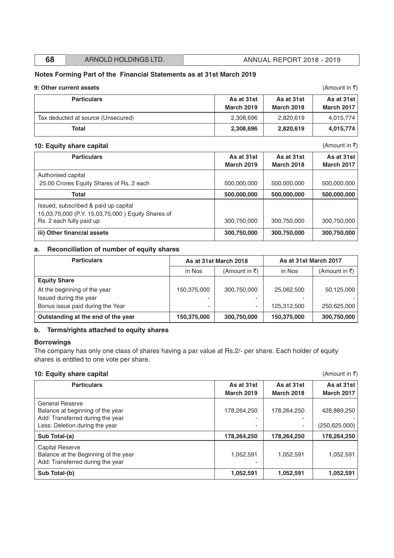| 68 | ARNOLD HOLDINGS LTD. | <b>ANNUAL REPORT 2018 - 2019</b> |
|----|----------------------|----------------------------------|
|----|----------------------|----------------------------------|

# Notes Forming Part of the Financial Statements as at 31st March 2019

### 9: Other current assets

| 9: Other current assets            |                                 |                                 | (Amount in ₹)                   |
|------------------------------------|---------------------------------|---------------------------------|---------------------------------|
| <b>Particulars</b>                 | As at 31st<br><b>March 2019</b> | As at 31st<br><b>March 2018</b> | As at 31st<br><b>March 2017</b> |
| Tax deducted at source (Unsecured) | 2,308,696                       | 2,820,619                       | 4,015,774                       |
| Total                              | 2,308,696                       | 2,820,619                       | 4,015,774                       |

## 10: Equity share capital

| <b>Particulars</b>                                                                                                    | As at 31st<br><b>March 2019</b> | As at 31st<br><b>March 2018</b> | As at $31st$<br><b>March 2017</b> |
|-----------------------------------------------------------------------------------------------------------------------|---------------------------------|---------------------------------|-----------------------------------|
| Authorised capital<br>25.00 Crores Equity Shares of Rs. 2 each                                                        | 500,000,000                     | 500,000,000                     | 500,000,000                       |
| Total                                                                                                                 | 500,000,000                     | 500,000,000                     | 500,000,000                       |
| Issued, subscribed & paid up capital<br>15,03,75,000 (P.Y. 15,03,75,000) Equity Shares of<br>Rs. 2 each fully paid up | 300,750,000                     | 300,750,000                     | 300,750,000                       |
| iii) Other financial assets                                                                                           | 300,750,000                     | 300,750,000                     | 300,750,000                       |

### a. Reconciliation of number of equity shares

| <b>Particulars</b>                 | As at 31st March 2018 |               | As at 31st March 2017 |               |
|------------------------------------|-----------------------|---------------|-----------------------|---------------|
|                                    | in Nos                | (Amount in ₹) | in Nos                | (Amount in ₹) |
| <b>Equity Share</b>                |                       |               |                       |               |
| At the beginning of the year       | 150,375,000           | 300,750,000   | 25,062,500            | 50,125,000    |
| Issued during the year             | ۰                     |               |                       |               |
| Bonus issue paid during the Year   |                       |               | 125,312,500           | 250,625,000   |
| Outstanding at the end of the year | 150,375,000           | 300,750,000   | 150,375,000           | 300,750,000   |

# b. Terms/rights attached to equity shares

### Borrowings

The company has only one class of shares having a par value at Rs.2/- per share. Each holder of equity shares is entitled to one vote per share.

# 10: Equity share capital

| <b>Particulars</b>                                                                                                        | As at 31st<br><b>March 2019</b> | As at 31st<br><b>March 2018</b> | As at $31st$<br><b>March 2017</b> |
|---------------------------------------------------------------------------------------------------------------------------|---------------------------------|---------------------------------|-----------------------------------|
| General Reserve<br>Balance at beginning of the year<br>Add: Transferred during the year<br>Less: Deletion during the year | 178,264,250                     | 178,264,250                     | 428,889,250<br>(250,625,000)      |
| Sub Total-(a)                                                                                                             | 178,264,250                     | 178,264,250                     | 178,264,250                       |
| Capital Reserve<br>Balance at the Beginning of the year<br>Add: Transferred during the year                               | 1,052,591                       | 1,052,591                       | 1,052,591                         |
| Sub Total-(b)                                                                                                             | 1,052,591                       | 1,052,591                       | 1,052,591                         |

(Amount in  $\overline{\tau}$ )

(Amount in  $\overline{\tau}$ )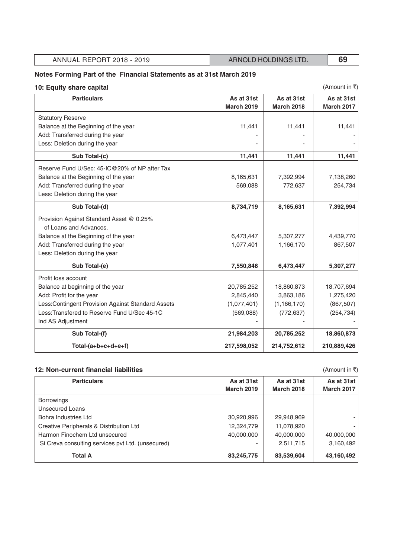ANNUAL REPORT 2018 - 2019 ARNOLD HOLDINGS LTD.

69

# Notes Forming Part of the Financial Statements as at 31st March 2019

### 10: Equity share capital

| 10: Equity share capital                           |                                 |                                 | (Amount in ₹)                   |
|----------------------------------------------------|---------------------------------|---------------------------------|---------------------------------|
| <b>Particulars</b>                                 | As at 31st<br><b>March 2019</b> | As at 31st<br><b>March 2018</b> | As at 31st<br><b>March 2017</b> |
| <b>Statutory Reserve</b>                           |                                 |                                 |                                 |
| Balance at the Beginning of the year               | 11,441                          | 11,441                          | 11,441                          |
| Add: Transferred during the year                   |                                 |                                 |                                 |
| Less: Deletion during the year                     |                                 |                                 |                                 |
| Sub Total-(c)                                      | 11,441                          | 11,441                          | 11,441                          |
| Reserve Fund U/Sec: 45-IC@20% of NP after Tax      |                                 |                                 |                                 |
| Balance at the Beginning of the year               | 8,165,631                       | 7,392,994                       | 7,138,260                       |
| Add: Transferred during the year                   | 569,088                         | 772,637                         | 254,734                         |
| Less: Deletion during the year                     |                                 |                                 |                                 |
| Sub Total-(d)                                      | 8,734,719                       | 8,165,631                       | 7,392,994                       |
| Provision Against Standard Asset @ 0.25%           |                                 |                                 |                                 |
| of Loans and Advances.                             |                                 |                                 |                                 |
| Balance at the Beginning of the year               | 6,473,447                       | 5,307,277                       | 4,439,770                       |
| Add: Transferred during the year                   | 1,077,401                       | 1,166,170                       | 867,507                         |
| Less: Deletion during the year                     |                                 |                                 |                                 |
| Sub Total-(e)                                      | 7,550,848                       | 6,473,447                       | 5,307,277                       |
| Profit loss account                                |                                 |                                 |                                 |
| Balance at beginning of the year                   | 20,785,252                      | 18,860,873                      | 18,707,694                      |
| Add: Profit for the year                           | 2,845,440                       | 3,863,186                       | 1,275,420                       |
| Less: Contingent Provision Against Standard Assets | (1,077,401)                     | (1, 166, 170)                   | (867, 507)                      |
| Less: Transfered to Reserve Fund U/Sec 45-1C       | (569,088)                       | (772, 637)                      | (254, 734)                      |
| Ind AS Adjustment                                  |                                 |                                 |                                 |
| Sub Total-(f)                                      | 21,984,203                      | 20,785,252                      | 18,860,873                      |
| Total-(a+b+c+d+e+f)                                | 217,598,052                     | 214,752,612                     | 210,889,426                     |

### 12: Non-current financial liabilities

Borrowings Unsecured Loans Bohra Industries Ltd 190.920,996 29,948,969 - 30,920,996 29,948,969 - 30,920,996 - 30,920,996 29,948,969 - 30, Creative Peripherals & Distribution Ltd 12,324,779 11,078,920 Harmon Finochem Ltd unsecured 40,000,000 40,000,000 40,000,000 Si Creva consulting services pvt Ltd. (unsecured) - 2,511,715 3,160,492 Total A 63,245,775 83,245,775 83,539,604 43,160,492 Particulars As at 31st As at 31st As at 31st March 2019 March 2018 March 2017

# (Amount in  $\overline{\tau}$ )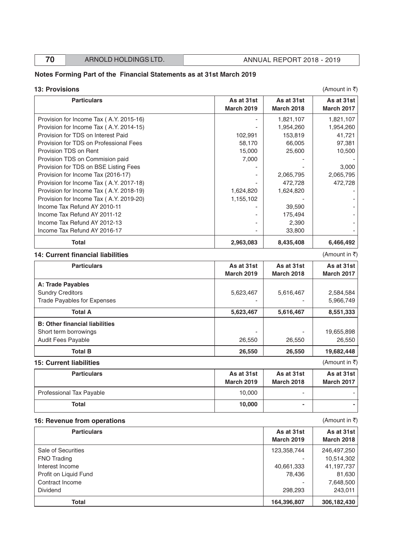# Notes Forming Part of the Financial Statements as at 31st March 2019

# 13: Provisions

| <b>13: Provisions</b>                    |                                 |                                 | (Amount in ₹)                   |
|------------------------------------------|---------------------------------|---------------------------------|---------------------------------|
| <b>Particulars</b>                       | As at 31st<br><b>March 2019</b> | As at 31st<br><b>March 2018</b> | As at 31st<br><b>March 2017</b> |
| Provision for Income Tax (A.Y. 2015-16)  |                                 | 1,821,107                       | 1,821,107                       |
| Provision for Income Tax (A.Y. 2014-15)  |                                 | 1,954,260                       | 1,954,260                       |
| Provision for TDS on Interest Paid       | 102,991                         | 153,819                         | 41,721                          |
| Provision for TDS on Professional Fees   | 58,170                          | 66,005                          | 97,381                          |
| Provision TDS on Rent                    | 15,000                          | 25,600                          | 10,500                          |
| Provision TDS on Commision paid          | 7,000                           |                                 |                                 |
| Provision for TDS on BSE Listing Fees    |                                 |                                 | 3,000                           |
| Provision for Income Tax (2016-17)       |                                 | 2,065,795                       | 2,065,795                       |
| Provision for Income Tax (A.Y. 2017-18)  |                                 | 472,728                         | 472,728                         |
| Provision for Income Tax (A.Y. 2018-19)  | 1,624,820                       | 1,624,820                       |                                 |
| Provision for Income Tax (A.Y. 2019-20)  | 1,155,102                       |                                 |                                 |
| Income Tax Refund AY 2010-11             |                                 | 39,590                          |                                 |
| Income Tax Refund AY 2011-12             |                                 | 175,494                         |                                 |
| Income Tax Refund AY 2012-13             |                                 | 2,390                           |                                 |
| Income Tax Refund AY 2016-17             |                                 | 33,800                          |                                 |
| <b>Total</b>                             | 2,963,083                       | 8,435,408                       | 6,466,492                       |
| <b>14: Current financial liabilities</b> |                                 |                                 | (Amount in ₹)                   |
| <b>Particulars</b>                       | As at 31st<br><b>March 2019</b> | As at 31st<br><b>March 2018</b> | As at 31st<br><b>March 2017</b> |
| A: Trade Payables                        |                                 |                                 |                                 |
| <b>Sundry Creditors</b>                  | 5,623,467                       | 5,616,467                       | 2,584,584                       |
| Trade Payables for Expenses              |                                 |                                 | 5,966,749                       |
| <b>Total A</b>                           | 5,623,467                       | 5,616,467                       | 8,551,333                       |
| <b>B: Other financial liabilities</b>    |                                 |                                 |                                 |
| Short term borrowings                    |                                 |                                 | 19,655,898                      |
| Audit Fees Payable                       | 26,550                          | 26,550                          | 26,550                          |
| <b>Total B</b>                           | 26,550                          | 26,550                          | 19,682,448                      |
| <b>15: Current liabilities</b>           |                                 |                                 | (Amount in ₹)                   |
| <b>Particulars</b>                       | As at 31st<br><b>March 2019</b> | As at 31st<br><b>March 2018</b> | As at 31st<br><b>March 2017</b> |
| Professional Tax Payable                 | 10,000                          |                                 |                                 |
| <b>Total</b>                             | 10,000                          |                                 |                                 |

| 16: Revenue from operations |                                 | (Amount in ₹)                   |
|-----------------------------|---------------------------------|---------------------------------|
| <b>Particulars</b>          | As at 31st<br><b>March 2019</b> | As at 31st<br><b>March 2018</b> |
|                             |                                 |                                 |
| Sale of Securities          | 123,358,744                     | 246,497,250                     |
| <b>FNO Trading</b>          |                                 | 10,514,302                      |
| Interest Income             | 40,661,333                      | 41,197,737                      |
| Profit on Liquid Fund       | 78,436                          | 81,630                          |
| Contract Income             |                                 | 7,648,500                       |
| <b>Dividend</b>             | 298,293                         | 243.011                         |
| <b>Total</b>                | 164,396,807                     | 306,182,430                     |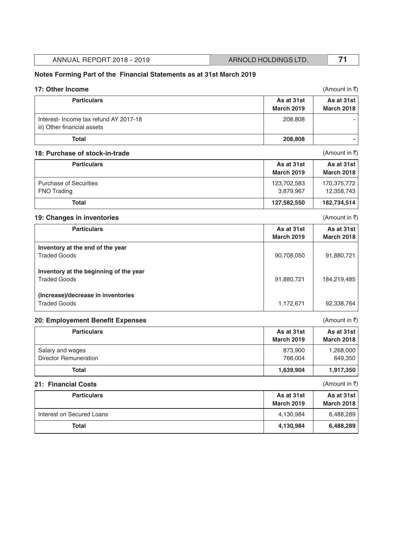ANNUAL REPORT 2018 - 2019 ARNOLD HOLDINGS LTD. 71

## Notes Forming Part of the Financial Statements as at 31st March 2019

### 17: Other Income

| <b>Particulars</b>                                                    | As at 31st<br><b>March 2019</b> | As at $31st$<br><b>March 2018</b> |
|-----------------------------------------------------------------------|---------------------------------|-----------------------------------|
| Interest- Income tax refund AY 2017-18<br>iii) Other financial assets | 208,808                         |                                   |
| <b>Total</b>                                                          | 208,808                         |                                   |

### 18: Purchase of stock-in-trade

| <b>Particulars</b>                                  | As at 31st<br><b>March 2019</b> | As at 31st<br><b>March 2018</b> |
|-----------------------------------------------------|---------------------------------|---------------------------------|
| <b>Purchase of Securities</b><br><b>FNO Trading</b> | 123,702,583<br>3,879,967        | 170,375,772<br>12,358,743       |
| <b>Total</b>                                        | 127,582,550                     | 182,734,514                     |

### 19: Changes in inventories

| <b>Particulars</b>                                            | As at 31st<br><b>March 2019</b> | As at 31st<br><b>March 2018</b> |
|---------------------------------------------------------------|---------------------------------|---------------------------------|
| Inventory at the end of the year<br><b>Traded Goods</b>       | 90,708,050                      | 91,880,721                      |
| Inventory at the beginning of the year<br><b>Traded Goods</b> | 91,880,721                      | 184,219,485                     |
| (Increase)/decrease in inventories<br><b>Traded Goods</b>     | 1,172,671                       | 92,338,764                      |

# 20: Employement Benefit Expenses

| <b>Particulars</b>                               | As at 31st<br><b>March 2019</b> | As at 31st<br><b>March 2018</b> |
|--------------------------------------------------|---------------------------------|---------------------------------|
| Salary and wages<br><b>Director Remuneration</b> | 873,900<br>766,004              | 1,268,000<br>649,350            |
| <b>Total</b>                                     | 1,639,904                       | 1,917,350                       |

### 21: Financial Costs

| <b>Particulars</b>        | As at 31st<br><b>March 2019</b> | As at 31st<br><b>March 2018</b> |
|---------------------------|---------------------------------|---------------------------------|
| Interest on Secured Loans | 4,130,984                       | 6,488,289                       |
| Total                     | 4,130,984                       | 6,488,289                       |

### (Amount in  $\bar{z}$ )

(Amount in  $\overline{\tau}$ )

(Amount in  $\bar{z}$ )

(Amount in  $\bar{z}$ )

## (Amount in  $\bar{z}$ )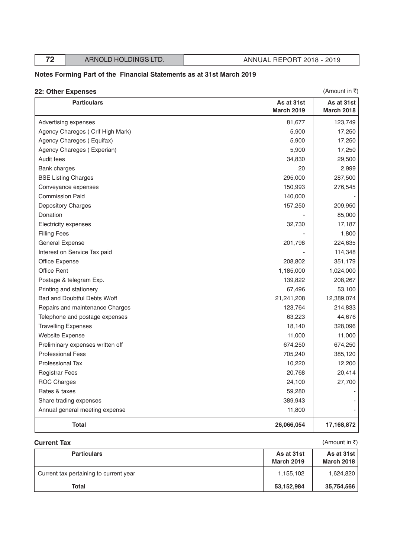| 72 | ARNOLD HOLDINGS LTD. |  |
|----|----------------------|--|
|----|----------------------|--|

## ANNUAL REPORT 2018 - 2019

# Notes Forming Part of the Financial Statements as at 31st March 2019

# 22: Other Expenses

| (Amount in ₹)<br>22: Other Expenses |                                 |                                 |
|-------------------------------------|---------------------------------|---------------------------------|
| <b>Particulars</b>                  | As at 31st<br><b>March 2019</b> | As at 31st<br><b>March 2018</b> |
| Advertising expenses                | 81,677                          | 123,749                         |
| Agency Chareges ( Crif High Mark)   | 5,900                           | 17,250                          |
| Agency Chareges (Equifax)           | 5,900                           | 17,250                          |
| Agency Chareges (Experian)          | 5,900                           | 17,250                          |
| Audit fees                          | 34,830                          | 29,500                          |
| Bank charges                        | 20                              | 2,999                           |
| <b>BSE Listing Charges</b>          | 295,000                         | 287,500                         |
| Conveyance expenses                 | 150,993                         | 276,545                         |
| <b>Commission Paid</b>              | 140,000                         |                                 |
| Depository Charges                  | 157,250                         | 209,950                         |
| Donation                            |                                 | 85,000                          |
| Electricity expenses                | 32,730                          | 17,187                          |
| <b>Filling Fees</b>                 |                                 | 1,800                           |
| General Expense                     | 201,798                         | 224,635                         |
| Interest on Service Tax paid        |                                 | 114,348                         |
| Office Expense                      | 208,802                         | 351,179                         |
| <b>Office Rent</b>                  | 1,185,000                       | 1,024,000                       |
| Postage & telegram Exp.             | 139,822                         | 208,267                         |
| Printing and stationery             | 67,496                          | 53,100                          |
| Bad and Doubtful Debts W/off        | 21,241,208                      | 12,389,074                      |
| Repairs and maintenance Charges     | 123,764                         | 214,833                         |
| Telephone and postage expenses      | 63,223                          | 44,676                          |
| <b>Travelling Expenses</b>          | 18,140                          | 328,096                         |
| <b>Website Expense</b>              | 11,000                          | 11,000                          |
| Preliminary expenses written off    | 674,250                         | 674,250                         |
| <b>Professional Fess</b>            | 705,240                         | 385,120                         |
| <b>Professional Tax</b>             | 10,220                          | 12,200                          |
| <b>Registrar Fees</b>               | 20,768                          | 20,414                          |
| <b>ROC Charges</b>                  | 24,100                          | 27,700                          |
| Rates & taxes                       | 59,280                          |                                 |
| Share trading expenses              | 389,943                         |                                 |
| Annual general meeting expense      | 11,800                          |                                 |
| <b>Total</b>                        | 26,066,054                      | 17,168,872                      |

| (Amount in ₹)<br><b>Current Tax</b>    |                                 |                                 |
|----------------------------------------|---------------------------------|---------------------------------|
| <b>Particulars</b>                     | As at 31st<br><b>March 2019</b> | As at 31st<br><b>March 2018</b> |
| Current tax pertaining to current year | 1.155.102                       | 1.624.820                       |
| <b>Total</b>                           | 53,152,984                      | 35,754,566                      |

# $(\Lambda_{\text{moulnt in}})$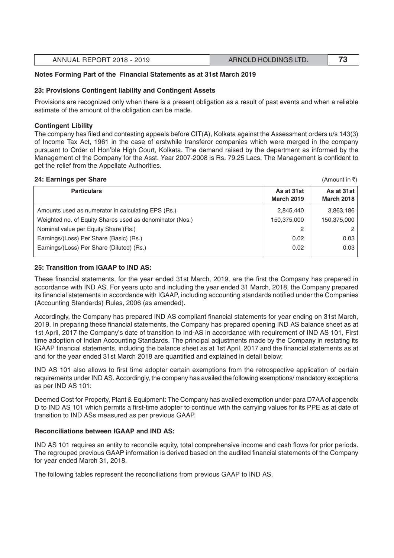| ARNOLD HOLDINGS LTD.<br><b>ANNUAL REPORT 2018 - 2019</b> |  |
|----------------------------------------------------------|--|
|----------------------------------------------------------|--|

## Notes Forming Part of the Financial Statements as at 31st March 2019

## 23: Provisions Contingent liability and Contingent Assets

Provisions are recognized only when there is a present obligation as a result of past events and when a reliable estimate of the amount of the obligation can be made.

## Contingent Libility

The company has filed and contesting appeals before CIT(A), Kolkata against the Assessment orders u/s 143(3) of Income Tax Act, 1961 in the case of erstwhile transferor companies which were merged in the company pursuant to Order of Hon'ble High Court, Kolkata. The demand raised by the department as informed by the Management of the Company for the Asst. Year 2007-2008 is Rs. 79.25 Lacs. The Management is confident to get the relief from the Appellate Authorities.

| 24: Earnings per Share<br>(Amount in ₹)                  |                                 |                                 |  |  |
|----------------------------------------------------------|---------------------------------|---------------------------------|--|--|
| <b>Particulars</b>                                       | As at 31st<br><b>March 2019</b> | As at 31st<br><b>March 2018</b> |  |  |
| Amounts used as numerator in calculating EPS (Rs.)       | 2,845,440                       | 3,863,186                       |  |  |
| Weighted no. of Equity Shares used as denominator (Nos.) | 150,375,000                     | 150,375,000                     |  |  |
| Nominal value per Equity Share (Rs.)                     | 2                               |                                 |  |  |
| Earnings/(Loss) Per Share (Basic) (Rs.)                  | 0.02                            | 0.03                            |  |  |
| Earnings/(Loss) Per Share (Diluted) (Rs.)                | 0.02                            | 0.03                            |  |  |

## 25: Transition from IGAAP to IND AS:

These financial statements, for the year ended 31st March, 2019, are the first the Company has prepared in accordance with IND AS. For years upto and including the year ended 31 March, 2018, the Company prepared its financial statements in accordance with IGAAP, including accounting standards notified under the Companies (Accounting Standards) Rules, 2006 (as amended).

Accordingly, the Company has prepared IND AS compliant financial statements for year ending on 31st March, 2019. In preparing these financial statements, the Company has prepared opening IND AS balance sheet as at 1st April, 2017 the Company's date of transition to Ind-AS in accordance with requirement of IND AS 101, First time adoption of Indian Accounting Standards. The principal adjustments made by the Company in restating its IGAAP financial statements, including the balance sheet as at 1st April, 2017 and the financial statements as at and for the year ended 31st March 2018 are quantified and explained in detail below:

IND AS 101 also allows to first time adopter certain exemptions from the retrospective application of certain requirements under IND AS. Accordingly, the company has availed the following exemptions/ mandatory exceptions as per IND AS 101:

Deemed Cost for Property, Plant & Equipment: The Company has availed exemption under para D7AA of appendix D to IND AS 101 which permits a first-time adopter to continue with the carrying values for its PPE as at date of transition to IND ASs measured as per previous GAAP.

#### Reconciliations between IGAAP and IND AS:

IND AS 101 requires an entity to reconcile equity, total comprehensive income and cash flows for prior periods. The regrouped previous GAAP information is derived based on the audited financial statements of the Company for year ended March 31, 2018.

The following tables represent the reconciliations from previous GAAP to IND AS.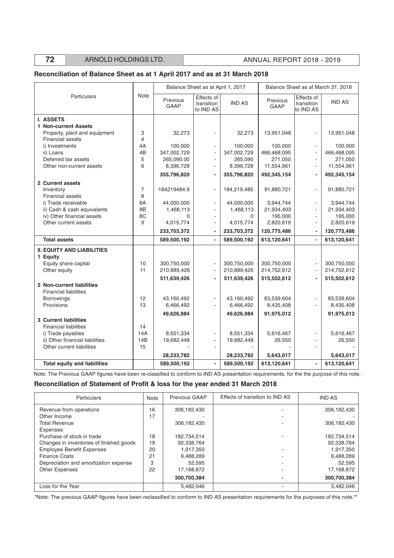72

## ARNOLD HOLDINGS LTD. **ANNUAL REPORT 2018 - 2019**

# Reconciliation of Balance Sheet as at 1 April 2017 and as at 31 March 2018

|                                     |      | Balance Sheet as at April 1, 2017<br>Balance Sheet as at March 31, 2018 |                                       |               |                  |                                       |               |
|-------------------------------------|------|-------------------------------------------------------------------------|---------------------------------------|---------------|------------------|---------------------------------------|---------------|
| Particulars                         | Note |                                                                         | Effects of<br>transition<br>to IND AS | <b>IND AS</b> | Previous<br>GAAP | Effects of<br>transition<br>to IND AS | <b>IND AS</b> |
| I. ASSETS                           |      |                                                                         |                                       |               |                  |                                       |               |
| 1 Non-current Assets                |      |                                                                         |                                       |               |                  |                                       |               |
| Property, plant and equipment       | 3    | 32,273                                                                  |                                       | 32.273        | 13,951,048       |                                       | 13,951,048    |
| Financial assets                    | 4    |                                                                         |                                       |               |                  |                                       |               |
| i) Investments                      | 4A   | 100,000                                                                 |                                       | 100,000       | 100,000          |                                       | 100,000       |
| ii) Loans                           | 4B   | 347,002,729                                                             | $\blacksquare$                        | 347,002,729   | 466,468,095      |                                       | 466,468,095   |
| Deferred tax assets                 | 5    | 265,090.00                                                              | $\blacksquare$                        | 265,090       | 271,050          | ä,                                    | 271,050       |
| Other non-current assets            | 6    | 8,396,728                                                               | $\sim$                                | 8,396,728     | 11,554,961       |                                       | 11,554,961    |
|                                     |      | 355,796,820                                                             |                                       | 355,796,820   | 492,345,154      |                                       | 492,345,154   |
| 2 Current assets                    |      |                                                                         |                                       |               |                  |                                       |               |
| Inventory                           | 7    | 184219484.9                                                             |                                       | 184,219,485   | 91,880,721       |                                       | 91,880,721    |
| <b>Financial assets</b>             | 8    |                                                                         |                                       |               |                  |                                       |               |
| i) Trade receivable                 | 8A   | 44,000,000                                                              | $\sim$                                | 44,000,000    | 3,944,744        |                                       | 3,944,744     |
| ii) Cash & cash equivalents         | 8B   | 1,468,113                                                               |                                       | 1,468,113     | 21,934,403       |                                       | 21,934,403    |
| iv) Other financial assets          | 8C   | $\Omega$                                                                |                                       | $\Omega$      | 195,000          |                                       | 195,000       |
| Other current assets                | 9    | 4,015,774                                                               |                                       | 4,015,774     | 2,820,619        |                                       | 2,820,619     |
|                                     |      | 233,703,372                                                             |                                       | 233,703,372   | 120,775,486      |                                       | 120,775,486   |
| <b>Total assets</b>                 |      | 589,500,192                                                             |                                       | 589,500,192   | 613,120,641      |                                       | 613,120,641   |
| <b>II. EQUITY AND LIABILITIES</b>   |      |                                                                         |                                       |               |                  |                                       |               |
| 1 Equity                            |      |                                                                         |                                       |               |                  |                                       |               |
| Equity share capital                | 10   | 300,750,000                                                             | $\blacksquare$                        | 300,750,000   | 300,750,000      |                                       | 300,750,000   |
| Other equity                        | 11   | 210,889,426                                                             | $\sim$                                | 210,889,426   | 214,752,612      |                                       | 214,752,612   |
|                                     |      | 511,639,426                                                             |                                       | 511,639,426   | 515,502,612      |                                       | 515,502,612   |
| 2 Non-current liabilities           |      |                                                                         |                                       |               |                  |                                       |               |
| <b>Financial liabilities</b>        |      |                                                                         |                                       |               |                  |                                       |               |
| <b>Borrowings</b>                   | 12   | 43,160,492                                                              |                                       | 43,160,492    | 83,539,604       |                                       | 83,539,604    |
| Provisions                          | 13   | 6,466,492                                                               |                                       | 6,466,492     | 8,435,408        |                                       | 8,435,408     |
|                                     |      | 49,626,984                                                              |                                       | 49,626,984    | 91,975,012       |                                       | 91,975,012    |
| <b>3 Current liabilities</b>        |      |                                                                         |                                       |               |                  |                                       |               |
| <b>Financial liabilities</b>        | 14   |                                                                         |                                       |               |                  |                                       |               |
| i) Trade payables                   | 14A  | 8,551,334                                                               |                                       | 8,551,334     | 5,616,467        |                                       | 5,616,467     |
| ii) Other financial liabilities     | 14B  | 19,682,448                                                              |                                       | 19,682,448    | 26,550           |                                       | 26,550        |
| Other current liabilities           | 15   |                                                                         |                                       |               |                  |                                       |               |
|                                     |      | 28,233,782                                                              |                                       | 28,233,782    | 5,643,017        |                                       | 5,643,017     |
| <b>Total equity and liabilities</b> |      | 589,500,192                                                             |                                       | 589,500,192   | 613,120,641      |                                       | 613,120,641   |

Note: The Previous GAAP figures have been re-classified to conform to IND AS presentation requirements, for the the purpose of this note.

## Reconciliation of Statement of Profit & loss for the year ended 31 March 2018

| Particulars                              | Note | <b>Previous GAAP</b> | Effects of transition to IND AS | <b>IND AS</b> |
|------------------------------------------|------|----------------------|---------------------------------|---------------|
| Revenue from operations                  | 16   | 306,182,430          |                                 | 306,182,430   |
| Other Income                             | 17   |                      |                                 |               |
| <b>Total Revenue</b>                     |      | 306,182,430          |                                 | 306,182,430   |
| Expenses                                 |      |                      |                                 |               |
| Purchase of stock in trade               | 18   | 182,734,514          |                                 | 182,734,514   |
| Changes in inventories of finished goods | 19   | 92.338.764           |                                 | 92.338.764    |
| <b>Employee Benefit Expenses</b>         | 20   | 1,917,350            |                                 | 1,917,350     |
| <b>Finance Costs</b>                     | 21   | 6,488,289            |                                 | 6,488,289     |
| Depreciation and amortization expense    | 3    | 52.595               |                                 | 52,595        |
| <b>Other Expenses</b>                    | 22   | 17,168,872           |                                 | 17,168,872    |
|                                          |      | 300.700.384          |                                 | 300,700,384   |
| Loss for the Year                        |      | 5.482.046            |                                 | 5.482.046     |

"Note: The previous GAAP figures have been reclassified to conform to IND AS presentation requirements for the purposes of this note.""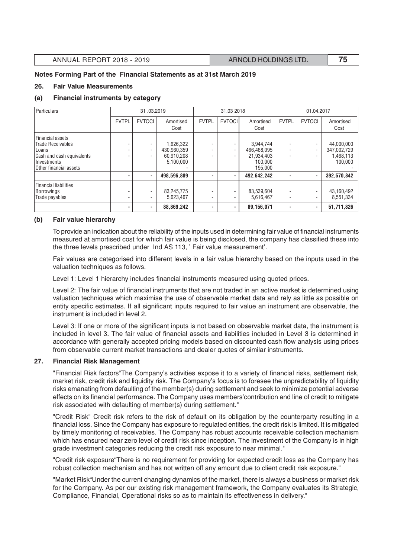| ANNUAL REPORT 2018 - 2019 | ARNOLD HOLDINGS LTD. |  |
|---------------------------|----------------------|--|
|---------------------------|----------------------|--|

#### Notes Forming Part of the Financial Statements as at 31st March 2019

#### 26. Fair Value Measurements

#### (a) Financial instruments by category

| Particulars                                                                                                            | 31.03.2019   |               | 31.03 2018                                          |              | 01.04.2017                                                |                                                              |                          |               |                                                   |
|------------------------------------------------------------------------------------------------------------------------|--------------|---------------|-----------------------------------------------------|--------------|-----------------------------------------------------------|--------------------------------------------------------------|--------------------------|---------------|---------------------------------------------------|
|                                                                                                                        | <b>FVTPL</b> | <b>FVTOCI</b> | Amortised<br>Cost                                   | <b>FVTPL</b> | <b>FVTOCI</b>                                             | Amortised<br>Cost                                            | <b>FVTPL</b>             | <b>FVTOCI</b> | Amortised<br>Cost                                 |
| l Financial assets<br>Trade Receivables<br>Loans<br>Cash and cash equivalents<br>Investments<br>Other financial assets |              | ٠             | 1,626,322<br>430.960.359<br>60,910,208<br>5.100.000 |              | $\overline{\phantom{a}}$<br>$\overline{\phantom{a}}$<br>۰ | 3,944,744<br>466,468,095<br>21,934,403<br>100.000<br>195.000 | $\overline{\phantom{a}}$ | ٠<br>۰        | 44,000,000<br>347.002.729<br>1,468,113<br>100.000 |
|                                                                                                                        |              | $\sim$        | 498,596,889                                         |              | $\sim$                                                    | 492,642,242                                                  | $\overline{\phantom{a}}$ |               | 392,570,842                                       |
| Financial liabilities<br> Borrowings<br>Trade payables                                                                 |              | ٠<br>۰<br>۰   | 83.245.775<br>5,623,467                             |              | ٠<br>$\overline{\phantom{a}}$                             | 83,539,604<br>5,616,467                                      | $\overline{\phantom{a}}$ | -<br>٠        | 43,160,492<br>8,551,334<br>51,711,826             |
|                                                                                                                        |              |               | 88,869,242                                          | -            | ٠                                                         | 89,156,071                                                   | $\blacksquare$           | ٠             |                                                   |

#### (b) Fair value hierarchy

To provide an indication about the reliability of the inputs used in determining fair value of financial instruments measured at amortised cost for which fair value is being disclosed, the company has classified these into the three levels prescribed under Ind AS 113, ' Fair value measurement'.

Fair values are categorised into different levels in a fair value hierarchy based on the inputs used in the valuation techniques as follows.

Level 1: Level 1 hierarchy includes financial instruments measured using quoted prices.

Level 2: The fair value of financial instruments that are not traded in an active market is determined using valuation techniques which maximise the use of observable market data and rely as little as possible on entity specific estimates. If all significant inputs required to fair value an instrument are observable, the instrument is included in level 2.

Level 3: If one or more of the significant inputs is not based on observable market data, the instrument is included in level 3. The fair value of financial assets and liabilities included in Level 3 is determined in accordance with generally accepted pricing models based on discounted cash flow analysis using prices from observable current market transactions and dealer quotes of similar instruments.

## 27. Financial Risk Management

"Financial Risk factors"The Company's activities expose it to a variety of financial risks, settlement risk, market risk, credit risk and liquidity risk. The Company's focus is to foresee the unpredictability of liquidity risks emanating from defaulting of the member(s) during settlement and seek to minimize potential adverse effects on its financial performance. The Company uses members'contribution and line of credit to mitigate risk associated with defaulting of member(s) during settlement."

"Credit Risk" Credit risk refers to the risk of default on its obligation by the counterparty resulting in a financial loss. Since the Company has exposure to regulated entities, the credit risk is limited. It is mitigated by timely monitoring of receivables. The Company has robust accounts receivable collection mechanism which has ensured near zero level of credit risk since inception. The investment of the Company is in high grade investment categories reducing the credit risk exposure to near minimal."

"Credit risk exposure"There is no requirement for providing for expected credit loss as the Company has robust collection mechanism and has not written off any amount due to client credit risk exposure."

"Market Risk"Under the current changing dynamics of the market, there is always a business or market risk for the Company. As per our existing risk management framework, the Company evaluates its Strategic, Compliance, Financial, Operational risks so as to maintain its effectiveness in delivery."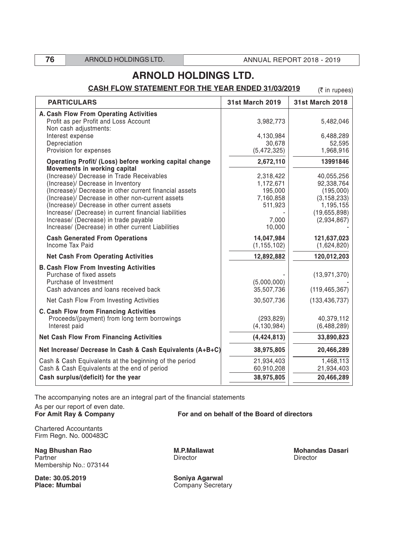76

 $($ ₹ in rupees)

# ARNOLD HOLDINGS LTD.

CASH FLOW STATEMENT FOR THE YEAR ENDED 31/03/2019

| <b>PARTICULARS</b>                                                                                                                                                                                                                                                                                                                                                                                  | <b>31st March 2019</b>                                                       | <b>31st March 2018</b>                                                                             |
|-----------------------------------------------------------------------------------------------------------------------------------------------------------------------------------------------------------------------------------------------------------------------------------------------------------------------------------------------------------------------------------------------------|------------------------------------------------------------------------------|----------------------------------------------------------------------------------------------------|
| A. Cash Flow From Operating Activities<br>Profit as per Profit and Loss Account<br>Non cash adjustments:<br>Interest expense                                                                                                                                                                                                                                                                        | 3,982,773<br>4,130,984                                                       | 5,482,046<br>6,488,289                                                                             |
| Depreciation<br>Provision for expenses                                                                                                                                                                                                                                                                                                                                                              | 30,678<br>(5,472,325)                                                        | 52,595<br>1,968,916                                                                                |
| Operating Profit/ (Loss) before working capital change<br>Movements in working capital                                                                                                                                                                                                                                                                                                              | 2,672,110                                                                    | 13991846                                                                                           |
| (Increase)/ Decrease in Trade Receivables<br>(Increase)/ Decrease in Inventory<br>(Increase)/ Decrease in other current financial assets<br>(Increase)/ Decrease in other non-current assets<br>(Increase)/ Decrease in other current assets<br>Increase/ (Decrease) in current financial liabilities<br>Increase/ (Decrease) in trade payable<br>Increase/ (Decrease) in other current Liabilities | 2,318,422<br>1,172,671<br>195,000<br>7,160,858<br>511,923<br>7,000<br>10,000 | 40,055,256<br>92,338,764<br>(195,000)<br>(3, 158, 233)<br>1,195,155<br>(19,655,898)<br>(2,934,867) |
| <b>Cash Generated From Operations</b><br>Income Tax Paid                                                                                                                                                                                                                                                                                                                                            | 14,047,984<br>(1, 155, 102)                                                  | 121,637,023<br>(1,624,820)                                                                         |
| <b>Net Cash From Operating Activities</b>                                                                                                                                                                                                                                                                                                                                                           | 12,892,882                                                                   | 120,012,203                                                                                        |
| <b>B. Cash Flow From Investing Activities</b><br>Purchase of fixed assets<br>Purchase of Investment<br>Cash advances and loans received back                                                                                                                                                                                                                                                        | (5,000,000)<br>35,507,736                                                    | (13, 971, 370)<br>(119, 465, 367)                                                                  |
| Net Cash Flow From Investing Activities                                                                                                                                                                                                                                                                                                                                                             | 30,507,736                                                                   | (133, 436, 737)                                                                                    |
| <b>C. Cash Flow from Financing Activities</b><br>Proceeds/(payment) from long term borrowings<br>Interest paid                                                                                                                                                                                                                                                                                      | (293, 829)<br>(4, 130, 984)                                                  | 40,379,112<br>(6,488,289)                                                                          |
| <b>Net Cash Flow From Financing Activities</b>                                                                                                                                                                                                                                                                                                                                                      | (4, 424, 813)                                                                | 33,890,823                                                                                         |
| Net Increase/ Decrease In Cash & Cash Equivalents (A+B+C)                                                                                                                                                                                                                                                                                                                                           | 38,975,805                                                                   | 20,466,289                                                                                         |
| Cash & Cash Equivalents at the beginning of the period<br>Cash & Cash Equivalents at the end of period<br>Cash surplus/(deficit) for the year                                                                                                                                                                                                                                                       | 21,934,403<br>60,910,208<br>38,975,805                                       | 1,468,113<br>21,934,403<br>20,466,289                                                              |
|                                                                                                                                                                                                                                                                                                                                                                                                     |                                                                              |                                                                                                    |

The accompanying notes are an integral part of the financial statements

As per our report of even date.<br>For Amit Ray & Company

For and on behalf of the Board of directors

Chartered Accountants Firm Regn. No. 000483C

**Nag Bhushan Rao M.P.Mallawat M.P.Mallawat** Mohandas Dasari Partner Mohandas Dasari Partner Partner Director **Director** Director **Director** Director **Director Director** Membership No.: 073144

Date: 30.05.2019 Soniya Agarwal

Place: Mumbai **Company Secretary**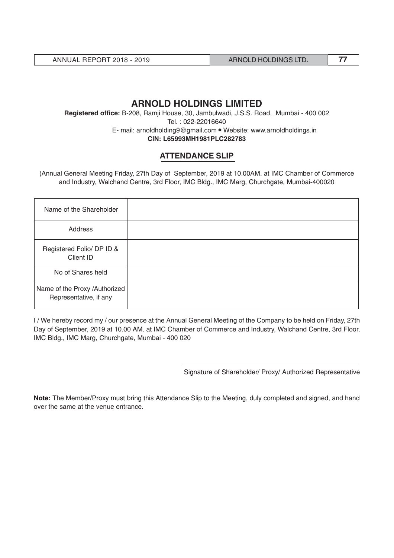77

# ARNOLD HOLDINGS LIMITED

Registered office: B-208, Ramji House, 30, Jambulwadi, J.S.S. Road, Mumbai - 400 002 Tel. : 022-22016640 E- mail: arnoldholding9@gmail.com Website: www.arnoldholdings.in CIN: L65993MH1981PLC282783

# ATTENDANCE SLIP

(Annual General Meeting Friday, 27th Day of September, 2019 at 10.00AM. at IMC Chamber of Commerce and Industry, Walchand Centre, 3rd Floor, IMC Bldg., IMC Marg, Churchgate, Mumbai-400020

| Name of the Shareholder                                 |  |
|---------------------------------------------------------|--|
| Address                                                 |  |
| Registered Folio/ DP ID &<br>Client ID                  |  |
| No of Shares held                                       |  |
| Name of the Proxy /Authorized<br>Representative, if any |  |

I / We hereby record my / our presence at the Annual General Meeting of the Company to be held on Friday, 27th Day of September, 2019 at 10.00 AM. at IMC Chamber of Commerce and Industry, Walchand Centre, 3rd Floor, IMC Bldg., IMC Marg, Churchgate, Mumbai - 400 020

Signature of Shareholder/ Proxy/ Authorized Representative

Note: The Member/Proxy must bring this Attendance Slip to the Meeting, duly completed and signed, and hand over the same at the venue entrance.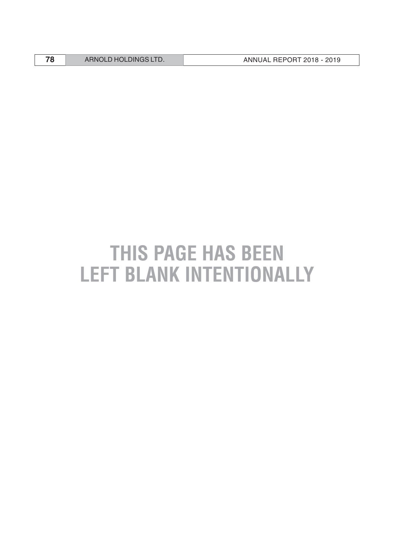# THIS PAGE HAS BEEN LEFT BLANK INTENTIONALLY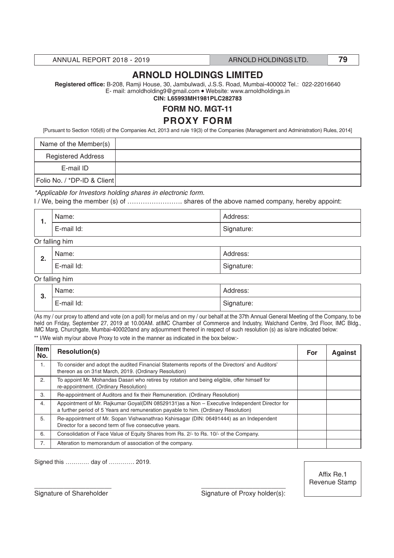ANNUAL REPORT 2018 - 2019 ARNOLD HOLDINGS LTD.

79

# ARNOLD HOLDINGS LIMITED

Registered office: B-208, Ramji House, 30, Jambulwadi, J.S.S. Road, Mumbai-400002 Tel.: 022-22016640 E- mail: arnoldholding9@gmail.com Website: www.arnoldholdings.in

CIN: L65993MH1981PLC282783

# FORM NO. MGT-11

# PROXY FORM

[Pursuant to Section 105(6) of the Companies Act, 2013 and rule 19(3) of the Companies (Management and Administration) Rules, 2014]

| Name of the Member(s)       |  |
|-----------------------------|--|
| <b>Registered Address</b>   |  |
| E-mail ID                   |  |
| Folio No. / *DP-ID & Client |  |

#### \*Applicable for Investors holding shares in electronic form.

I / We, being the member (s) of ……………………. shares of the above named company, hereby appoint:

| . . | Name:          | Address:   |
|-----|----------------|------------|
|     | E-mail Id:     | Signature: |
|     | Or falling him |            |

| c<br><u>.</u> | Name:      | Address:   |
|---------------|------------|------------|
|               | E-mail Id: | Signature: |

# Or falling him

| $\sim$ | Name:      | Address:   |
|--------|------------|------------|
| v.     | E-mail Id: | Signature: |

(As my / our proxy to attend and vote (on a poll) for me/us and on my / our behalf at the 37th Annual General Meeting of the Company, to be held on Friday, September 27, 2019 at 10.00AM. atIMC Chamber of Commerce and Industry, Walchand Centre, 3rd Floor, IMC Bldg., IMC Marg, Churchgate, Mumbai-400020and any adjournment thereof in respect of such resolution (s) as is/are indicated below:

\*\* I/We wish my/our above Proxy to vote in the manner as indicated in the box below:-

\_\_\_\_\_\_\_\_\_\_\_\_\_\_\_\_\_\_\_\_\_ \_\_\_\_\_\_\_\_\_\_\_\_\_\_\_\_\_\_\_\_\_\_\_

| $ $ Item $ $<br>No. | <b>Resolution(s)</b>                                                                                                                                                                | For | <b>Against</b> |
|---------------------|-------------------------------------------------------------------------------------------------------------------------------------------------------------------------------------|-----|----------------|
| 1.                  | To consider and adopt the audited Financial Statements reports of the Directors' and Auditors'<br>thereon as on 31st March, 2019. (Ordinary Resolution)                             |     |                |
| 2.                  | To appoint Mr. Mohandas Dasari who retires by rotation and being eligible, offer himself for<br>re-appointment. (Ordinary Resolution)                                               |     |                |
| 3.                  | Re-appointment of Auditors and fix their Remuneration. (Ordinary Resolution)                                                                                                        |     |                |
| 4.                  | Appointment of Mr. Rajkumar Goyal(DIN 08529131) as a Non - Executive Independent Director for<br>a further period of 5 Years and remuneration payable to him. (Ordinary Resolution) |     |                |
| 5.                  | Re-appointment of Mr. Sopan Vishwanathrao Kshirsagar (DIN: 06491444) as an Independent<br>Director for a second term of five consecutive years.                                     |     |                |
| 6.                  | Consolidation of Face Value of Equity Shares from Rs. 2/- to Rs. 10/- of the Company.                                                                                               |     |                |
| 7 <sub>1</sub>      | Alteration to memorandum of association of the company.                                                                                                                             |     |                |

Signed this ………… day of …………. 2019.

Affix Re.1 Revenue Stamp

Signature of Shareholder Signature of Proxy holder(s):